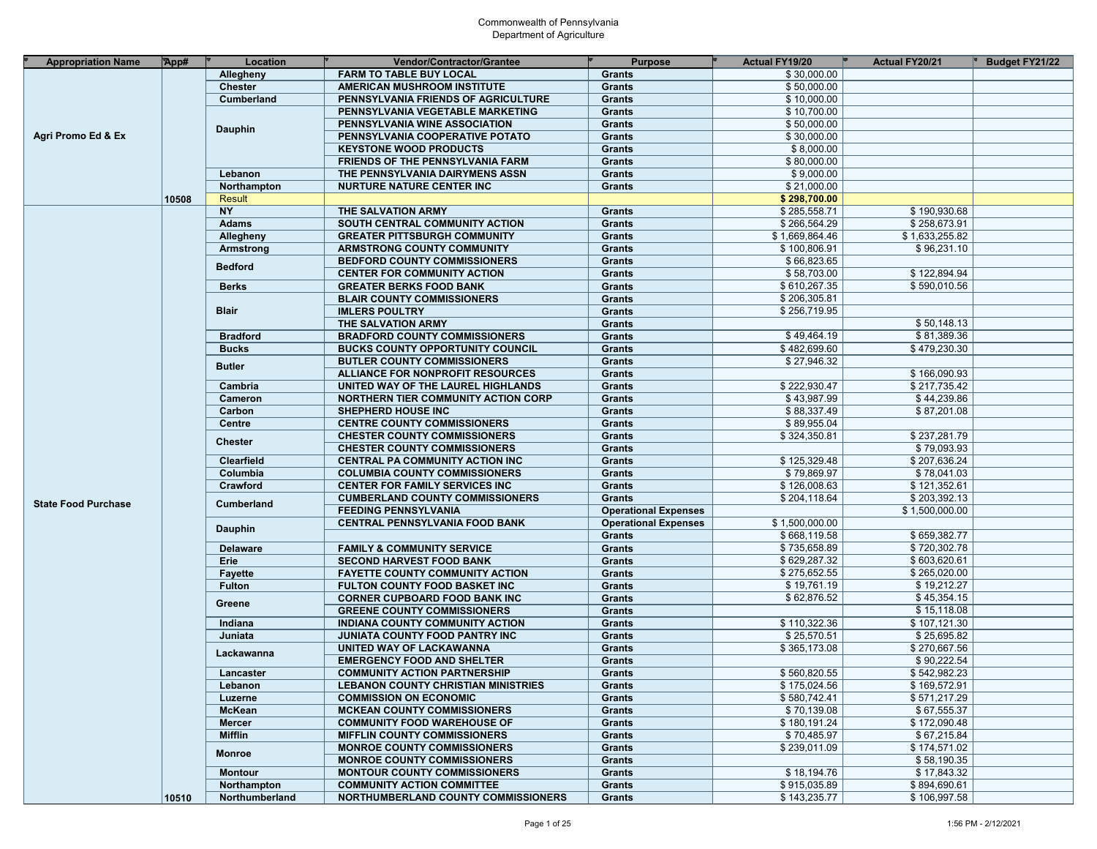| <b>Appropriation Name</b>  | App#  | Location          | Vendor/Contractor/Grantee                  | <b>Purpose</b>              | Actual FY19/20 | <b>Actual FY20/21</b> | <b>Budget FY21/22</b> |
|----------------------------|-------|-------------------|--------------------------------------------|-----------------------------|----------------|-----------------------|-----------------------|
|                            |       | Allegheny         | <b>FARM TO TABLE BUY LOCAL</b>             | Grants                      | \$30,000.00    |                       |                       |
|                            |       | <b>Chester</b>    | AMERICAN MUSHROOM INSTITUTE                | <b>Grants</b>               | \$50,000.00    |                       |                       |
|                            |       | <b>Cumberland</b> | PENNSYLVANIA FRIENDS OF AGRICULTURE        | <b>Grants</b>               | \$10,000.00    |                       |                       |
|                            |       |                   | PENNSYLVANIA VEGETABLE MARKETING           | <b>Grants</b>               | \$10,700.00    |                       |                       |
|                            |       |                   | PENNSYLVANIA WINE ASSOCIATION              | <b>Grants</b>               | \$50,000.00    |                       |                       |
| Agri Promo Ed & Ex         |       | <b>Dauphin</b>    | PENNSYLVANIA COOPERATIVE POTATO            | <b>Grants</b>               | \$30,000.00    |                       |                       |
|                            |       |                   | <b>KEYSTONE WOOD PRODUCTS</b>              | <b>Grants</b>               | \$8,000.00     |                       |                       |
|                            |       |                   | <b>FRIENDS OF THE PENNSYLVANIA FARM</b>    | <b>Grants</b>               | \$80,000.00    |                       |                       |
|                            |       | Lebanon           | THE PENNSYLVANIA DAIRYMENS ASSN            | <b>Grants</b>               | \$9,000.00     |                       |                       |
|                            |       | Northampton       | <b>NURTURE NATURE CENTER INC</b>           | <b>Grants</b>               | \$21,000.00    |                       |                       |
| <b>State Food Purchase</b> | 10508 | Result            |                                            |                             | \$298,700.00   |                       |                       |
|                            |       | <b>NY</b>         | THE SALVATION ARMY                         | <b>Grants</b>               | \$285,558.71   | \$190,930.68          |                       |
|                            |       |                   |                                            |                             | \$266,564.29   | \$258,673.91          |                       |
|                            |       | <b>Adams</b>      | SOUTH CENTRAL COMMUNITY ACTION             | <b>Grants</b>               | \$1,669,864.46 |                       |                       |
|                            |       | Allegheny         | <b>GREATER PITTSBURGH COMMUNITY</b>        | <b>Grants</b>               |                | \$1,633,255.82        |                       |
|                            |       | Armstrong         | <b>ARMSTRONG COUNTY COMMUNITY</b>          | <b>Grants</b>               | \$100,806.91   | \$96,231.10           |                       |
|                            |       | <b>Bedford</b>    | <b>BEDFORD COUNTY COMMISSIONERS</b>        | <b>Grants</b>               | \$66,823.65    |                       |                       |
|                            |       |                   | <b>CENTER FOR COMMUNITY ACTION</b>         | <b>Grants</b>               | \$58,703.00    | \$122,894.94          |                       |
|                            |       | <b>Berks</b>      | <b>GREATER BERKS FOOD BANK</b>             | <b>Grants</b>               | \$610,267.35   | \$590,010.56          |                       |
|                            |       |                   | <b>BLAIR COUNTY COMMISSIONERS</b>          | <b>Grants</b>               | \$206,305.81   |                       |                       |
|                            |       | <b>Blair</b>      | <b>IMLERS POULTRY</b>                      | <b>Grants</b>               | \$256,719.95   |                       |                       |
|                            |       |                   | THE SALVATION ARMY                         | <b>Grants</b>               |                | \$50,148.13           |                       |
|                            |       | <b>Bradford</b>   | <b>BRADFORD COUNTY COMMISSIONERS</b>       | <b>Grants</b>               | \$49,464.19    | \$81,389.36           |                       |
|                            |       | <b>Bucks</b>      | <b>BUCKS COUNTY OPPORTUNITY COUNCIL</b>    | <b>Grants</b>               | \$482,699.60   | \$479,230.30          |                       |
|                            |       | <b>Butler</b>     | <b>BUTLER COUNTY COMMISSIONERS</b>         | <b>Grants</b>               | \$27,946.32    |                       |                       |
|                            |       |                   | <b>ALLIANCE FOR NONPROFIT RESOURCES</b>    | <b>Grants</b>               |                | \$166,090.93          |                       |
|                            |       | Cambria           | UNITED WAY OF THE LAUREL HIGHLANDS         | <b>Grants</b>               | \$222,930.47   | \$217,735.42          |                       |
|                            |       | Cameron           | <b>NORTHERN TIER COMMUNITY ACTION CORP</b> | <b>Grants</b>               | \$43,987.99    | \$44,239.86           |                       |
|                            |       | Carbon            | <b>SHEPHERD HOUSE INC</b>                  | <b>Grants</b>               | \$88,337.49    | \$87,201.08           |                       |
|                            |       | <b>Centre</b>     | <b>CENTRE COUNTY COMMISSIONERS</b>         | <b>Grants</b>               | \$89,955.04    |                       |                       |
|                            |       | <b>Chester</b>    | <b>CHESTER COUNTY COMMISSIONERS</b>        | <b>Grants</b>               | \$324,350.81   | \$237,281.79          |                       |
|                            |       |                   | <b>CHESTER COUNTY COMMISSIONERS</b>        | <b>Grants</b>               |                | \$79,093.93           |                       |
|                            |       | Clearfield        | <b>CENTRAL PA COMMUNITY ACTION INC</b>     | <b>Grants</b>               | \$125,329.48   | \$207,636.24          |                       |
|                            |       | Columbia          | <b>COLUMBIA COUNTY COMMISSIONERS</b>       | <b>Grants</b>               | \$79,869.97    | \$78,041.03           |                       |
|                            |       | Crawford          | <b>CENTER FOR FAMILY SERVICES INC</b>      | <b>Grants</b>               | \$126,008.63   | \$121,352.61          |                       |
|                            |       | Cumberland        | <b>CUMBERLAND COUNTY COMMISSIONERS</b>     | <b>Grants</b>               | \$204,118.64   | \$203,392.13          |                       |
|                            |       |                   | <b>FEEDING PENNSYLVANIA</b>                | <b>Operational Expenses</b> |                | \$1,500,000.00        |                       |
|                            |       |                   | <b>CENTRAL PENNSYLVANIA FOOD BANK</b>      | <b>Operational Expenses</b> | \$1,500,000.00 |                       |                       |
|                            |       | <b>Dauphin</b>    |                                            | <b>Grants</b>               | \$668,119.58   | \$659,382.77          |                       |
|                            |       | <b>Delaware</b>   | <b>FAMILY &amp; COMMUNITY SERVICE</b>      | <b>Grants</b>               | \$735,658.89   | \$720,302.78          |                       |
|                            |       | Erie              | <b>SECOND HARVEST FOOD BANK</b>            | <b>Grants</b>               | \$629,287.32   | \$603,620.61          |                       |
|                            |       | <b>Fayette</b>    | <b>FAYETTE COUNTY COMMUNITY ACTION</b>     | <b>Grants</b>               | \$275,652.55   | \$265,020.00          |                       |
|                            |       | <b>Fulton</b>     | FULTON COUNTY FOOD BASKET INC              | <b>Grants</b>               | \$19,761.19    | \$19,212.27           |                       |
|                            |       |                   | <b>CORNER CUPBOARD FOOD BANK INC</b>       | <b>Grants</b>               | \$62,876.52    | \$45,354.15           |                       |
|                            |       | Greene            | <b>GREENE COUNTY COMMISSIONERS</b>         | <b>Grants</b>               |                | \$15,118.08           |                       |
|                            |       | Indiana           | INDIANA COUNTY COMMUNITY ACTION            | <b>Grants</b>               | \$110,322.36   | \$107,121.30          |                       |
|                            |       | Juniata           | <b>JUNIATA COUNTY FOOD PANTRY INC</b>      | <b>Grants</b>               | \$25,570.51    | \$25,695.82           |                       |
|                            |       |                   | UNITED WAY OF LACKAWANNA                   | <b>Grants</b>               | \$365,173.08   | \$270,667.56          |                       |
|                            |       | Lackawanna        | <b>EMERGENCY FOOD AND SHELTER</b>          | <b>Grants</b>               |                | \$90.222.54           |                       |
|                            |       | Lancaster         | <b>COMMUNITY ACTION PARTNERSHIP</b>        | Grants                      | \$560,820.55   | \$542,982.23          |                       |
|                            |       | Lebanon           | <b>LEBANON COUNTY CHRISTIAN MINISTRIES</b> | Grants                      | \$175,024.56   | \$169,572.91          |                       |
|                            |       | Luzerne           | <b>COMMISSION ON ECONOMIC</b>              | Grants                      | \$580,742.41   | \$571,217.29          |                       |
|                            |       | <b>McKean</b>     | <b>MCKEAN COUNTY COMMISSIONERS</b>         | <b>Grants</b>               | \$70,139.08    | \$67,555.37           |                       |
|                            |       | <b>Mercer</b>     | <b>COMMUNITY FOOD WAREHOUSE OF</b>         | <b>Grants</b>               | \$180,191.24   | \$172,090.48          |                       |
|                            |       | <b>Mifflin</b>    | <b>MIFFLIN COUNTY COMMISSIONERS</b>        | <b>Grants</b>               | \$70,485.97    | \$67,215.84           |                       |
|                            |       |                   | <b>MONROE COUNTY COMMISSIONERS</b>         | <b>Grants</b>               | \$239,011.09   | \$174,571.02          |                       |
|                            |       | <b>Monroe</b>     | <b>MONROE COUNTY COMMISSIONERS</b>         | <b>Grants</b>               |                | \$58,190.35           |                       |
|                            |       | <b>Montour</b>    | <b>MONTOUR COUNTY COMMISSIONERS</b>        | Grants                      | \$18,194.76    | \$17,843.32           |                       |
|                            |       |                   | <b>COMMUNITY ACTION COMMITTEE</b>          | <b>Grants</b>               | \$915,035.89   | \$894,690.61          |                       |
|                            |       | Northampton       |                                            |                             |                |                       |                       |
|                            | 10510 | Northumberland    | NORTHUMBERLAND COUNTY COMMISSIONERS        | Grants                      | \$143,235.77   | \$106,997.58          |                       |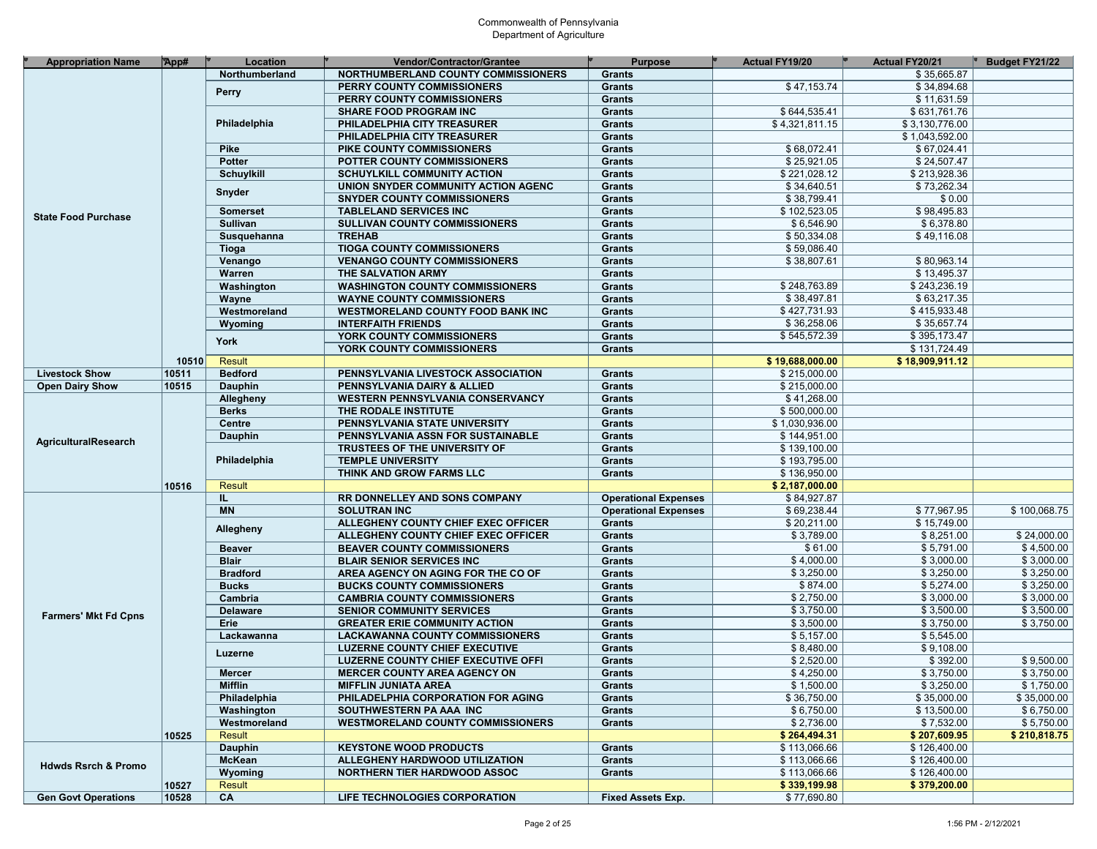| \$35,665.87<br>Northumberland<br>NORTHUMBERLAND COUNTY COMMISSIONERS<br>Grants<br>\$47,153.74<br>\$34,894.68<br>PERRY COUNTY COMMISSIONERS<br><b>Grants</b><br><b>Perry</b><br>\$11,631.59<br>PERRY COUNTY COMMISSIONERS<br><b>Grants</b><br>\$644,535.41<br>\$631,761.76<br><b>SHARE FOOD PROGRAM INC</b><br><b>Grants</b><br>Philadelphia<br>\$4,321,811.15<br>\$3,130,776.00<br>PHILADELPHIA CITY TREASURER<br><b>Grants</b><br>\$1,043,592.00<br>PHILADELPHIA CITY TREASURER<br><b>Grants</b><br>\$68,072.41<br>\$67,024.41<br>Pike<br>PIKE COUNTY COMMISSIONERS<br>Grants<br>\$25,921.05<br>\$24,507.47<br><b>Potter</b><br>POTTER COUNTY COMMISSIONERS<br>Grants<br>\$221,028.12<br>\$213,928.36<br><b>Schuylkill</b><br><b>SCHUYLKILL COMMUNITY ACTION</b><br><b>Grants</b><br>\$34,640.51<br>\$73,262.34<br>UNION SNYDER COMMUNITY ACTION AGENC<br>Grants<br>Snyder<br>\$38,799.41<br>\$0.00<br><b>SNYDER COUNTY COMMISSIONERS</b><br>Grants<br>\$102,523.05<br>\$98,495.83<br><b>Somerset</b><br><b>TABLELAND SERVICES INC</b><br>Grants<br><b>State Food Purchase</b><br>\$6,378.80<br>\$6,546.90<br>Sullivan<br><b>SULLIVAN COUNTY COMMISSIONERS</b><br><b>Grants</b><br>\$50,334.08<br><b>TREHAB</b><br>\$49,116.08<br>Susquehanna<br>Grants<br><b>TIOGA COUNTY COMMISSIONERS</b><br>\$59,086.40<br>Grants<br>Tioga<br>\$38,807.61<br>\$80,963.14<br>Venango<br><b>VENANGO COUNTY COMMISSIONERS</b><br>Grants<br>\$13,495.37<br>Warren<br><b>Grants</b><br>THE SALVATION ARMY<br>\$248,763.89<br>\$243,236.19<br>Washington<br><b>WASHINGTON COUNTY COMMISSIONERS</b><br>Grants<br>\$38,497.81<br>\$63,217.35<br><b>WAYNE COUNTY COMMISSIONERS</b><br>Grants<br>Wayne<br>\$427,731.93<br>\$415,933.48<br>Westmoreland<br><b>WESTMORELAND COUNTY FOOD BANK INC</b><br>Grants<br>\$36,258.06<br>\$35,657.74<br><b>INTERFAITH FRIENDS</b><br><b>Grants</b><br>Wyoming<br>\$545,572.39<br>\$395,173.47<br>YORK COUNTY COMMISSIONERS<br><b>Grants</b><br>York<br>\$131,724.49<br>YORK COUNTY COMMISSIONERS<br>Grants<br>Result<br>10510<br>\$19,688,000.00<br>\$18,909,911.12<br><b>Bedford</b><br>\$215,000.00<br><b>Livestock Show</b><br>10511<br>PENNSYLVANIA LIVESTOCK ASSOCIATION<br>Grants<br>\$215,000.00<br><b>Open Dairy Show</b><br>10515<br>Dauphin<br>PENNSYLVANIA DAIRY & ALLIED<br><b>Grants</b><br>\$41,268.00<br>Allegheny<br><b>WESTERN PENNSYLVANIA CONSERVANCY</b><br>Grants<br>\$500,000.00<br><b>Berks</b><br>THE RODALE INSTITUTE<br>Grants<br>\$1,030,936.00<br>Centre<br>Grants<br>PENNSYLVANIA STATE UNIVERSITY<br>\$144,951.00<br>Dauphin<br>PENNSYLVANIA ASSN FOR SUSTAINABLE<br>Grants<br>AgriculturalResearch<br>\$139,100.00<br>TRUSTEES OF THE UNIVERSITY OF<br>Grants<br>Philadelphia<br><b>TEMPLE UNIVERSITY</b><br>\$193,795.00<br><b>Grants</b><br>\$136,950.00<br>THINK AND GROW FARMS LLC<br><b>Grants</b><br><b>Result</b><br>\$2,187,000.00<br>10516<br>\$84,927.87<br>RR DONNELLEY AND SONS COMPANY<br><b>Operational Expenses</b><br>IL.<br>\$77,967.95<br><b>MN</b><br><b>SOLUTRAN INC</b><br>\$69,238.44<br>\$100,068.75<br><b>Operational Expenses</b><br>\$20,211.00<br>\$15,749.00<br>ALLEGHENY COUNTY CHIEF EXEC OFFICER<br><b>Grants</b><br>Allegheny<br>\$3,789.00<br>\$8,251.00<br>\$24,000.00<br>ALLEGHENY COUNTY CHIEF EXEC OFFICER<br>Grants<br>\$61.00<br>\$5,791.00<br>\$4,500.00<br><b>BEAVER COUNTY COMMISSIONERS</b><br>Grants<br><b>Beaver</b><br>\$4,000.00<br>\$3,000.00<br>\$3,000.00<br><b>Blair</b><br><b>BLAIR SENIOR SERVICES INC</b><br>Grants<br>\$3,250.00<br>\$3,250.00<br>\$3,250.00<br><b>Bradford</b><br>AREA AGENCY ON AGING FOR THE CO OF<br><b>Grants</b><br>\$874.00<br>\$5,274.00<br>\$3,250.00<br><b>Bucks</b><br><b>BUCKS COUNTY COMMISSIONERS</b><br>Grants<br>\$2,750.00<br>\$3,000.00<br>\$3,000.00<br>Cambria<br><b>CAMBRIA COUNTY COMMISSIONERS</b><br>Grants<br>\$3,750.00<br>\$3,500.00<br>\$3,500.00<br><b>Delaware</b><br><b>SENIOR COMMUNITY SERVICES</b><br>Grants<br><b>Farmers' Mkt Fd Cpns</b><br>\$3,750.00<br>\$3,500.00<br>\$3,750.00<br>Erie<br><b>Grants</b><br><b>GREATER ERIE COMMUNITY ACTION</b><br>\$5,157.00<br>\$5,545.00<br>Lackawanna<br><b>LACKAWANNA COUNTY COMMISSIONERS</b><br>Grants<br>\$8,480.00<br>\$9,108.00<br><b>LUZERNE COUNTY CHIEF EXECUTIVE</b><br>Grants<br>Luzerne<br>\$2,520.00<br>\$392.00<br>\$9,500.00<br><b>Grants</b><br>LUZERNE COUNTY CHIEF EXECUTIVE OFFI<br>\$4,250.00<br>\$3,750.00<br>\$3,750.00<br><b>MERCER COUNTY AREA AGENCY ON</b><br>Grants<br><b>Mercer</b><br><b>Mifflin</b><br>\$1,500.00<br>\$3,250.00<br>\$1,750.00<br><b>MIFFLIN JUNIATA AREA</b><br>Grants<br>\$36,750.00<br>\$35,000.00<br>\$35,000.00<br>Philadelphia<br>PHILADELPHIA CORPORATION FOR AGING<br>Grants<br>\$6,750.00<br>\$13,500.00<br>\$6,750.00<br>Washington<br>Grants<br>SOUTHWESTERN PA AAA INC<br>\$2,736.00<br>\$7,532.00<br>\$5,750.00<br>Westmoreland<br><b>WESTMORELAND COUNTY COMMISSIONERS</b><br>Grants<br><b>Result</b><br>10525<br>\$264,494.31<br>\$207.609.95<br>\$210,818.75<br>\$113,066.66<br>\$126,400.00<br><b>Dauphin</b><br><b>KEYSTONE WOOD PRODUCTS</b><br>Grants<br>\$113,066.66<br>\$126,400.00<br>McKean<br>ALLEGHENY HARDWOOD UTILIZATION<br>Grants<br><b>Hdwds Rsrch &amp; Promo</b><br>\$113,066.66<br>\$126,400.00<br>Wyoming<br><b>NORTHERN TIER HARDWOOD ASSOC</b><br>Grants<br><b>Result</b><br>\$339,199.98<br>10527<br>\$379,200.00<br>\$77,690.80<br>10528<br>CA<br>LIFE TECHNOLOGIES CORPORATION<br><b>Fixed Assets Exp.</b><br><b>Gen Govt Operations</b> | <b>Appropriation Name</b> | App# | Location | Vendor/Contractor/Grantee | <b>Purpose</b> | <b>Actual FY19/20</b> | <b>Actual FY20/21</b> | Budget FY21/22 |
|-----------------------------------------------------------------------------------------------------------------------------------------------------------------------------------------------------------------------------------------------------------------------------------------------------------------------------------------------------------------------------------------------------------------------------------------------------------------------------------------------------------------------------------------------------------------------------------------------------------------------------------------------------------------------------------------------------------------------------------------------------------------------------------------------------------------------------------------------------------------------------------------------------------------------------------------------------------------------------------------------------------------------------------------------------------------------------------------------------------------------------------------------------------------------------------------------------------------------------------------------------------------------------------------------------------------------------------------------------------------------------------------------------------------------------------------------------------------------------------------------------------------------------------------------------------------------------------------------------------------------------------------------------------------------------------------------------------------------------------------------------------------------------------------------------------------------------------------------------------------------------------------------------------------------------------------------------------------------------------------------------------------------------------------------------------------------------------------------------------------------------------------------------------------------------------------------------------------------------------------------------------------------------------------------------------------------------------------------------------------------------------------------------------------------------------------------------------------------------------------------------------------------------------------------------------------------------------------------------------------------------------------------------------------------------------------------------------------------------------------------------------------------------------------------------------------------------------------------------------------------------------------------------------------------------------------------------------------------------------------------------------------------------------------------------------------------------------------------------------------------------------------------------------------------------------------------------------------------------------------------------------------------------------------------------------------------------------------------------------------------------------------------------------------------------------------------------------------------------------------------------------------------------------------------------------------------------------------------------------------------------------------------------------------------------------------------------------------------------------------------------------------------------------------------------------------------------------------------------------------------------------------------------------------------------------------------------------------------------------------------------------------------------------------------------------------------------------------------------------------------------------------------------------------------------------------------------------------------------------------------------------------------------------------------------------------------------------------------------------------------------------------------------------------------------------------------------------------------------------------------------------------------------------------------------------------------------------------------------------------------------------------------------------------------------------------------------------------------------------------------------------------------------------------------------------------------------------------------------------------------------------------------------------------------------------------------------------------------------------------------------------------------------------------------------------------------------------------------------------------------------------------------------------------------------------------------------------------------------------------------------------------------------------------------------------------------------------------------------------------------------------------------------------------------------------------------------------------------------------------------------------------------------------|---------------------------|------|----------|---------------------------|----------------|-----------------------|-----------------------|----------------|
|                                                                                                                                                                                                                                                                                                                                                                                                                                                                                                                                                                                                                                                                                                                                                                                                                                                                                                                                                                                                                                                                                                                                                                                                                                                                                                                                                                                                                                                                                                                                                                                                                                                                                                                                                                                                                                                                                                                                                                                                                                                                                                                                                                                                                                                                                                                                                                                                                                                                                                                                                                                                                                                                                                                                                                                                                                                                                                                                                                                                                                                                                                                                                                                                                                                                                                                                                                                                                                                                                                                                                                                                                                                                                                                                                                                                                                                                                                                                                                                                                                                                                                                                                                                                                                                                                                                                                                                                                                                                                                                                                                                                                                                                                                                                                                                                                                                                                                                                                                                                                                                                                                                                                                                                                                                                                                                                                                                                                                                                                                                                   |                           |      |          |                           |                |                       |                       |                |
|                                                                                                                                                                                                                                                                                                                                                                                                                                                                                                                                                                                                                                                                                                                                                                                                                                                                                                                                                                                                                                                                                                                                                                                                                                                                                                                                                                                                                                                                                                                                                                                                                                                                                                                                                                                                                                                                                                                                                                                                                                                                                                                                                                                                                                                                                                                                                                                                                                                                                                                                                                                                                                                                                                                                                                                                                                                                                                                                                                                                                                                                                                                                                                                                                                                                                                                                                                                                                                                                                                                                                                                                                                                                                                                                                                                                                                                                                                                                                                                                                                                                                                                                                                                                                                                                                                                                                                                                                                                                                                                                                                                                                                                                                                                                                                                                                                                                                                                                                                                                                                                                                                                                                                                                                                                                                                                                                                                                                                                                                                                                   |                           |      |          |                           |                |                       |                       |                |
|                                                                                                                                                                                                                                                                                                                                                                                                                                                                                                                                                                                                                                                                                                                                                                                                                                                                                                                                                                                                                                                                                                                                                                                                                                                                                                                                                                                                                                                                                                                                                                                                                                                                                                                                                                                                                                                                                                                                                                                                                                                                                                                                                                                                                                                                                                                                                                                                                                                                                                                                                                                                                                                                                                                                                                                                                                                                                                                                                                                                                                                                                                                                                                                                                                                                                                                                                                                                                                                                                                                                                                                                                                                                                                                                                                                                                                                                                                                                                                                                                                                                                                                                                                                                                                                                                                                                                                                                                                                                                                                                                                                                                                                                                                                                                                                                                                                                                                                                                                                                                                                                                                                                                                                                                                                                                                                                                                                                                                                                                                                                   |                           |      |          |                           |                |                       |                       |                |
|                                                                                                                                                                                                                                                                                                                                                                                                                                                                                                                                                                                                                                                                                                                                                                                                                                                                                                                                                                                                                                                                                                                                                                                                                                                                                                                                                                                                                                                                                                                                                                                                                                                                                                                                                                                                                                                                                                                                                                                                                                                                                                                                                                                                                                                                                                                                                                                                                                                                                                                                                                                                                                                                                                                                                                                                                                                                                                                                                                                                                                                                                                                                                                                                                                                                                                                                                                                                                                                                                                                                                                                                                                                                                                                                                                                                                                                                                                                                                                                                                                                                                                                                                                                                                                                                                                                                                                                                                                                                                                                                                                                                                                                                                                                                                                                                                                                                                                                                                                                                                                                                                                                                                                                                                                                                                                                                                                                                                                                                                                                                   |                           |      |          |                           |                |                       |                       |                |
|                                                                                                                                                                                                                                                                                                                                                                                                                                                                                                                                                                                                                                                                                                                                                                                                                                                                                                                                                                                                                                                                                                                                                                                                                                                                                                                                                                                                                                                                                                                                                                                                                                                                                                                                                                                                                                                                                                                                                                                                                                                                                                                                                                                                                                                                                                                                                                                                                                                                                                                                                                                                                                                                                                                                                                                                                                                                                                                                                                                                                                                                                                                                                                                                                                                                                                                                                                                                                                                                                                                                                                                                                                                                                                                                                                                                                                                                                                                                                                                                                                                                                                                                                                                                                                                                                                                                                                                                                                                                                                                                                                                                                                                                                                                                                                                                                                                                                                                                                                                                                                                                                                                                                                                                                                                                                                                                                                                                                                                                                                                                   |                           |      |          |                           |                |                       |                       |                |
|                                                                                                                                                                                                                                                                                                                                                                                                                                                                                                                                                                                                                                                                                                                                                                                                                                                                                                                                                                                                                                                                                                                                                                                                                                                                                                                                                                                                                                                                                                                                                                                                                                                                                                                                                                                                                                                                                                                                                                                                                                                                                                                                                                                                                                                                                                                                                                                                                                                                                                                                                                                                                                                                                                                                                                                                                                                                                                                                                                                                                                                                                                                                                                                                                                                                                                                                                                                                                                                                                                                                                                                                                                                                                                                                                                                                                                                                                                                                                                                                                                                                                                                                                                                                                                                                                                                                                                                                                                                                                                                                                                                                                                                                                                                                                                                                                                                                                                                                                                                                                                                                                                                                                                                                                                                                                                                                                                                                                                                                                                                                   |                           |      |          |                           |                |                       |                       |                |
|                                                                                                                                                                                                                                                                                                                                                                                                                                                                                                                                                                                                                                                                                                                                                                                                                                                                                                                                                                                                                                                                                                                                                                                                                                                                                                                                                                                                                                                                                                                                                                                                                                                                                                                                                                                                                                                                                                                                                                                                                                                                                                                                                                                                                                                                                                                                                                                                                                                                                                                                                                                                                                                                                                                                                                                                                                                                                                                                                                                                                                                                                                                                                                                                                                                                                                                                                                                                                                                                                                                                                                                                                                                                                                                                                                                                                                                                                                                                                                                                                                                                                                                                                                                                                                                                                                                                                                                                                                                                                                                                                                                                                                                                                                                                                                                                                                                                                                                                                                                                                                                                                                                                                                                                                                                                                                                                                                                                                                                                                                                                   |                           |      |          |                           |                |                       |                       |                |
|                                                                                                                                                                                                                                                                                                                                                                                                                                                                                                                                                                                                                                                                                                                                                                                                                                                                                                                                                                                                                                                                                                                                                                                                                                                                                                                                                                                                                                                                                                                                                                                                                                                                                                                                                                                                                                                                                                                                                                                                                                                                                                                                                                                                                                                                                                                                                                                                                                                                                                                                                                                                                                                                                                                                                                                                                                                                                                                                                                                                                                                                                                                                                                                                                                                                                                                                                                                                                                                                                                                                                                                                                                                                                                                                                                                                                                                                                                                                                                                                                                                                                                                                                                                                                                                                                                                                                                                                                                                                                                                                                                                                                                                                                                                                                                                                                                                                                                                                                                                                                                                                                                                                                                                                                                                                                                                                                                                                                                                                                                                                   |                           |      |          |                           |                |                       |                       |                |
|                                                                                                                                                                                                                                                                                                                                                                                                                                                                                                                                                                                                                                                                                                                                                                                                                                                                                                                                                                                                                                                                                                                                                                                                                                                                                                                                                                                                                                                                                                                                                                                                                                                                                                                                                                                                                                                                                                                                                                                                                                                                                                                                                                                                                                                                                                                                                                                                                                                                                                                                                                                                                                                                                                                                                                                                                                                                                                                                                                                                                                                                                                                                                                                                                                                                                                                                                                                                                                                                                                                                                                                                                                                                                                                                                                                                                                                                                                                                                                                                                                                                                                                                                                                                                                                                                                                                                                                                                                                                                                                                                                                                                                                                                                                                                                                                                                                                                                                                                                                                                                                                                                                                                                                                                                                                                                                                                                                                                                                                                                                                   |                           |      |          |                           |                |                       |                       |                |
|                                                                                                                                                                                                                                                                                                                                                                                                                                                                                                                                                                                                                                                                                                                                                                                                                                                                                                                                                                                                                                                                                                                                                                                                                                                                                                                                                                                                                                                                                                                                                                                                                                                                                                                                                                                                                                                                                                                                                                                                                                                                                                                                                                                                                                                                                                                                                                                                                                                                                                                                                                                                                                                                                                                                                                                                                                                                                                                                                                                                                                                                                                                                                                                                                                                                                                                                                                                                                                                                                                                                                                                                                                                                                                                                                                                                                                                                                                                                                                                                                                                                                                                                                                                                                                                                                                                                                                                                                                                                                                                                                                                                                                                                                                                                                                                                                                                                                                                                                                                                                                                                                                                                                                                                                                                                                                                                                                                                                                                                                                                                   |                           |      |          |                           |                |                       |                       |                |
|                                                                                                                                                                                                                                                                                                                                                                                                                                                                                                                                                                                                                                                                                                                                                                                                                                                                                                                                                                                                                                                                                                                                                                                                                                                                                                                                                                                                                                                                                                                                                                                                                                                                                                                                                                                                                                                                                                                                                                                                                                                                                                                                                                                                                                                                                                                                                                                                                                                                                                                                                                                                                                                                                                                                                                                                                                                                                                                                                                                                                                                                                                                                                                                                                                                                                                                                                                                                                                                                                                                                                                                                                                                                                                                                                                                                                                                                                                                                                                                                                                                                                                                                                                                                                                                                                                                                                                                                                                                                                                                                                                                                                                                                                                                                                                                                                                                                                                                                                                                                                                                                                                                                                                                                                                                                                                                                                                                                                                                                                                                                   |                           |      |          |                           |                |                       |                       |                |
|                                                                                                                                                                                                                                                                                                                                                                                                                                                                                                                                                                                                                                                                                                                                                                                                                                                                                                                                                                                                                                                                                                                                                                                                                                                                                                                                                                                                                                                                                                                                                                                                                                                                                                                                                                                                                                                                                                                                                                                                                                                                                                                                                                                                                                                                                                                                                                                                                                                                                                                                                                                                                                                                                                                                                                                                                                                                                                                                                                                                                                                                                                                                                                                                                                                                                                                                                                                                                                                                                                                                                                                                                                                                                                                                                                                                                                                                                                                                                                                                                                                                                                                                                                                                                                                                                                                                                                                                                                                                                                                                                                                                                                                                                                                                                                                                                                                                                                                                                                                                                                                                                                                                                                                                                                                                                                                                                                                                                                                                                                                                   |                           |      |          |                           |                |                       |                       |                |
|                                                                                                                                                                                                                                                                                                                                                                                                                                                                                                                                                                                                                                                                                                                                                                                                                                                                                                                                                                                                                                                                                                                                                                                                                                                                                                                                                                                                                                                                                                                                                                                                                                                                                                                                                                                                                                                                                                                                                                                                                                                                                                                                                                                                                                                                                                                                                                                                                                                                                                                                                                                                                                                                                                                                                                                                                                                                                                                                                                                                                                                                                                                                                                                                                                                                                                                                                                                                                                                                                                                                                                                                                                                                                                                                                                                                                                                                                                                                                                                                                                                                                                                                                                                                                                                                                                                                                                                                                                                                                                                                                                                                                                                                                                                                                                                                                                                                                                                                                                                                                                                                                                                                                                                                                                                                                                                                                                                                                                                                                                                                   |                           |      |          |                           |                |                       |                       |                |
|                                                                                                                                                                                                                                                                                                                                                                                                                                                                                                                                                                                                                                                                                                                                                                                                                                                                                                                                                                                                                                                                                                                                                                                                                                                                                                                                                                                                                                                                                                                                                                                                                                                                                                                                                                                                                                                                                                                                                                                                                                                                                                                                                                                                                                                                                                                                                                                                                                                                                                                                                                                                                                                                                                                                                                                                                                                                                                                                                                                                                                                                                                                                                                                                                                                                                                                                                                                                                                                                                                                                                                                                                                                                                                                                                                                                                                                                                                                                                                                                                                                                                                                                                                                                                                                                                                                                                                                                                                                                                                                                                                                                                                                                                                                                                                                                                                                                                                                                                                                                                                                                                                                                                                                                                                                                                                                                                                                                                                                                                                                                   |                           |      |          |                           |                |                       |                       |                |
|                                                                                                                                                                                                                                                                                                                                                                                                                                                                                                                                                                                                                                                                                                                                                                                                                                                                                                                                                                                                                                                                                                                                                                                                                                                                                                                                                                                                                                                                                                                                                                                                                                                                                                                                                                                                                                                                                                                                                                                                                                                                                                                                                                                                                                                                                                                                                                                                                                                                                                                                                                                                                                                                                                                                                                                                                                                                                                                                                                                                                                                                                                                                                                                                                                                                                                                                                                                                                                                                                                                                                                                                                                                                                                                                                                                                                                                                                                                                                                                                                                                                                                                                                                                                                                                                                                                                                                                                                                                                                                                                                                                                                                                                                                                                                                                                                                                                                                                                                                                                                                                                                                                                                                                                                                                                                                                                                                                                                                                                                                                                   |                           |      |          |                           |                |                       |                       |                |
|                                                                                                                                                                                                                                                                                                                                                                                                                                                                                                                                                                                                                                                                                                                                                                                                                                                                                                                                                                                                                                                                                                                                                                                                                                                                                                                                                                                                                                                                                                                                                                                                                                                                                                                                                                                                                                                                                                                                                                                                                                                                                                                                                                                                                                                                                                                                                                                                                                                                                                                                                                                                                                                                                                                                                                                                                                                                                                                                                                                                                                                                                                                                                                                                                                                                                                                                                                                                                                                                                                                                                                                                                                                                                                                                                                                                                                                                                                                                                                                                                                                                                                                                                                                                                                                                                                                                                                                                                                                                                                                                                                                                                                                                                                                                                                                                                                                                                                                                                                                                                                                                                                                                                                                                                                                                                                                                                                                                                                                                                                                                   |                           |      |          |                           |                |                       |                       |                |
|                                                                                                                                                                                                                                                                                                                                                                                                                                                                                                                                                                                                                                                                                                                                                                                                                                                                                                                                                                                                                                                                                                                                                                                                                                                                                                                                                                                                                                                                                                                                                                                                                                                                                                                                                                                                                                                                                                                                                                                                                                                                                                                                                                                                                                                                                                                                                                                                                                                                                                                                                                                                                                                                                                                                                                                                                                                                                                                                                                                                                                                                                                                                                                                                                                                                                                                                                                                                                                                                                                                                                                                                                                                                                                                                                                                                                                                                                                                                                                                                                                                                                                                                                                                                                                                                                                                                                                                                                                                                                                                                                                                                                                                                                                                                                                                                                                                                                                                                                                                                                                                                                                                                                                                                                                                                                                                                                                                                                                                                                                                                   |                           |      |          |                           |                |                       |                       |                |
|                                                                                                                                                                                                                                                                                                                                                                                                                                                                                                                                                                                                                                                                                                                                                                                                                                                                                                                                                                                                                                                                                                                                                                                                                                                                                                                                                                                                                                                                                                                                                                                                                                                                                                                                                                                                                                                                                                                                                                                                                                                                                                                                                                                                                                                                                                                                                                                                                                                                                                                                                                                                                                                                                                                                                                                                                                                                                                                                                                                                                                                                                                                                                                                                                                                                                                                                                                                                                                                                                                                                                                                                                                                                                                                                                                                                                                                                                                                                                                                                                                                                                                                                                                                                                                                                                                                                                                                                                                                                                                                                                                                                                                                                                                                                                                                                                                                                                                                                                                                                                                                                                                                                                                                                                                                                                                                                                                                                                                                                                                                                   |                           |      |          |                           |                |                       |                       |                |
|                                                                                                                                                                                                                                                                                                                                                                                                                                                                                                                                                                                                                                                                                                                                                                                                                                                                                                                                                                                                                                                                                                                                                                                                                                                                                                                                                                                                                                                                                                                                                                                                                                                                                                                                                                                                                                                                                                                                                                                                                                                                                                                                                                                                                                                                                                                                                                                                                                                                                                                                                                                                                                                                                                                                                                                                                                                                                                                                                                                                                                                                                                                                                                                                                                                                                                                                                                                                                                                                                                                                                                                                                                                                                                                                                                                                                                                                                                                                                                                                                                                                                                                                                                                                                                                                                                                                                                                                                                                                                                                                                                                                                                                                                                                                                                                                                                                                                                                                                                                                                                                                                                                                                                                                                                                                                                                                                                                                                                                                                                                                   |                           |      |          |                           |                |                       |                       |                |
|                                                                                                                                                                                                                                                                                                                                                                                                                                                                                                                                                                                                                                                                                                                                                                                                                                                                                                                                                                                                                                                                                                                                                                                                                                                                                                                                                                                                                                                                                                                                                                                                                                                                                                                                                                                                                                                                                                                                                                                                                                                                                                                                                                                                                                                                                                                                                                                                                                                                                                                                                                                                                                                                                                                                                                                                                                                                                                                                                                                                                                                                                                                                                                                                                                                                                                                                                                                                                                                                                                                                                                                                                                                                                                                                                                                                                                                                                                                                                                                                                                                                                                                                                                                                                                                                                                                                                                                                                                                                                                                                                                                                                                                                                                                                                                                                                                                                                                                                                                                                                                                                                                                                                                                                                                                                                                                                                                                                                                                                                                                                   |                           |      |          |                           |                |                       |                       |                |
|                                                                                                                                                                                                                                                                                                                                                                                                                                                                                                                                                                                                                                                                                                                                                                                                                                                                                                                                                                                                                                                                                                                                                                                                                                                                                                                                                                                                                                                                                                                                                                                                                                                                                                                                                                                                                                                                                                                                                                                                                                                                                                                                                                                                                                                                                                                                                                                                                                                                                                                                                                                                                                                                                                                                                                                                                                                                                                                                                                                                                                                                                                                                                                                                                                                                                                                                                                                                                                                                                                                                                                                                                                                                                                                                                                                                                                                                                                                                                                                                                                                                                                                                                                                                                                                                                                                                                                                                                                                                                                                                                                                                                                                                                                                                                                                                                                                                                                                                                                                                                                                                                                                                                                                                                                                                                                                                                                                                                                                                                                                                   |                           |      |          |                           |                |                       |                       |                |
|                                                                                                                                                                                                                                                                                                                                                                                                                                                                                                                                                                                                                                                                                                                                                                                                                                                                                                                                                                                                                                                                                                                                                                                                                                                                                                                                                                                                                                                                                                                                                                                                                                                                                                                                                                                                                                                                                                                                                                                                                                                                                                                                                                                                                                                                                                                                                                                                                                                                                                                                                                                                                                                                                                                                                                                                                                                                                                                                                                                                                                                                                                                                                                                                                                                                                                                                                                                                                                                                                                                                                                                                                                                                                                                                                                                                                                                                                                                                                                                                                                                                                                                                                                                                                                                                                                                                                                                                                                                                                                                                                                                                                                                                                                                                                                                                                                                                                                                                                                                                                                                                                                                                                                                                                                                                                                                                                                                                                                                                                                                                   |                           |      |          |                           |                |                       |                       |                |
|                                                                                                                                                                                                                                                                                                                                                                                                                                                                                                                                                                                                                                                                                                                                                                                                                                                                                                                                                                                                                                                                                                                                                                                                                                                                                                                                                                                                                                                                                                                                                                                                                                                                                                                                                                                                                                                                                                                                                                                                                                                                                                                                                                                                                                                                                                                                                                                                                                                                                                                                                                                                                                                                                                                                                                                                                                                                                                                                                                                                                                                                                                                                                                                                                                                                                                                                                                                                                                                                                                                                                                                                                                                                                                                                                                                                                                                                                                                                                                                                                                                                                                                                                                                                                                                                                                                                                                                                                                                                                                                                                                                                                                                                                                                                                                                                                                                                                                                                                                                                                                                                                                                                                                                                                                                                                                                                                                                                                                                                                                                                   |                           |      |          |                           |                |                       |                       |                |
|                                                                                                                                                                                                                                                                                                                                                                                                                                                                                                                                                                                                                                                                                                                                                                                                                                                                                                                                                                                                                                                                                                                                                                                                                                                                                                                                                                                                                                                                                                                                                                                                                                                                                                                                                                                                                                                                                                                                                                                                                                                                                                                                                                                                                                                                                                                                                                                                                                                                                                                                                                                                                                                                                                                                                                                                                                                                                                                                                                                                                                                                                                                                                                                                                                                                                                                                                                                                                                                                                                                                                                                                                                                                                                                                                                                                                                                                                                                                                                                                                                                                                                                                                                                                                                                                                                                                                                                                                                                                                                                                                                                                                                                                                                                                                                                                                                                                                                                                                                                                                                                                                                                                                                                                                                                                                                                                                                                                                                                                                                                                   |                           |      |          |                           |                |                       |                       |                |
|                                                                                                                                                                                                                                                                                                                                                                                                                                                                                                                                                                                                                                                                                                                                                                                                                                                                                                                                                                                                                                                                                                                                                                                                                                                                                                                                                                                                                                                                                                                                                                                                                                                                                                                                                                                                                                                                                                                                                                                                                                                                                                                                                                                                                                                                                                                                                                                                                                                                                                                                                                                                                                                                                                                                                                                                                                                                                                                                                                                                                                                                                                                                                                                                                                                                                                                                                                                                                                                                                                                                                                                                                                                                                                                                                                                                                                                                                                                                                                                                                                                                                                                                                                                                                                                                                                                                                                                                                                                                                                                                                                                                                                                                                                                                                                                                                                                                                                                                                                                                                                                                                                                                                                                                                                                                                                                                                                                                                                                                                                                                   |                           |      |          |                           |                |                       |                       |                |
|                                                                                                                                                                                                                                                                                                                                                                                                                                                                                                                                                                                                                                                                                                                                                                                                                                                                                                                                                                                                                                                                                                                                                                                                                                                                                                                                                                                                                                                                                                                                                                                                                                                                                                                                                                                                                                                                                                                                                                                                                                                                                                                                                                                                                                                                                                                                                                                                                                                                                                                                                                                                                                                                                                                                                                                                                                                                                                                                                                                                                                                                                                                                                                                                                                                                                                                                                                                                                                                                                                                                                                                                                                                                                                                                                                                                                                                                                                                                                                                                                                                                                                                                                                                                                                                                                                                                                                                                                                                                                                                                                                                                                                                                                                                                                                                                                                                                                                                                                                                                                                                                                                                                                                                                                                                                                                                                                                                                                                                                                                                                   |                           |      |          |                           |                |                       |                       |                |
|                                                                                                                                                                                                                                                                                                                                                                                                                                                                                                                                                                                                                                                                                                                                                                                                                                                                                                                                                                                                                                                                                                                                                                                                                                                                                                                                                                                                                                                                                                                                                                                                                                                                                                                                                                                                                                                                                                                                                                                                                                                                                                                                                                                                                                                                                                                                                                                                                                                                                                                                                                                                                                                                                                                                                                                                                                                                                                                                                                                                                                                                                                                                                                                                                                                                                                                                                                                                                                                                                                                                                                                                                                                                                                                                                                                                                                                                                                                                                                                                                                                                                                                                                                                                                                                                                                                                                                                                                                                                                                                                                                                                                                                                                                                                                                                                                                                                                                                                                                                                                                                                                                                                                                                                                                                                                                                                                                                                                                                                                                                                   |                           |      |          |                           |                |                       |                       |                |
|                                                                                                                                                                                                                                                                                                                                                                                                                                                                                                                                                                                                                                                                                                                                                                                                                                                                                                                                                                                                                                                                                                                                                                                                                                                                                                                                                                                                                                                                                                                                                                                                                                                                                                                                                                                                                                                                                                                                                                                                                                                                                                                                                                                                                                                                                                                                                                                                                                                                                                                                                                                                                                                                                                                                                                                                                                                                                                                                                                                                                                                                                                                                                                                                                                                                                                                                                                                                                                                                                                                                                                                                                                                                                                                                                                                                                                                                                                                                                                                                                                                                                                                                                                                                                                                                                                                                                                                                                                                                                                                                                                                                                                                                                                                                                                                                                                                                                                                                                                                                                                                                                                                                                                                                                                                                                                                                                                                                                                                                                                                                   |                           |      |          |                           |                |                       |                       |                |
|                                                                                                                                                                                                                                                                                                                                                                                                                                                                                                                                                                                                                                                                                                                                                                                                                                                                                                                                                                                                                                                                                                                                                                                                                                                                                                                                                                                                                                                                                                                                                                                                                                                                                                                                                                                                                                                                                                                                                                                                                                                                                                                                                                                                                                                                                                                                                                                                                                                                                                                                                                                                                                                                                                                                                                                                                                                                                                                                                                                                                                                                                                                                                                                                                                                                                                                                                                                                                                                                                                                                                                                                                                                                                                                                                                                                                                                                                                                                                                                                                                                                                                                                                                                                                                                                                                                                                                                                                                                                                                                                                                                                                                                                                                                                                                                                                                                                                                                                                                                                                                                                                                                                                                                                                                                                                                                                                                                                                                                                                                                                   |                           |      |          |                           |                |                       |                       |                |
|                                                                                                                                                                                                                                                                                                                                                                                                                                                                                                                                                                                                                                                                                                                                                                                                                                                                                                                                                                                                                                                                                                                                                                                                                                                                                                                                                                                                                                                                                                                                                                                                                                                                                                                                                                                                                                                                                                                                                                                                                                                                                                                                                                                                                                                                                                                                                                                                                                                                                                                                                                                                                                                                                                                                                                                                                                                                                                                                                                                                                                                                                                                                                                                                                                                                                                                                                                                                                                                                                                                                                                                                                                                                                                                                                                                                                                                                                                                                                                                                                                                                                                                                                                                                                                                                                                                                                                                                                                                                                                                                                                                                                                                                                                                                                                                                                                                                                                                                                                                                                                                                                                                                                                                                                                                                                                                                                                                                                                                                                                                                   |                           |      |          |                           |                |                       |                       |                |
|                                                                                                                                                                                                                                                                                                                                                                                                                                                                                                                                                                                                                                                                                                                                                                                                                                                                                                                                                                                                                                                                                                                                                                                                                                                                                                                                                                                                                                                                                                                                                                                                                                                                                                                                                                                                                                                                                                                                                                                                                                                                                                                                                                                                                                                                                                                                                                                                                                                                                                                                                                                                                                                                                                                                                                                                                                                                                                                                                                                                                                                                                                                                                                                                                                                                                                                                                                                                                                                                                                                                                                                                                                                                                                                                                                                                                                                                                                                                                                                                                                                                                                                                                                                                                                                                                                                                                                                                                                                                                                                                                                                                                                                                                                                                                                                                                                                                                                                                                                                                                                                                                                                                                                                                                                                                                                                                                                                                                                                                                                                                   |                           |      |          |                           |                |                       |                       |                |
|                                                                                                                                                                                                                                                                                                                                                                                                                                                                                                                                                                                                                                                                                                                                                                                                                                                                                                                                                                                                                                                                                                                                                                                                                                                                                                                                                                                                                                                                                                                                                                                                                                                                                                                                                                                                                                                                                                                                                                                                                                                                                                                                                                                                                                                                                                                                                                                                                                                                                                                                                                                                                                                                                                                                                                                                                                                                                                                                                                                                                                                                                                                                                                                                                                                                                                                                                                                                                                                                                                                                                                                                                                                                                                                                                                                                                                                                                                                                                                                                                                                                                                                                                                                                                                                                                                                                                                                                                                                                                                                                                                                                                                                                                                                                                                                                                                                                                                                                                                                                                                                                                                                                                                                                                                                                                                                                                                                                                                                                                                                                   |                           |      |          |                           |                |                       |                       |                |
|                                                                                                                                                                                                                                                                                                                                                                                                                                                                                                                                                                                                                                                                                                                                                                                                                                                                                                                                                                                                                                                                                                                                                                                                                                                                                                                                                                                                                                                                                                                                                                                                                                                                                                                                                                                                                                                                                                                                                                                                                                                                                                                                                                                                                                                                                                                                                                                                                                                                                                                                                                                                                                                                                                                                                                                                                                                                                                                                                                                                                                                                                                                                                                                                                                                                                                                                                                                                                                                                                                                                                                                                                                                                                                                                                                                                                                                                                                                                                                                                                                                                                                                                                                                                                                                                                                                                                                                                                                                                                                                                                                                                                                                                                                                                                                                                                                                                                                                                                                                                                                                                                                                                                                                                                                                                                                                                                                                                                                                                                                                                   |                           |      |          |                           |                |                       |                       |                |
|                                                                                                                                                                                                                                                                                                                                                                                                                                                                                                                                                                                                                                                                                                                                                                                                                                                                                                                                                                                                                                                                                                                                                                                                                                                                                                                                                                                                                                                                                                                                                                                                                                                                                                                                                                                                                                                                                                                                                                                                                                                                                                                                                                                                                                                                                                                                                                                                                                                                                                                                                                                                                                                                                                                                                                                                                                                                                                                                                                                                                                                                                                                                                                                                                                                                                                                                                                                                                                                                                                                                                                                                                                                                                                                                                                                                                                                                                                                                                                                                                                                                                                                                                                                                                                                                                                                                                                                                                                                                                                                                                                                                                                                                                                                                                                                                                                                                                                                                                                                                                                                                                                                                                                                                                                                                                                                                                                                                                                                                                                                                   |                           |      |          |                           |                |                       |                       |                |
|                                                                                                                                                                                                                                                                                                                                                                                                                                                                                                                                                                                                                                                                                                                                                                                                                                                                                                                                                                                                                                                                                                                                                                                                                                                                                                                                                                                                                                                                                                                                                                                                                                                                                                                                                                                                                                                                                                                                                                                                                                                                                                                                                                                                                                                                                                                                                                                                                                                                                                                                                                                                                                                                                                                                                                                                                                                                                                                                                                                                                                                                                                                                                                                                                                                                                                                                                                                                                                                                                                                                                                                                                                                                                                                                                                                                                                                                                                                                                                                                                                                                                                                                                                                                                                                                                                                                                                                                                                                                                                                                                                                                                                                                                                                                                                                                                                                                                                                                                                                                                                                                                                                                                                                                                                                                                                                                                                                                                                                                                                                                   |                           |      |          |                           |                |                       |                       |                |
|                                                                                                                                                                                                                                                                                                                                                                                                                                                                                                                                                                                                                                                                                                                                                                                                                                                                                                                                                                                                                                                                                                                                                                                                                                                                                                                                                                                                                                                                                                                                                                                                                                                                                                                                                                                                                                                                                                                                                                                                                                                                                                                                                                                                                                                                                                                                                                                                                                                                                                                                                                                                                                                                                                                                                                                                                                                                                                                                                                                                                                                                                                                                                                                                                                                                                                                                                                                                                                                                                                                                                                                                                                                                                                                                                                                                                                                                                                                                                                                                                                                                                                                                                                                                                                                                                                                                                                                                                                                                                                                                                                                                                                                                                                                                                                                                                                                                                                                                                                                                                                                                                                                                                                                                                                                                                                                                                                                                                                                                                                                                   |                           |      |          |                           |                |                       |                       |                |
|                                                                                                                                                                                                                                                                                                                                                                                                                                                                                                                                                                                                                                                                                                                                                                                                                                                                                                                                                                                                                                                                                                                                                                                                                                                                                                                                                                                                                                                                                                                                                                                                                                                                                                                                                                                                                                                                                                                                                                                                                                                                                                                                                                                                                                                                                                                                                                                                                                                                                                                                                                                                                                                                                                                                                                                                                                                                                                                                                                                                                                                                                                                                                                                                                                                                                                                                                                                                                                                                                                                                                                                                                                                                                                                                                                                                                                                                                                                                                                                                                                                                                                                                                                                                                                                                                                                                                                                                                                                                                                                                                                                                                                                                                                                                                                                                                                                                                                                                                                                                                                                                                                                                                                                                                                                                                                                                                                                                                                                                                                                                   |                           |      |          |                           |                |                       |                       |                |
|                                                                                                                                                                                                                                                                                                                                                                                                                                                                                                                                                                                                                                                                                                                                                                                                                                                                                                                                                                                                                                                                                                                                                                                                                                                                                                                                                                                                                                                                                                                                                                                                                                                                                                                                                                                                                                                                                                                                                                                                                                                                                                                                                                                                                                                                                                                                                                                                                                                                                                                                                                                                                                                                                                                                                                                                                                                                                                                                                                                                                                                                                                                                                                                                                                                                                                                                                                                                                                                                                                                                                                                                                                                                                                                                                                                                                                                                                                                                                                                                                                                                                                                                                                                                                                                                                                                                                                                                                                                                                                                                                                                                                                                                                                                                                                                                                                                                                                                                                                                                                                                                                                                                                                                                                                                                                                                                                                                                                                                                                                                                   |                           |      |          |                           |                |                       |                       |                |
|                                                                                                                                                                                                                                                                                                                                                                                                                                                                                                                                                                                                                                                                                                                                                                                                                                                                                                                                                                                                                                                                                                                                                                                                                                                                                                                                                                                                                                                                                                                                                                                                                                                                                                                                                                                                                                                                                                                                                                                                                                                                                                                                                                                                                                                                                                                                                                                                                                                                                                                                                                                                                                                                                                                                                                                                                                                                                                                                                                                                                                                                                                                                                                                                                                                                                                                                                                                                                                                                                                                                                                                                                                                                                                                                                                                                                                                                                                                                                                                                                                                                                                                                                                                                                                                                                                                                                                                                                                                                                                                                                                                                                                                                                                                                                                                                                                                                                                                                                                                                                                                                                                                                                                                                                                                                                                                                                                                                                                                                                                                                   |                           |      |          |                           |                |                       |                       |                |
|                                                                                                                                                                                                                                                                                                                                                                                                                                                                                                                                                                                                                                                                                                                                                                                                                                                                                                                                                                                                                                                                                                                                                                                                                                                                                                                                                                                                                                                                                                                                                                                                                                                                                                                                                                                                                                                                                                                                                                                                                                                                                                                                                                                                                                                                                                                                                                                                                                                                                                                                                                                                                                                                                                                                                                                                                                                                                                                                                                                                                                                                                                                                                                                                                                                                                                                                                                                                                                                                                                                                                                                                                                                                                                                                                                                                                                                                                                                                                                                                                                                                                                                                                                                                                                                                                                                                                                                                                                                                                                                                                                                                                                                                                                                                                                                                                                                                                                                                                                                                                                                                                                                                                                                                                                                                                                                                                                                                                                                                                                                                   |                           |      |          |                           |                |                       |                       |                |
|                                                                                                                                                                                                                                                                                                                                                                                                                                                                                                                                                                                                                                                                                                                                                                                                                                                                                                                                                                                                                                                                                                                                                                                                                                                                                                                                                                                                                                                                                                                                                                                                                                                                                                                                                                                                                                                                                                                                                                                                                                                                                                                                                                                                                                                                                                                                                                                                                                                                                                                                                                                                                                                                                                                                                                                                                                                                                                                                                                                                                                                                                                                                                                                                                                                                                                                                                                                                                                                                                                                                                                                                                                                                                                                                                                                                                                                                                                                                                                                                                                                                                                                                                                                                                                                                                                                                                                                                                                                                                                                                                                                                                                                                                                                                                                                                                                                                                                                                                                                                                                                                                                                                                                                                                                                                                                                                                                                                                                                                                                                                   |                           |      |          |                           |                |                       |                       |                |
|                                                                                                                                                                                                                                                                                                                                                                                                                                                                                                                                                                                                                                                                                                                                                                                                                                                                                                                                                                                                                                                                                                                                                                                                                                                                                                                                                                                                                                                                                                                                                                                                                                                                                                                                                                                                                                                                                                                                                                                                                                                                                                                                                                                                                                                                                                                                                                                                                                                                                                                                                                                                                                                                                                                                                                                                                                                                                                                                                                                                                                                                                                                                                                                                                                                                                                                                                                                                                                                                                                                                                                                                                                                                                                                                                                                                                                                                                                                                                                                                                                                                                                                                                                                                                                                                                                                                                                                                                                                                                                                                                                                                                                                                                                                                                                                                                                                                                                                                                                                                                                                                                                                                                                                                                                                                                                                                                                                                                                                                                                                                   |                           |      |          |                           |                |                       |                       |                |
|                                                                                                                                                                                                                                                                                                                                                                                                                                                                                                                                                                                                                                                                                                                                                                                                                                                                                                                                                                                                                                                                                                                                                                                                                                                                                                                                                                                                                                                                                                                                                                                                                                                                                                                                                                                                                                                                                                                                                                                                                                                                                                                                                                                                                                                                                                                                                                                                                                                                                                                                                                                                                                                                                                                                                                                                                                                                                                                                                                                                                                                                                                                                                                                                                                                                                                                                                                                                                                                                                                                                                                                                                                                                                                                                                                                                                                                                                                                                                                                                                                                                                                                                                                                                                                                                                                                                                                                                                                                                                                                                                                                                                                                                                                                                                                                                                                                                                                                                                                                                                                                                                                                                                                                                                                                                                                                                                                                                                                                                                                                                   |                           |      |          |                           |                |                       |                       |                |
|                                                                                                                                                                                                                                                                                                                                                                                                                                                                                                                                                                                                                                                                                                                                                                                                                                                                                                                                                                                                                                                                                                                                                                                                                                                                                                                                                                                                                                                                                                                                                                                                                                                                                                                                                                                                                                                                                                                                                                                                                                                                                                                                                                                                                                                                                                                                                                                                                                                                                                                                                                                                                                                                                                                                                                                                                                                                                                                                                                                                                                                                                                                                                                                                                                                                                                                                                                                                                                                                                                                                                                                                                                                                                                                                                                                                                                                                                                                                                                                                                                                                                                                                                                                                                                                                                                                                                                                                                                                                                                                                                                                                                                                                                                                                                                                                                                                                                                                                                                                                                                                                                                                                                                                                                                                                                                                                                                                                                                                                                                                                   |                           |      |          |                           |                |                       |                       |                |
|                                                                                                                                                                                                                                                                                                                                                                                                                                                                                                                                                                                                                                                                                                                                                                                                                                                                                                                                                                                                                                                                                                                                                                                                                                                                                                                                                                                                                                                                                                                                                                                                                                                                                                                                                                                                                                                                                                                                                                                                                                                                                                                                                                                                                                                                                                                                                                                                                                                                                                                                                                                                                                                                                                                                                                                                                                                                                                                                                                                                                                                                                                                                                                                                                                                                                                                                                                                                                                                                                                                                                                                                                                                                                                                                                                                                                                                                                                                                                                                                                                                                                                                                                                                                                                                                                                                                                                                                                                                                                                                                                                                                                                                                                                                                                                                                                                                                                                                                                                                                                                                                                                                                                                                                                                                                                                                                                                                                                                                                                                                                   |                           |      |          |                           |                |                       |                       |                |
|                                                                                                                                                                                                                                                                                                                                                                                                                                                                                                                                                                                                                                                                                                                                                                                                                                                                                                                                                                                                                                                                                                                                                                                                                                                                                                                                                                                                                                                                                                                                                                                                                                                                                                                                                                                                                                                                                                                                                                                                                                                                                                                                                                                                                                                                                                                                                                                                                                                                                                                                                                                                                                                                                                                                                                                                                                                                                                                                                                                                                                                                                                                                                                                                                                                                                                                                                                                                                                                                                                                                                                                                                                                                                                                                                                                                                                                                                                                                                                                                                                                                                                                                                                                                                                                                                                                                                                                                                                                                                                                                                                                                                                                                                                                                                                                                                                                                                                                                                                                                                                                                                                                                                                                                                                                                                                                                                                                                                                                                                                                                   |                           |      |          |                           |                |                       |                       |                |
|                                                                                                                                                                                                                                                                                                                                                                                                                                                                                                                                                                                                                                                                                                                                                                                                                                                                                                                                                                                                                                                                                                                                                                                                                                                                                                                                                                                                                                                                                                                                                                                                                                                                                                                                                                                                                                                                                                                                                                                                                                                                                                                                                                                                                                                                                                                                                                                                                                                                                                                                                                                                                                                                                                                                                                                                                                                                                                                                                                                                                                                                                                                                                                                                                                                                                                                                                                                                                                                                                                                                                                                                                                                                                                                                                                                                                                                                                                                                                                                                                                                                                                                                                                                                                                                                                                                                                                                                                                                                                                                                                                                                                                                                                                                                                                                                                                                                                                                                                                                                                                                                                                                                                                                                                                                                                                                                                                                                                                                                                                                                   |                           |      |          |                           |                |                       |                       |                |
|                                                                                                                                                                                                                                                                                                                                                                                                                                                                                                                                                                                                                                                                                                                                                                                                                                                                                                                                                                                                                                                                                                                                                                                                                                                                                                                                                                                                                                                                                                                                                                                                                                                                                                                                                                                                                                                                                                                                                                                                                                                                                                                                                                                                                                                                                                                                                                                                                                                                                                                                                                                                                                                                                                                                                                                                                                                                                                                                                                                                                                                                                                                                                                                                                                                                                                                                                                                                                                                                                                                                                                                                                                                                                                                                                                                                                                                                                                                                                                                                                                                                                                                                                                                                                                                                                                                                                                                                                                                                                                                                                                                                                                                                                                                                                                                                                                                                                                                                                                                                                                                                                                                                                                                                                                                                                                                                                                                                                                                                                                                                   |                           |      |          |                           |                |                       |                       |                |
|                                                                                                                                                                                                                                                                                                                                                                                                                                                                                                                                                                                                                                                                                                                                                                                                                                                                                                                                                                                                                                                                                                                                                                                                                                                                                                                                                                                                                                                                                                                                                                                                                                                                                                                                                                                                                                                                                                                                                                                                                                                                                                                                                                                                                                                                                                                                                                                                                                                                                                                                                                                                                                                                                                                                                                                                                                                                                                                                                                                                                                                                                                                                                                                                                                                                                                                                                                                                                                                                                                                                                                                                                                                                                                                                                                                                                                                                                                                                                                                                                                                                                                                                                                                                                                                                                                                                                                                                                                                                                                                                                                                                                                                                                                                                                                                                                                                                                                                                                                                                                                                                                                                                                                                                                                                                                                                                                                                                                                                                                                                                   |                           |      |          |                           |                |                       |                       |                |
|                                                                                                                                                                                                                                                                                                                                                                                                                                                                                                                                                                                                                                                                                                                                                                                                                                                                                                                                                                                                                                                                                                                                                                                                                                                                                                                                                                                                                                                                                                                                                                                                                                                                                                                                                                                                                                                                                                                                                                                                                                                                                                                                                                                                                                                                                                                                                                                                                                                                                                                                                                                                                                                                                                                                                                                                                                                                                                                                                                                                                                                                                                                                                                                                                                                                                                                                                                                                                                                                                                                                                                                                                                                                                                                                                                                                                                                                                                                                                                                                                                                                                                                                                                                                                                                                                                                                                                                                                                                                                                                                                                                                                                                                                                                                                                                                                                                                                                                                                                                                                                                                                                                                                                                                                                                                                                                                                                                                                                                                                                                                   |                           |      |          |                           |                |                       |                       |                |
|                                                                                                                                                                                                                                                                                                                                                                                                                                                                                                                                                                                                                                                                                                                                                                                                                                                                                                                                                                                                                                                                                                                                                                                                                                                                                                                                                                                                                                                                                                                                                                                                                                                                                                                                                                                                                                                                                                                                                                                                                                                                                                                                                                                                                                                                                                                                                                                                                                                                                                                                                                                                                                                                                                                                                                                                                                                                                                                                                                                                                                                                                                                                                                                                                                                                                                                                                                                                                                                                                                                                                                                                                                                                                                                                                                                                                                                                                                                                                                                                                                                                                                                                                                                                                                                                                                                                                                                                                                                                                                                                                                                                                                                                                                                                                                                                                                                                                                                                                                                                                                                                                                                                                                                                                                                                                                                                                                                                                                                                                                                                   |                           |      |          |                           |                |                       |                       |                |
|                                                                                                                                                                                                                                                                                                                                                                                                                                                                                                                                                                                                                                                                                                                                                                                                                                                                                                                                                                                                                                                                                                                                                                                                                                                                                                                                                                                                                                                                                                                                                                                                                                                                                                                                                                                                                                                                                                                                                                                                                                                                                                                                                                                                                                                                                                                                                                                                                                                                                                                                                                                                                                                                                                                                                                                                                                                                                                                                                                                                                                                                                                                                                                                                                                                                                                                                                                                                                                                                                                                                                                                                                                                                                                                                                                                                                                                                                                                                                                                                                                                                                                                                                                                                                                                                                                                                                                                                                                                                                                                                                                                                                                                                                                                                                                                                                                                                                                                                                                                                                                                                                                                                                                                                                                                                                                                                                                                                                                                                                                                                   |                           |      |          |                           |                |                       |                       |                |
|                                                                                                                                                                                                                                                                                                                                                                                                                                                                                                                                                                                                                                                                                                                                                                                                                                                                                                                                                                                                                                                                                                                                                                                                                                                                                                                                                                                                                                                                                                                                                                                                                                                                                                                                                                                                                                                                                                                                                                                                                                                                                                                                                                                                                                                                                                                                                                                                                                                                                                                                                                                                                                                                                                                                                                                                                                                                                                                                                                                                                                                                                                                                                                                                                                                                                                                                                                                                                                                                                                                                                                                                                                                                                                                                                                                                                                                                                                                                                                                                                                                                                                                                                                                                                                                                                                                                                                                                                                                                                                                                                                                                                                                                                                                                                                                                                                                                                                                                                                                                                                                                                                                                                                                                                                                                                                                                                                                                                                                                                                                                   |                           |      |          |                           |                |                       |                       |                |
|                                                                                                                                                                                                                                                                                                                                                                                                                                                                                                                                                                                                                                                                                                                                                                                                                                                                                                                                                                                                                                                                                                                                                                                                                                                                                                                                                                                                                                                                                                                                                                                                                                                                                                                                                                                                                                                                                                                                                                                                                                                                                                                                                                                                                                                                                                                                                                                                                                                                                                                                                                                                                                                                                                                                                                                                                                                                                                                                                                                                                                                                                                                                                                                                                                                                                                                                                                                                                                                                                                                                                                                                                                                                                                                                                                                                                                                                                                                                                                                                                                                                                                                                                                                                                                                                                                                                                                                                                                                                                                                                                                                                                                                                                                                                                                                                                                                                                                                                                                                                                                                                                                                                                                                                                                                                                                                                                                                                                                                                                                                                   |                           |      |          |                           |                |                       |                       |                |
|                                                                                                                                                                                                                                                                                                                                                                                                                                                                                                                                                                                                                                                                                                                                                                                                                                                                                                                                                                                                                                                                                                                                                                                                                                                                                                                                                                                                                                                                                                                                                                                                                                                                                                                                                                                                                                                                                                                                                                                                                                                                                                                                                                                                                                                                                                                                                                                                                                                                                                                                                                                                                                                                                                                                                                                                                                                                                                                                                                                                                                                                                                                                                                                                                                                                                                                                                                                                                                                                                                                                                                                                                                                                                                                                                                                                                                                                                                                                                                                                                                                                                                                                                                                                                                                                                                                                                                                                                                                                                                                                                                                                                                                                                                                                                                                                                                                                                                                                                                                                                                                                                                                                                                                                                                                                                                                                                                                                                                                                                                                                   |                           |      |          |                           |                |                       |                       |                |
|                                                                                                                                                                                                                                                                                                                                                                                                                                                                                                                                                                                                                                                                                                                                                                                                                                                                                                                                                                                                                                                                                                                                                                                                                                                                                                                                                                                                                                                                                                                                                                                                                                                                                                                                                                                                                                                                                                                                                                                                                                                                                                                                                                                                                                                                                                                                                                                                                                                                                                                                                                                                                                                                                                                                                                                                                                                                                                                                                                                                                                                                                                                                                                                                                                                                                                                                                                                                                                                                                                                                                                                                                                                                                                                                                                                                                                                                                                                                                                                                                                                                                                                                                                                                                                                                                                                                                                                                                                                                                                                                                                                                                                                                                                                                                                                                                                                                                                                                                                                                                                                                                                                                                                                                                                                                                                                                                                                                                                                                                                                                   |                           |      |          |                           |                |                       |                       |                |
|                                                                                                                                                                                                                                                                                                                                                                                                                                                                                                                                                                                                                                                                                                                                                                                                                                                                                                                                                                                                                                                                                                                                                                                                                                                                                                                                                                                                                                                                                                                                                                                                                                                                                                                                                                                                                                                                                                                                                                                                                                                                                                                                                                                                                                                                                                                                                                                                                                                                                                                                                                                                                                                                                                                                                                                                                                                                                                                                                                                                                                                                                                                                                                                                                                                                                                                                                                                                                                                                                                                                                                                                                                                                                                                                                                                                                                                                                                                                                                                                                                                                                                                                                                                                                                                                                                                                                                                                                                                                                                                                                                                                                                                                                                                                                                                                                                                                                                                                                                                                                                                                                                                                                                                                                                                                                                                                                                                                                                                                                                                                   |                           |      |          |                           |                |                       |                       |                |
|                                                                                                                                                                                                                                                                                                                                                                                                                                                                                                                                                                                                                                                                                                                                                                                                                                                                                                                                                                                                                                                                                                                                                                                                                                                                                                                                                                                                                                                                                                                                                                                                                                                                                                                                                                                                                                                                                                                                                                                                                                                                                                                                                                                                                                                                                                                                                                                                                                                                                                                                                                                                                                                                                                                                                                                                                                                                                                                                                                                                                                                                                                                                                                                                                                                                                                                                                                                                                                                                                                                                                                                                                                                                                                                                                                                                                                                                                                                                                                                                                                                                                                                                                                                                                                                                                                                                                                                                                                                                                                                                                                                                                                                                                                                                                                                                                                                                                                                                                                                                                                                                                                                                                                                                                                                                                                                                                                                                                                                                                                                                   |                           |      |          |                           |                |                       |                       |                |
|                                                                                                                                                                                                                                                                                                                                                                                                                                                                                                                                                                                                                                                                                                                                                                                                                                                                                                                                                                                                                                                                                                                                                                                                                                                                                                                                                                                                                                                                                                                                                                                                                                                                                                                                                                                                                                                                                                                                                                                                                                                                                                                                                                                                                                                                                                                                                                                                                                                                                                                                                                                                                                                                                                                                                                                                                                                                                                                                                                                                                                                                                                                                                                                                                                                                                                                                                                                                                                                                                                                                                                                                                                                                                                                                                                                                                                                                                                                                                                                                                                                                                                                                                                                                                                                                                                                                                                                                                                                                                                                                                                                                                                                                                                                                                                                                                                                                                                                                                                                                                                                                                                                                                                                                                                                                                                                                                                                                                                                                                                                                   |                           |      |          |                           |                |                       |                       |                |
|                                                                                                                                                                                                                                                                                                                                                                                                                                                                                                                                                                                                                                                                                                                                                                                                                                                                                                                                                                                                                                                                                                                                                                                                                                                                                                                                                                                                                                                                                                                                                                                                                                                                                                                                                                                                                                                                                                                                                                                                                                                                                                                                                                                                                                                                                                                                                                                                                                                                                                                                                                                                                                                                                                                                                                                                                                                                                                                                                                                                                                                                                                                                                                                                                                                                                                                                                                                                                                                                                                                                                                                                                                                                                                                                                                                                                                                                                                                                                                                                                                                                                                                                                                                                                                                                                                                                                                                                                                                                                                                                                                                                                                                                                                                                                                                                                                                                                                                                                                                                                                                                                                                                                                                                                                                                                                                                                                                                                                                                                                                                   |                           |      |          |                           |                |                       |                       |                |
|                                                                                                                                                                                                                                                                                                                                                                                                                                                                                                                                                                                                                                                                                                                                                                                                                                                                                                                                                                                                                                                                                                                                                                                                                                                                                                                                                                                                                                                                                                                                                                                                                                                                                                                                                                                                                                                                                                                                                                                                                                                                                                                                                                                                                                                                                                                                                                                                                                                                                                                                                                                                                                                                                                                                                                                                                                                                                                                                                                                                                                                                                                                                                                                                                                                                                                                                                                                                                                                                                                                                                                                                                                                                                                                                                                                                                                                                                                                                                                                                                                                                                                                                                                                                                                                                                                                                                                                                                                                                                                                                                                                                                                                                                                                                                                                                                                                                                                                                                                                                                                                                                                                                                                                                                                                                                                                                                                                                                                                                                                                                   |                           |      |          |                           |                |                       |                       |                |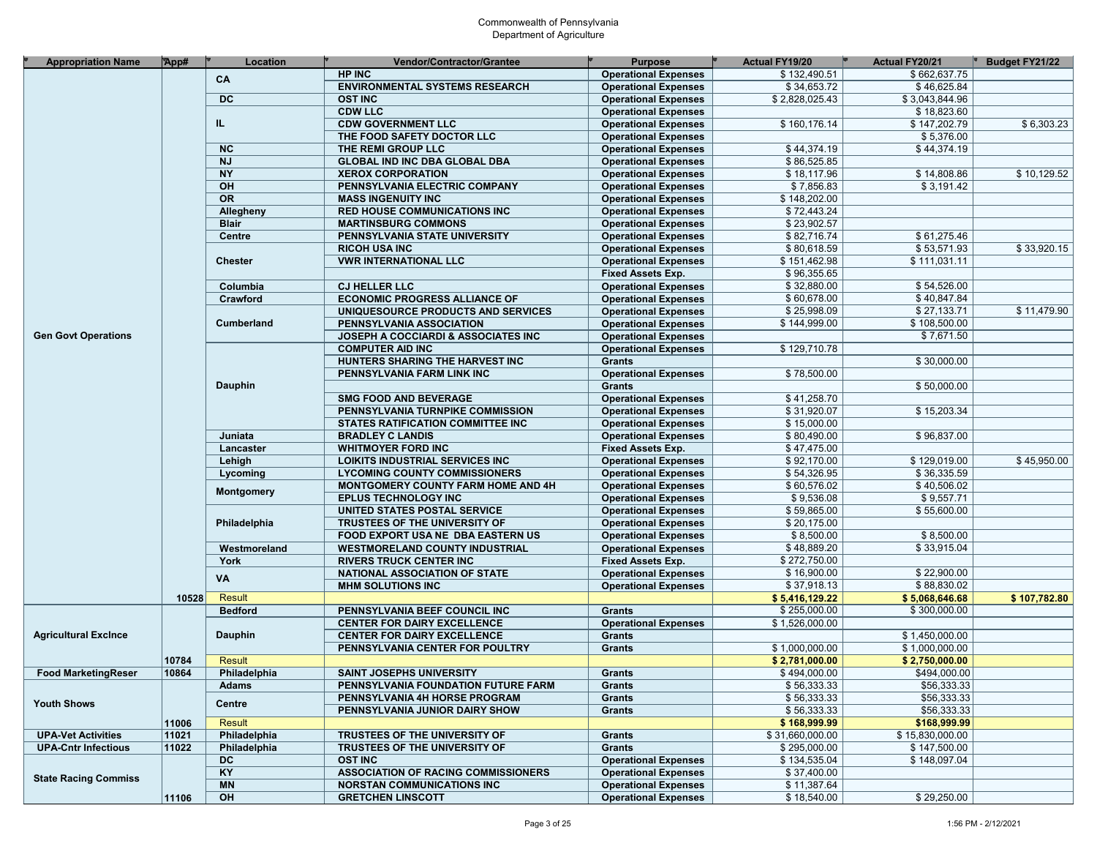| <b>Appropriation Name</b>   | App#  | Location        | <b>Vendor/Contractor/Grantee</b>          | <b>Purpose</b>              | <b>Actual FY19/20</b> | <b>Actual FY20/21</b> | <b>Budget FY21/22</b> |
|-----------------------------|-------|-----------------|-------------------------------------------|-----------------------------|-----------------------|-----------------------|-----------------------|
|                             |       | CA              | <b>HP INC</b>                             | <b>Operational Expenses</b> | \$132,490.51          | \$662,637.75          |                       |
|                             |       |                 | <b>ENVIRONMENTAL SYSTEMS RESEARCH</b>     | <b>Operational Expenses</b> | \$34,653.72           | \$46,625.84           |                       |
|                             |       | <b>DC</b>       | <b>OST INC</b>                            | <b>Operational Expenses</b> | \$2,828,025.43        | \$3,043,844.96        |                       |
|                             |       |                 | <b>CDW LLC</b>                            | <b>Operational Expenses</b> |                       | \$18,823.60           |                       |
|                             |       | IL.             | <b>CDW GOVERNMENT LLC</b>                 | <b>Operational Expenses</b> | \$160,176.14          | \$147,202.79          | \$6,303.23            |
|                             |       |                 | THE FOOD SAFETY DOCTOR LLC                | <b>Operational Expenses</b> |                       | \$5,376.00            |                       |
|                             |       | <b>NC</b>       | THE REMI GROUP LLC                        | <b>Operational Expenses</b> | \$44,374.19           | \$44,374.19           |                       |
|                             |       | <b>NJ</b>       | <b>GLOBAL IND INC DBA GLOBAL DBA</b>      | <b>Operational Expenses</b> | \$86,525.85           |                       |                       |
|                             |       | <b>NY</b>       | <b>XEROX CORPORATION</b>                  | <b>Operational Expenses</b> | \$18,117.96           | \$14,808.86           | \$10,129.52           |
|                             |       | $\overline{OH}$ | PENNSYLVANIA ELECTRIC COMPANY             | <b>Operational Expenses</b> | \$7,856.83            | \$3,191.42            |                       |
|                             |       | OR              | <b>MASS INGENUITY INC</b>                 | <b>Operational Expenses</b> | \$148,202.00          |                       |                       |
|                             |       | Allegheny       | <b>RED HOUSE COMMUNICATIONS INC</b>       | <b>Operational Expenses</b> | \$72,443.24           |                       |                       |
|                             |       | <b>Blair</b>    | <b>MARTINSBURG COMMONS</b>                | <b>Operational Expenses</b> | \$23,902.57           |                       |                       |
|                             |       | Centre          | PENNSYLVANIA STATE UNIVERSITY             | <b>Operational Expenses</b> | \$82,716.74           | \$61,275.46           |                       |
|                             |       |                 | <b>RICOH USA INC</b>                      | <b>Operational Expenses</b> | \$80,618.59           | \$53,571.93           | \$33,920.15           |
|                             |       | <b>Chester</b>  | <b>VWR INTERNATIONAL LLC</b>              | <b>Operational Expenses</b> | \$151,462.98          | \$111,031.11          |                       |
|                             |       |                 |                                           | <b>Fixed Assets Exp.</b>    | \$96,355.65           |                       |                       |
|                             |       | Columbia        | <b>CJ HELLER LLC</b>                      |                             | \$32,880.00           | \$54,526.00           |                       |
|                             |       |                 |                                           | <b>Operational Expenses</b> |                       |                       |                       |
|                             |       | Crawford        | <b>ECONOMIC PROGRESS ALLIANCE OF</b>      | <b>Operational Expenses</b> | \$60,678.00           | \$40,847.84           |                       |
|                             |       |                 | UNIQUESOURCE PRODUCTS AND SERVICES        | <b>Operational Expenses</b> | \$25,998.09           | \$27,133.71           | \$11,479.90           |
|                             |       | Cumberland      | PENNSYLVANIA ASSOCIATION                  | <b>Operational Expenses</b> | \$144,999.00          | \$108,500.00          |                       |
| <b>Gen Govt Operations</b>  |       |                 | JOSEPH A COCCIARDI & ASSOCIATES INC       | <b>Operational Expenses</b> |                       | \$7,671.50            |                       |
|                             |       |                 | <b>COMPUTER AID INC</b>                   | <b>Operational Expenses</b> | \$129,710.78          |                       |                       |
|                             |       |                 | HUNTERS SHARING THE HARVEST INC           | <b>Grants</b>               |                       | \$30,000.00           |                       |
|                             |       |                 | PENNSYLVANIA FARM LINK INC                | <b>Operational Expenses</b> | \$78,500.00           |                       |                       |
|                             |       | <b>Dauphin</b>  |                                           | Grants                      |                       | \$50,000.00           |                       |
|                             |       |                 | <b>SMG FOOD AND BEVERAGE</b>              | <b>Operational Expenses</b> | \$41,258.70           |                       |                       |
|                             |       |                 | PENNSYLVANIA TURNPIKE COMMISSION          | <b>Operational Expenses</b> | \$31,920.07           | \$15,203.34           |                       |
|                             |       |                 | STATES RATIFICATION COMMITTEE INC         | <b>Operational Expenses</b> | \$15,000.00           |                       |                       |
|                             |       | Juniata         | <b>BRADLEY C LANDIS</b>                   | <b>Operational Expenses</b> | \$80,490.00           | \$96,837.00           |                       |
|                             |       | Lancaster       | <b>WHITMOYER FORD INC</b>                 | <b>Fixed Assets Exp.</b>    | \$47,475.00           |                       |                       |
|                             |       | Lehigh          | <b>LOIKITS INDUSTRIAL SERVICES INC</b>    | <b>Operational Expenses</b> | \$92,170.00           | \$129,019.00          | \$45,950.00           |
|                             |       | Lycoming        | <b>LYCOMING COUNTY COMMISSIONERS</b>      | <b>Operational Expenses</b> | \$54,326.95           | \$36,335.59           |                       |
|                             |       | Montgomery      | <b>MONTGOMERY COUNTY FARM HOME AND 4H</b> | <b>Operational Expenses</b> | \$60,576.02           | \$40,506.02           |                       |
|                             |       |                 | <b>EPLUS TECHNOLOGY INC</b>               | <b>Operational Expenses</b> | \$9,536.08            | \$9,557.71            |                       |
|                             |       |                 | UNITED STATES POSTAL SERVICE              | <b>Operational Expenses</b> | \$59,865.00           | \$55,600.00           |                       |
|                             |       | Philadelphia    | TRUSTEES OF THE UNIVERSITY OF             | <b>Operational Expenses</b> | \$20,175.00           |                       |                       |
|                             |       |                 | <b>FOOD EXPORT USA NE DBA EASTERN US</b>  | <b>Operational Expenses</b> | \$8,500.00            | \$8,500.00            |                       |
|                             |       | Westmoreland    | <b>WESTMORELAND COUNTY INDUSTRIAL</b>     | <b>Operational Expenses</b> | \$48,889.20           | \$33,915.04           |                       |
|                             |       | York            | <b>RIVERS TRUCK CENTER INC</b>            | Fixed Assets Exp.           | \$272,750.00          |                       |                       |
|                             |       |                 | NATIONAL ASSOCIATION OF STATE             | <b>Operational Expenses</b> | \$16,900.00           | \$22,900.00           |                       |
|                             |       | VA              | <b>MHM SOLUTIONS INC</b>                  | <b>Operational Expenses</b> | \$37,918.13           | \$88,830.02           |                       |
|                             | 10528 | Result          |                                           |                             | \$5,416,129.22        | \$5,068,646.68        | \$107,782.80          |
|                             |       | <b>Bedford</b>  | PENNSYLVANIA BEEF COUNCIL INC             | <b>Grants</b>               | \$255,000.00          | \$300,000.00          |                       |
|                             |       |                 | <b>CENTER FOR DAIRY EXCELLENCE</b>        | <b>Operational Expenses</b> | \$1,526,000.00        |                       |                       |
| <b>Agricultural Excince</b> |       | <b>Dauphin</b>  | <b>CENTER FOR DAIRY EXCELLENCE</b>        | Grants                      |                       | \$1,450,000.00        |                       |
|                             |       |                 | PENNSYLVANIA CENTER FOR POULTRY           | Grants                      | \$1,000,000.00        | \$1,000,000.00        |                       |
|                             | 10784 | Result          |                                           |                             | \$2,781,000.00        | \$2,750,000.00        |                       |
| <b>Food MarketingReser</b>  | 10864 | Philadelphia    | <b>SAINT JOSEPHS UNIVERSITY</b>           | Grants                      | \$494,000.00          | \$494,000.00          |                       |
|                             |       | <b>Adams</b>    | PENNSYLVANIA FOUNDATION FUTURE FARM       | Grants                      | \$56,333.33           | \$56,333.33           |                       |
|                             |       |                 | PENNSYLVANIA 4H HORSE PROGRAM             | Grants                      | \$56,333.33           | \$56,333.33           |                       |
| <b>Youth Shows</b>          |       | <b>Centre</b>   | PENNSYLVANIA JUNIOR DAIRY SHOW            | Grants                      | \$56,333.33           | \$56,333.33           |                       |
|                             | 11006 | Result          |                                           |                             | \$168,999.99          | \$168,999.99          |                       |
|                             |       |                 | TRUSTEES OF THE UNIVERSITY OF             |                             | \$31,660,000.00       |                       |                       |
| <b>UPA-Vet Activities</b>   | 11021 | Philadelphia    |                                           | <b>Grants</b>               |                       | \$15,830,000.00       |                       |
| <b>UPA-Cntr Infectious</b>  | 11022 | Philadelphia    | TRUSTEES OF THE UNIVERSITY OF             | Grants                      | \$295,000.00          | \$147,500.00          |                       |
|                             |       | <b>DC</b>       | <b>OST INC</b>                            | <b>Operational Expenses</b> | \$134,535.04          | \$148,097.04          |                       |
| <b>State Racing Commiss</b> |       | KY              | ASSOCIATION OF RACING COMMISSIONERS       | <b>Operational Expenses</b> | \$37,400.00           |                       |                       |
|                             |       | <b>MN</b>       | <b>NORSTAN COMMUNICATIONS INC</b>         | <b>Operational Expenses</b> | \$11,387.64           |                       |                       |
|                             | 11106 | OH              | <b>GRETCHEN LINSCOTT</b>                  | <b>Operational Expenses</b> | \$18,540.00           | \$29,250.00           |                       |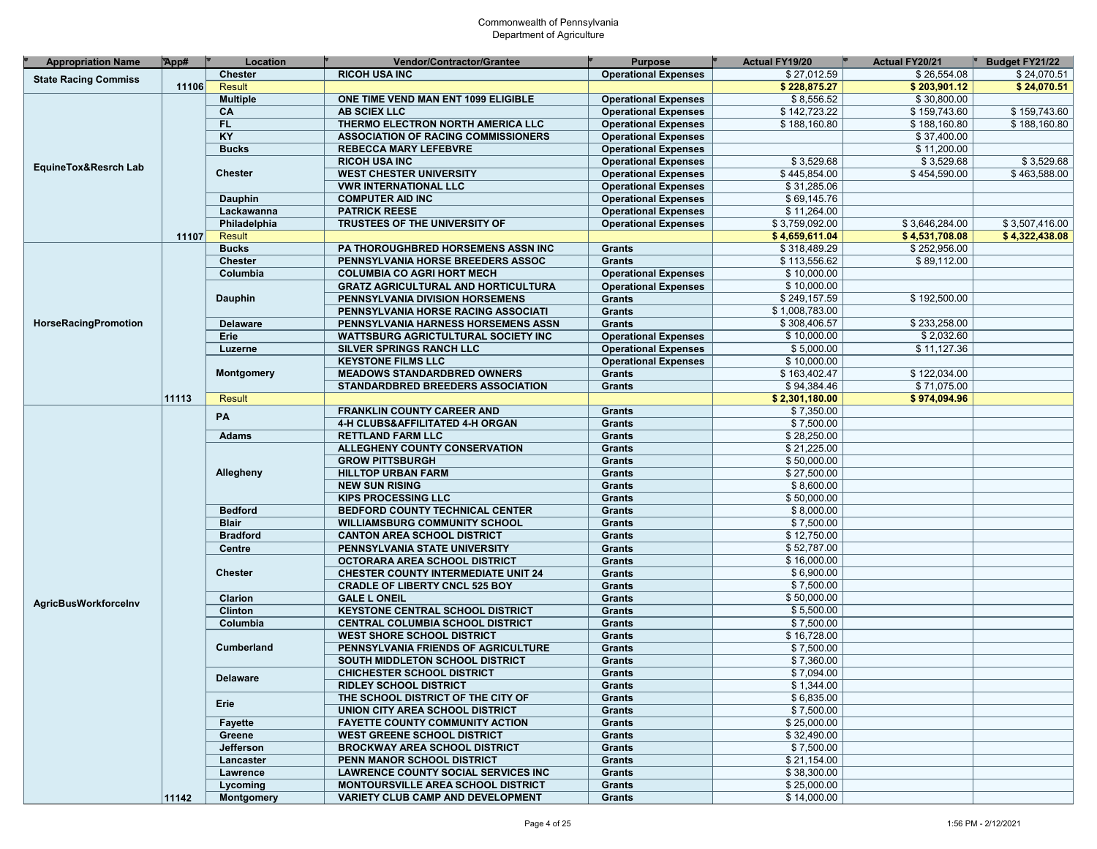| <b>Appropriation Name</b>                                                                                         | App#  | Location          | <b>Vendor/Contractor/Grantee</b>            | <b>Purpose</b>              | <b>Actual FY19/20</b> | <b>Actual FY20/21</b> | Budget FY21/22 |
|-------------------------------------------------------------------------------------------------------------------|-------|-------------------|---------------------------------------------|-----------------------------|-----------------------|-----------------------|----------------|
|                                                                                                                   |       | <b>Chester</b>    | <b>RICOH USA INC</b>                        | <b>Operational Expenses</b> | \$27,012.59           | \$26,554.08           | \$24,070.51    |
|                                                                                                                   | 11106 | <b>Result</b>     |                                             |                             | \$228,875.27          | \$203,901.12          | \$24,070.51    |
|                                                                                                                   |       | <b>Multiple</b>   | ONE TIME VEND MAN ENT 1099 ELIGIBLE         | <b>Operational Expenses</b> | \$8,556.52            | \$30,800.00           |                |
|                                                                                                                   |       | CA                | <b>AB SCIEX LLC</b>                         | <b>Operational Expenses</b> | \$142,723.22          | \$159,743.60          | \$159,743.60   |
|                                                                                                                   |       | FL.               | THERMO ELECTRON NORTH AMERICA LLC           | <b>Operational Expenses</b> | \$188,160.80          | \$188,160.80          | \$188,160.80   |
|                                                                                                                   |       | KY                | <b>ASSOCIATION OF RACING COMMISSIONERS</b>  | <b>Operational Expenses</b> |                       | \$37,400.00           |                |
| <b>State Racing Commiss</b><br>EquineTox&Resrch Lab<br><b>HorseRacingPromotion</b><br><b>AgricBusWorkforceInv</b> |       | <b>Bucks</b>      | <b>REBECCA MARY LEFEBVRE</b>                | <b>Operational Expenses</b> |                       | \$11,200.00           |                |
|                                                                                                                   |       |                   | <b>RICOH USA INC</b>                        | <b>Operational Expenses</b> | \$3,529.68            | \$3,529.68            | \$3,529.68     |
|                                                                                                                   |       | <b>Chester</b>    | <b>WEST CHESTER UNIVERSITY</b>              | <b>Operational Expenses</b> | \$445,854.00          | \$454,590.00          | \$463,588.00   |
|                                                                                                                   |       |                   | <b>VWR INTERNATIONAL LLC</b>                | <b>Operational Expenses</b> | \$31,285.06           |                       |                |
|                                                                                                                   |       | <b>Dauphin</b>    | <b>COMPUTER AID INC</b>                     | <b>Operational Expenses</b> | \$69,145.76           |                       |                |
|                                                                                                                   |       | Lackawanna        | <b>PATRICK REESE</b>                        | <b>Operational Expenses</b> | \$11,264.00           |                       |                |
|                                                                                                                   |       | Philadelphia      | TRUSTEES OF THE UNIVERSITY OF               | <b>Operational Expenses</b> | \$3,759,092.00        | \$3,646,284.00        | \$3,507,416.00 |
|                                                                                                                   | 11107 | Result            |                                             |                             | \$4,659,611.04        | \$4,531,708.08        | \$4,322,438.08 |
|                                                                                                                   |       | <b>Bucks</b>      | PA THOROUGHBRED HORSEMENS ASSN INC          | <b>Grants</b>               | \$318,489.29          | \$252,956.00          |                |
|                                                                                                                   |       | <b>Chester</b>    | PENNSYLVANIA HORSE BREEDERS ASSOC           | Grants                      | \$113,556.62          | \$89,112.00           |                |
|                                                                                                                   |       | Columbia          | <b>COLUMBIA CO AGRI HORT MECH</b>           | <b>Operational Expenses</b> | \$10,000.00           |                       |                |
|                                                                                                                   |       |                   | <b>GRATZ AGRICULTURAL AND HORTICULTURA</b>  | <b>Operational Expenses</b> | \$10,000.00           |                       |                |
|                                                                                                                   |       | <b>Dauphin</b>    | PENNSYLVANIA DIVISION HORSEMENS             | Grants                      | \$249,157.59          | \$192,500.00          |                |
|                                                                                                                   |       |                   |                                             | Grants                      | \$1,008,783.00        |                       |                |
|                                                                                                                   |       |                   | PENNSYLVANIA HORSE RACING ASSOCIATI         |                             | \$308,406.57          | \$233,258.00          |                |
|                                                                                                                   |       | <b>Delaware</b>   | PENNSYLVANIA HARNESS HORSEMENS ASSN         | Grants                      |                       |                       |                |
|                                                                                                                   |       | Erie              | <b>WATTSBURG AGRICTULTURAL SOCIETY INC.</b> | <b>Operational Expenses</b> | \$10,000.00           | \$2,032.60            |                |
|                                                                                                                   |       | Luzerne           | SILVER SPRINGS RANCH LLC                    | <b>Operational Expenses</b> | \$5,000.00            | \$11,127.36           |                |
|                                                                                                                   |       |                   | <b>KEYSTONE FILMS LLC</b>                   | <b>Operational Expenses</b> | \$10,000.00           |                       |                |
|                                                                                                                   |       | <b>Montgomery</b> | <b>MEADOWS STANDARDBRED OWNERS</b>          | Grants                      | \$163,402.47          | \$122,034.00          |                |
|                                                                                                                   |       |                   | STANDARDBRED BREEDERS ASSOCIATION           | <b>Grants</b>               | \$94,384.46           | \$71,075.00           |                |
|                                                                                                                   | 11113 | <b>Result</b>     |                                             |                             | \$2,301,180.00        | \$974,094.96          |                |
|                                                                                                                   |       | PA                | <b>FRANKLIN COUNTY CAREER AND</b>           | <b>Grants</b>               | \$7,350.00            |                       |                |
|                                                                                                                   |       |                   | 4-H CLUBS&AFFILITATED 4-H ORGAN             | <b>Grants</b>               | \$7,500.00            |                       |                |
|                                                                                                                   |       | <b>Adams</b>      | <b>RETTLAND FARM LLC</b>                    | <b>Grants</b>               | \$28,250.00           |                       |                |
|                                                                                                                   |       |                   | ALLEGHENY COUNTY CONSERVATION               | <b>Grants</b>               | \$21,225.00           |                       |                |
|                                                                                                                   |       |                   | <b>GROW PITTSBURGH</b>                      | Grants                      | \$50,000.00           |                       |                |
|                                                                                                                   |       | Allegheny         | <b>HILLTOP URBAN FARM</b>                   | <b>Grants</b>               | \$27,500.00           |                       |                |
|                                                                                                                   |       |                   | <b>NEW SUN RISING</b>                       | <b>Grants</b>               | \$8,600.00            |                       |                |
|                                                                                                                   |       |                   | <b>KIPS PROCESSING LLC</b>                  | <b>Grants</b>               | \$50,000.00           |                       |                |
|                                                                                                                   |       | <b>Bedford</b>    | <b>BEDFORD COUNTY TECHNICAL CENTER</b>      | <b>Grants</b>               | \$8,000.00            |                       |                |
|                                                                                                                   |       | <b>Blair</b>      | <b>WILLIAMSBURG COMMUNITY SCHOOL</b>        | <b>Grants</b>               | \$7,500.00            |                       |                |
|                                                                                                                   |       | <b>Bradford</b>   | <b>CANTON AREA SCHOOL DISTRICT</b>          | <b>Grants</b>               | \$12,750.00           |                       |                |
|                                                                                                                   |       | <b>Centre</b>     | PENNSYLVANIA STATE UNIVERSITY               | <b>Grants</b>               | \$52,787.00           |                       |                |
|                                                                                                                   |       |                   | OCTORARA AREA SCHOOL DISTRICT               | <b>Grants</b>               | \$16,000.00           |                       |                |
|                                                                                                                   |       | <b>Chester</b>    | <b>CHESTER COUNTY INTERMEDIATE UNIT 24</b>  | <b>Grants</b>               | \$6,900.00            |                       |                |
|                                                                                                                   |       |                   | <b>CRADLE OF LIBERTY CNCL 525 BOY</b>       | <b>Grants</b>               | \$7,500.00            |                       |                |
|                                                                                                                   |       | Clarion           | <b>GALE L ONEIL</b>                         | <b>Grants</b>               | \$50,000.00           |                       |                |
|                                                                                                                   |       | <b>Clinton</b>    | <b>KEYSTONE CENTRAL SCHOOL DISTRICT</b>     | <b>Grants</b>               | \$5.500.00            |                       |                |
|                                                                                                                   |       | Columbia          | CENTRAL COLUMBIA SCHOOL DISTRICT            | <b>Grants</b>               | \$7,500.00            |                       |                |
|                                                                                                                   |       |                   | <b>WEST SHORE SCHOOL DISTRICT</b>           | <b>Grants</b>               | \$16,728.00           |                       |                |
|                                                                                                                   |       | Cumberland        | PENNSYLVANIA FRIENDS OF AGRICULTURE         | <b>Grants</b>               | \$7,500.00            |                       |                |
|                                                                                                                   |       |                   | SOUTH MIDDLETON SCHOOL DISTRICT             | <b>Grants</b>               | \$7,360.00            |                       |                |
|                                                                                                                   |       |                   | <b>CHICHESTER SCHOOL DISTRICT</b>           | <b>Grants</b>               | \$7,094.00            |                       |                |
|                                                                                                                   |       | <b>Delaware</b>   | <b>RIDLEY SCHOOL DISTRICT</b>               | Grants                      | \$1,344.00            |                       |                |
|                                                                                                                   |       |                   | THE SCHOOL DISTRICT OF THE CITY OF          | <b>Grants</b>               | \$6,835.00            |                       |                |
|                                                                                                                   |       | Erie              | UNION CITY AREA SCHOOL DISTRICT             | Grants                      | \$7,500.00            |                       |                |
|                                                                                                                   |       | <b>Fayette</b>    | <b>FAYETTE COUNTY COMMUNITY ACTION</b>      | Grants                      | \$25,000.00           |                       |                |
|                                                                                                                   |       | Greene            | <b>WEST GREENE SCHOOL DISTRICT</b>          | Grants                      | \$32,490.00           |                       |                |
|                                                                                                                   |       | Jefferson         | <b>BROCKWAY AREA SCHOOL DISTRICT</b>        | Grants                      | \$7,500.00            |                       |                |
|                                                                                                                   |       | Lancaster         | PENN MANOR SCHOOL DISTRICT                  | Grants                      | \$21,154.00           |                       |                |
|                                                                                                                   |       | Lawrence          | <b>LAWRENCE COUNTY SOCIAL SERVICES INC.</b> | Grants                      | \$38,300.00           |                       |                |
|                                                                                                                   |       | Lycoming          | <b>MONTOURSVILLE AREA SCHOOL DISTRICT</b>   | Grants                      | \$25.000.00           |                       |                |
|                                                                                                                   | 11142 | Montgomery        | <b>VARIETY CLUB CAMP AND DEVELOPMENT</b>    | Grants                      | \$14,000.00           |                       |                |
|                                                                                                                   |       |                   |                                             |                             |                       |                       |                |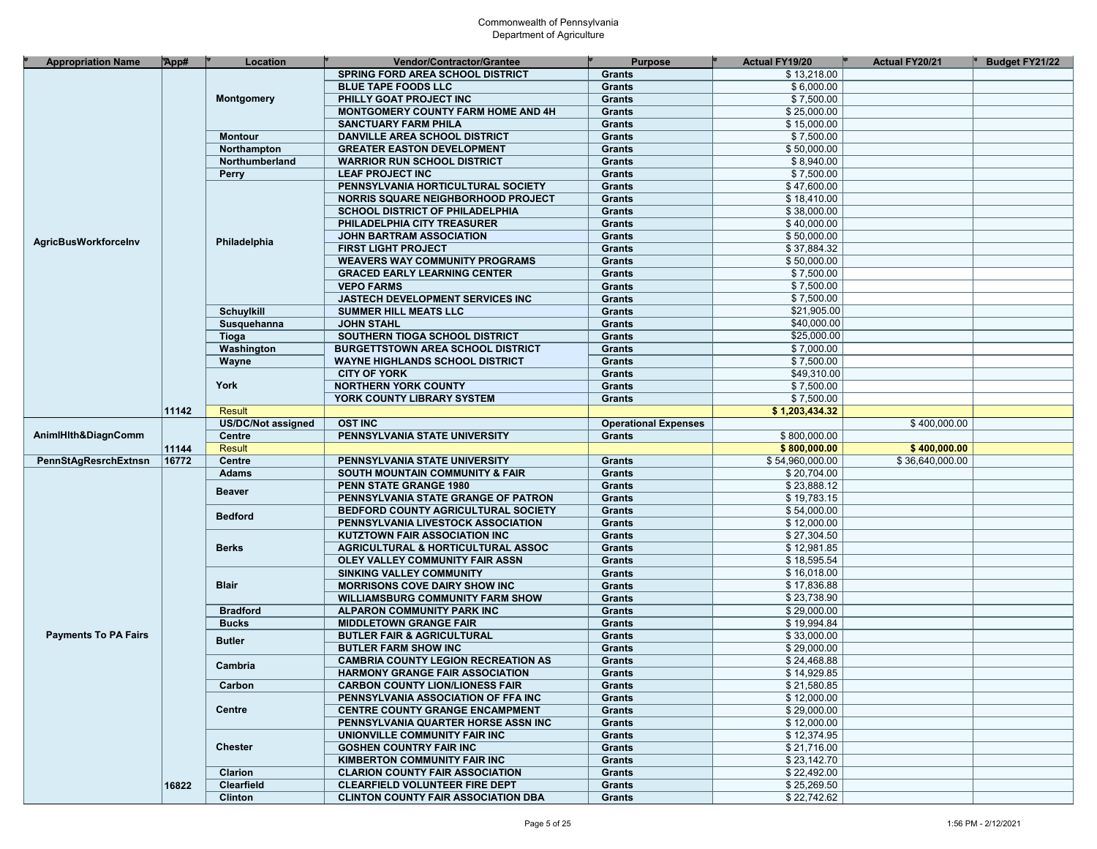| <b>Appropriation Name</b>   | App#  | Location           | Vendor/Contractor/Grantee                     | <b>Purpose</b>              | <b>Actual FY19/20</b> | <b>Actual FY20/21</b> | Budget FY21/22 |
|-----------------------------|-------|--------------------|-----------------------------------------------|-----------------------------|-----------------------|-----------------------|----------------|
|                             |       |                    | <b>SPRING FORD AREA SCHOOL DISTRICT</b>       | <b>Grants</b>               | \$13,218.00           |                       |                |
|                             |       |                    |                                               |                             |                       |                       |                |
|                             |       |                    | <b>BLUE TAPE FOODS LLC</b>                    | <b>Grants</b>               | \$6,000.00            |                       |                |
|                             |       | <b>Montgomery</b>  | PHILLY GOAT PROJECT INC                       | <b>Grants</b>               | \$7,500.00            |                       |                |
|                             |       |                    | <b>MONTGOMERY COUNTY FARM HOME AND 4H</b>     | <b>Grants</b>               | \$25,000.00           |                       |                |
|                             |       |                    | <b>SANCTUARY FARM PHILA</b>                   | <b>Grants</b>               | \$15,000.00           |                       |                |
|                             |       | <b>Montour</b>     | <b>DANVILLE AREA SCHOOL DISTRICT</b>          | <b>Grants</b>               | \$7.500.00            |                       |                |
|                             |       | Northampton        | <b>GREATER EASTON DEVELOPMENT</b>             | <b>Grants</b>               | \$50,000.00           |                       |                |
|                             |       | Northumberland     | <b>WARRIOR RUN SCHOOL DISTRICT</b>            | <b>Grants</b>               | \$8,940.00            |                       |                |
|                             |       | <b>Perry</b>       | <b>LEAF PROJECT INC</b>                       | <b>Grants</b>               | \$7,500.00            |                       |                |
|                             |       |                    | PENNSYLVANIA HORTICULTURAL SOCIETY            | <b>Grants</b>               | \$47,600.00           |                       |                |
|                             |       |                    | <b>NORRIS SQUARE NEIGHBORHOOD PROJECT</b>     | <b>Grants</b>               | \$18,410.00           |                       |                |
|                             |       |                    | <b>SCHOOL DISTRICT OF PHILADELPHIA</b>        | <b>Grants</b>               | \$38,000.00           |                       |                |
|                             |       |                    | PHILADELPHIA CITY TREASURER                   | <b>Grants</b>               | \$40,000.00           |                       |                |
|                             |       | Philadelphia       | JOHN BARTRAM ASSOCIATION                      | <b>Grants</b>               | \$50,000.00           |                       |                |
| <b>AgricBusWorkforceInv</b> |       |                    | <b>FIRST LIGHT PROJECT</b>                    | <b>Grants</b>               | \$37,884.32           |                       |                |
|                             |       |                    | <b>WEAVERS WAY COMMUNITY PROGRAMS</b>         | <b>Grants</b>               | \$50,000.00           |                       |                |
|                             |       |                    | <b>GRACED EARLY LEARNING CENTER</b>           | <b>Grants</b>               | \$7,500.00            |                       |                |
|                             |       |                    | <b>VEPO FARMS</b>                             | <b>Grants</b>               | \$7,500.00            |                       |                |
|                             |       |                    | JASTECH DEVELOPMENT SERVICES INC              |                             | \$7,500.00            |                       |                |
|                             |       |                    |                                               | <b>Grants</b>               |                       |                       |                |
|                             |       | <b>Schuylkill</b>  | <b>SUMMER HILL MEATS LLC</b>                  | <b>Grants</b>               | \$21,905.00           |                       |                |
|                             |       | Susquehanna        | <b>JOHN STAHL</b>                             | <b>Grants</b>               | \$40,000.00           |                       |                |
|                             |       | Tioga              | SOUTHERN TIOGA SCHOOL DISTRICT                | <b>Grants</b>               | \$25,000.00           |                       |                |
|                             |       | Washington         | <b>BURGETTSTOWN AREA SCHOOL DISTRICT</b>      | <b>Grants</b>               | \$7,000.00            |                       |                |
|                             |       | Wayne              | <b>WAYNE HIGHLANDS SCHOOL DISTRICT</b>        | <b>Grants</b>               | \$7,500.00            |                       |                |
|                             |       |                    | <b>CITY OF YORK</b>                           | <b>Grants</b>               | \$49,310.00           |                       |                |
|                             |       | York               | <b>NORTHERN YORK COUNTY</b>                   | <b>Grants</b>               | \$7,500.00            |                       |                |
|                             |       |                    | YORK COUNTY LIBRARY SYSTEM                    | <b>Grants</b>               | \$7,500.00            |                       |                |
|                             | 11142 | <b>Result</b>      |                                               |                             | \$1,203,434.32        |                       |                |
|                             |       | US/DC/Not assigned | <b>OST INC</b>                                | <b>Operational Expenses</b> |                       | \$400,000.00          |                |
| AnimIHIth&DiagnComm         |       | Centre             | PENNSYLVANIA STATE UNIVERSITY                 | <b>Grants</b>               | \$800,000.00          |                       |                |
|                             | 11144 | <b>Result</b>      |                                               |                             | \$800,000.00          | \$400,000.00          |                |
|                             | 16772 | <b>Centre</b>      | PENNSYLVANIA STATE UNIVERSITY                 | <b>Grants</b>               | \$54,960,000.00       | \$36,640,000.00       |                |
|                             |       | <b>Adams</b>       | <b>SOUTH MOUNTAIN COMMUNITY &amp; FAIR</b>    | <b>Grants</b>               | \$20,704.00           |                       |                |
|                             |       |                    | PENN STATE GRANGE 1980                        | <b>Grants</b>               | \$23,888.12           |                       |                |
|                             |       | <b>Beaver</b>      | PENNSYLVANIA STATE GRANGE OF PATRON           | <b>Grants</b>               | \$19,783.15           |                       |                |
|                             |       |                    | BEDFORD COUNTY AGRICULTURAL SOCIETY           | <b>Grants</b>               | \$54,000.00           |                       |                |
| PennStAgResrchExtnsn        |       | <b>Bedford</b>     | PENNSYLVANIA LIVESTOCK ASSOCIATION            | <b>Grants</b>               | \$12,000.00           |                       |                |
|                             |       |                    | <b>KUTZTOWN FAIR ASSOCIATION INC</b>          | <b>Grants</b>               | \$27,304.50           |                       |                |
|                             |       | <b>Berks</b>       | <b>AGRICULTURAL &amp; HORTICULTURAL ASSOC</b> | <b>Grants</b>               | \$12,981.85           |                       |                |
|                             |       |                    | OLEY VALLEY COMMUNITY FAIR ASSN               | <b>Grants</b>               | \$18,595.54           |                       |                |
|                             |       |                    |                                               |                             | \$16,018.00           |                       |                |
|                             |       | <b>Blair</b>       | <b>SINKING VALLEY COMMUNITY</b>               | <b>Grants</b>               |                       |                       |                |
|                             |       |                    | <b>MORRISONS COVE DAIRY SHOW INC</b>          | <b>Grants</b>               | \$17,836.88           |                       |                |
|                             |       |                    | <b>WILLIAMSBURG COMMUNITY FARM SHOW</b>       | <b>Grants</b>               | \$23,738.90           |                       |                |
|                             |       | <b>Bradford</b>    | <b>ALPARON COMMUNITY PARK INC</b>             | <b>Grants</b>               | \$29,000.00           |                       |                |
|                             |       | <b>Bucks</b>       | <b>MIDDLETOWN GRANGE FAIR</b>                 | <b>Grants</b>               | \$19,994.84           |                       |                |
| <b>Payments To PA Fairs</b> |       | <b>Butler</b>      | <b>BUTLER FAIR &amp; AGRICULTURAL</b>         | <b>Grants</b>               | \$33,000.00           |                       |                |
|                             |       |                    | <b>BUTLER FARM SHOW INC</b>                   | <b>Grants</b>               | \$29,000.00           |                       |                |
|                             |       | Cambria            | <b>CAMBRIA COUNTY LEGION RECREATION AS</b>    | <b>Grants</b>               | \$24,468.88           |                       |                |
|                             |       |                    | HARMONY GRANGE FAIR ASSOCIATION               | Grants                      | \$14,929.85           |                       |                |
|                             |       | Carbon             | <b>CARBON COUNTY LION/LIONESS FAIR</b>        | <b>Grants</b>               | \$21,580.85           |                       |                |
|                             |       |                    | PENNSYLVANIA ASSOCIATION OF FFA INC           | <b>Grants</b>               | \$12,000.00           |                       |                |
|                             |       | Centre             | <b>CENTRE COUNTY GRANGE ENCAMPMENT</b>        | <b>Grants</b>               | \$29,000.00           |                       |                |
|                             |       |                    | PENNSYLVANIA QUARTER HORSE ASSN INC           | <b>Grants</b>               | \$12,000.00           |                       |                |
|                             |       |                    | UNIONVILLE COMMUNITY FAIR INC                 | <b>Grants</b>               | \$12,374.95           |                       |                |
|                             |       | <b>Chester</b>     | <b>GOSHEN COUNTRY FAIR INC</b>                | <b>Grants</b>               | \$21,716.00           |                       |                |
|                             |       |                    | <b>KIMBERTON COMMUNITY FAIR INC</b>           | <b>Grants</b>               | \$23,142.70           |                       |                |
|                             |       | Clarion            | <b>CLARION COUNTY FAIR ASSOCIATION</b>        | <b>Grants</b>               | \$22,492.00           |                       |                |
|                             | 16822 | Clearfield         | <b>CLEARFIELD VOLUNTEER FIRE DEPT</b>         | <b>Grants</b>               | \$25,269.50           |                       |                |
|                             |       | <b>Clinton</b>     | <b>CLINTON COUNTY FAIR ASSOCIATION DBA</b>    | <b>Grants</b>               | \$22,742.62           |                       |                |
|                             |       |                    |                                               |                             |                       |                       |                |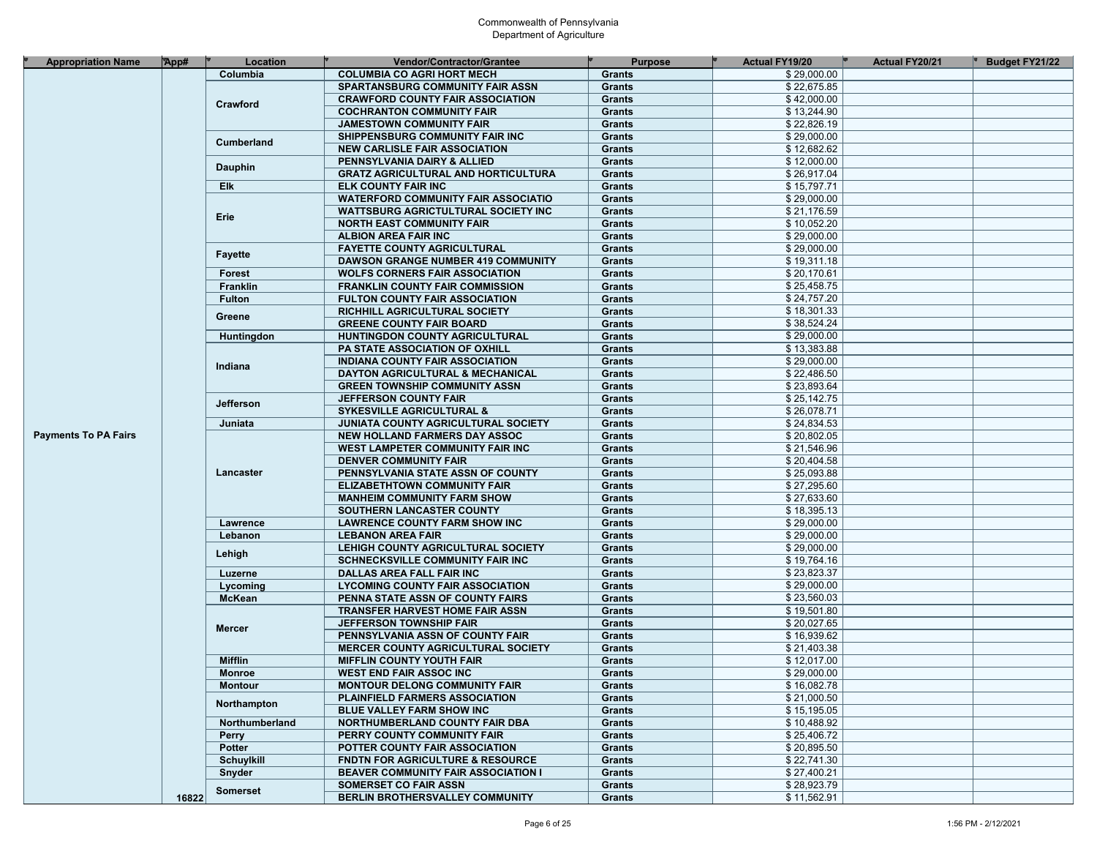| <b>Appropriation Name</b>   | App#  | Location          | <b>Vendor/Contractor/Grantee</b>            | <b>Purpose</b> | <b>Actual FY19/20</b> | <b>Actual FY20/21</b> | <b>Budget FY21/22</b> |
|-----------------------------|-------|-------------------|---------------------------------------------|----------------|-----------------------|-----------------------|-----------------------|
|                             |       | Columbia          | <b>COLUMBIA CO AGRI HORT MECH</b>           | <b>Grants</b>  | \$29,000.00           |                       |                       |
|                             |       |                   | <b>SPARTANSBURG COMMUNITY FAIR ASSN</b>     | <b>Grants</b>  | \$22,675.85           |                       |                       |
|                             |       | Crawford          | <b>CRAWFORD COUNTY FAIR ASSOCIATION</b>     | <b>Grants</b>  | \$42,000.00           |                       |                       |
|                             |       |                   | <b>COCHRANTON COMMUNITY FAIR</b>            | <b>Grants</b>  | \$13,244.90           |                       |                       |
|                             |       |                   | <b>JAMESTOWN COMMUNITY FAIR</b>             | <b>Grants</b>  | \$22,826.19           |                       |                       |
|                             |       |                   | SHIPPENSBURG COMMUNITY FAIR INC             | <b>Grants</b>  | \$29,000.00           |                       |                       |
|                             |       | Cumberland        | <b>NEW CARLISLE FAIR ASSOCIATION</b>        | <b>Grants</b>  | \$12,682.62           |                       |                       |
|                             |       |                   | PENNSYLVANIA DAIRY & ALLIED                 | <b>Grants</b>  | \$12,000.00           |                       |                       |
|                             |       | <b>Dauphin</b>    | <b>GRATZ AGRICULTURAL AND HORTICULTURA</b>  | <b>Grants</b>  | \$26,917.04           |                       |                       |
|                             |       | Elk               | <b>ELK COUNTY FAIR INC</b>                  | <b>Grants</b>  | \$15,797.71           |                       |                       |
|                             |       |                   | <b>WATERFORD COMMUNITY FAIR ASSOCIATIO</b>  | <b>Grants</b>  | \$29,000.00           |                       |                       |
|                             |       |                   | <b>WATTSBURG AGRICTULTURAL SOCIETY INC</b>  | <b>Grants</b>  | \$21,176.59           |                       |                       |
|                             |       | Erie              | <b>NORTH EAST COMMUNITY FAIR</b>            | <b>Grants</b>  | \$10,052.20           |                       |                       |
|                             |       |                   | <b>ALBION AREA FAIR INC</b>                 | <b>Grants</b>  | \$29,000.00           |                       |                       |
|                             |       |                   | <b>FAYETTE COUNTY AGRICULTURAL</b>          | <b>Grants</b>  | \$29,000.00           |                       |                       |
|                             |       | <b>Fayette</b>    | <b>DAWSON GRANGE NUMBER 419 COMMUNITY</b>   | <b>Grants</b>  | \$19,311.18           |                       |                       |
|                             |       | Forest            | <b>WOLFS CORNERS FAIR ASSOCIATION</b>       | <b>Grants</b>  | \$20,170.61           |                       |                       |
|                             |       | Franklin          | <b>FRANKLIN COUNTY FAIR COMMISSION</b>      | <b>Grants</b>  | \$25,458.75           |                       |                       |
|                             |       | <b>Fulton</b>     | <b>FULTON COUNTY FAIR ASSOCIATION</b>       | <b>Grants</b>  | \$24,757.20           |                       |                       |
|                             |       |                   | RICHHILL AGRICULTURAL SOCIETY               | <b>Grants</b>  | \$18,301.33           |                       |                       |
|                             |       | Greene            | <b>GREENE COUNTY FAIR BOARD</b>             | <b>Grants</b>  | \$38,524.24           |                       |                       |
|                             |       |                   |                                             | <b>Grants</b>  | \$29,000.00           |                       |                       |
|                             |       | Huntingdon        | HUNTINGDON COUNTY AGRICULTURAL              | <b>Grants</b>  | \$13,383.88           |                       |                       |
|                             |       |                   | <b>PA STATE ASSOCIATION OF OXHILL</b>       |                | \$29,000.00           |                       |                       |
|                             |       | Indiana           | <b>INDIANA COUNTY FAIR ASSOCIATION</b>      | <b>Grants</b>  | \$22,486.50           |                       |                       |
|                             |       |                   | DAYTON AGRICULTURAL & MECHANICAL            | <b>Grants</b>  |                       |                       |                       |
|                             |       |                   | <b>GREEN TOWNSHIP COMMUNITY ASSN</b>        | <b>Grants</b>  | \$23,893.64           |                       |                       |
|                             |       | <b>Jefferson</b>  | <b>JEFFERSON COUNTY FAIR</b>                | <b>Grants</b>  | \$25,142.75           |                       |                       |
|                             |       |                   | <b>SYKESVILLE AGRICULTURAL &amp;</b>        | <b>Grants</b>  | \$26.078.71           |                       |                       |
|                             |       | Juniata           | <b>JUNIATA COUNTY AGRICULTURAL SOCIETY</b>  | <b>Grants</b>  | \$24,834.53           |                       |                       |
| <b>Payments To PA Fairs</b> |       |                   | NEW HOLLAND FARMERS DAY ASSOC               | <b>Grants</b>  | \$20,802.05           |                       |                       |
|                             |       |                   | WEST LAMPETER COMMUNITY FAIR INC            | <b>Grants</b>  | \$21,546.96           |                       |                       |
|                             |       |                   | <b>DENVER COMMUNITY FAIR</b>                | <b>Grants</b>  | \$20,404.58           |                       |                       |
|                             |       | Lancaster         | PENNSYLVANIA STATE ASSN OF COUNTY           | <b>Grants</b>  | \$25,093.88           |                       |                       |
|                             |       |                   | <b>ELIZABETHTOWN COMMUNITY FAIR</b>         | <b>Grants</b>  | \$27,295.60           |                       |                       |
|                             |       |                   | <b>MANHEIM COMMUNITY FARM SHOW</b>          | <b>Grants</b>  | \$27,633.60           |                       |                       |
|                             |       |                   | SOUTHERN LANCASTER COUNTY                   | <b>Grants</b>  | \$18,395.13           |                       |                       |
|                             |       | Lawrence          | <b>LAWRENCE COUNTY FARM SHOW INC</b>        | <b>Grants</b>  | \$29,000.00           |                       |                       |
|                             |       | Lebanon           | <b>LEBANON AREA FAIR</b>                    | <b>Grants</b>  | \$29,000.00           |                       |                       |
|                             |       | Lehigh            | LEHIGH COUNTY AGRICULTURAL SOCIETY          | <b>Grants</b>  | \$29,000.00           |                       |                       |
|                             |       |                   | <b>SCHNECKSVILLE COMMUNITY FAIR INC</b>     | <b>Grants</b>  | \$19,764.16           |                       |                       |
|                             |       | Luzerne           | DALLAS AREA FALL FAIR INC                   | <b>Grants</b>  | \$23,823.37           |                       |                       |
|                             |       | Lycoming          | <b>LYCOMING COUNTY FAIR ASSOCIATION</b>     | <b>Grants</b>  | \$29,000.00           |                       |                       |
|                             |       | <b>McKean</b>     | PENNA STATE ASSN OF COUNTY FAIRS            | <b>Grants</b>  | \$23,560.03           |                       |                       |
|                             |       |                   | <b>TRANSFER HARVEST HOME FAIR ASSN</b>      | <b>Grants</b>  | \$19,501.80           |                       |                       |
|                             |       | <b>Mercer</b>     | <b>JEFFERSON TOWNSHIP FAIR</b>              | <b>Grants</b>  | \$20,027.65           |                       |                       |
|                             |       |                   | PENNSYLVANIA ASSN OF COUNTY FAIR            | <b>Grants</b>  | \$16,939.62           |                       |                       |
|                             |       |                   | <b>MERCER COUNTY AGRICULTURAL SOCIETY</b>   | <b>Grants</b>  | \$21,403.38           |                       |                       |
|                             |       | <b>Mifflin</b>    | <b>MIFFLIN COUNTY YOUTH FAIR</b>            | <b>Grants</b>  | \$12,017.00           |                       |                       |
|                             |       | <b>Monroe</b>     | <b>WEST END FAIR ASSOC INC</b>              | <b>Grants</b>  | \$29,000.00           |                       |                       |
|                             |       | <b>Montour</b>    | <b>MONTOUR DELONG COMMUNITY FAIR</b>        | Grants         | \$16,082.78           |                       |                       |
|                             |       | Northampton       | <b>PLAINFIELD FARMERS ASSOCIATION</b>       | Grants         | \$21,000.50           |                       |                       |
|                             |       |                   | BLUE VALLEY FARM SHOW INC                   | <b>Grants</b>  | \$15,195.05           |                       |                       |
|                             |       | Northumberland    | NORTHUMBERLAND COUNTY FAIR DBA              | <b>Grants</b>  | \$10,488.92           |                       |                       |
|                             |       | <b>Perry</b>      | PERRY COUNTY COMMUNITY FAIR                 | <b>Grants</b>  | \$25,406.72           |                       |                       |
|                             |       | <b>Potter</b>     | POTTER COUNTY FAIR ASSOCIATION              | <b>Grants</b>  | \$20,895.50           |                       |                       |
|                             |       | <b>Schuylkill</b> | <b>FNDTN FOR AGRICULTURE &amp; RESOURCE</b> | <b>Grants</b>  | \$22,741.30           |                       |                       |
|                             |       | Snyder            | <b>BEAVER COMMUNITY FAIR ASSOCIATION I</b>  | Grants         | \$27,400.21           |                       |                       |
|                             |       | Somerset          | <b>SOMERSET CO FAIR ASSN</b>                | <b>Grants</b>  | \$28,923.79           |                       |                       |
|                             | 16822 |                   | BERLIN BROTHERSVALLEY COMMUNITY             | Grants         | \$11,562.91           |                       |                       |
|                             |       |                   |                                             |                |                       |                       |                       |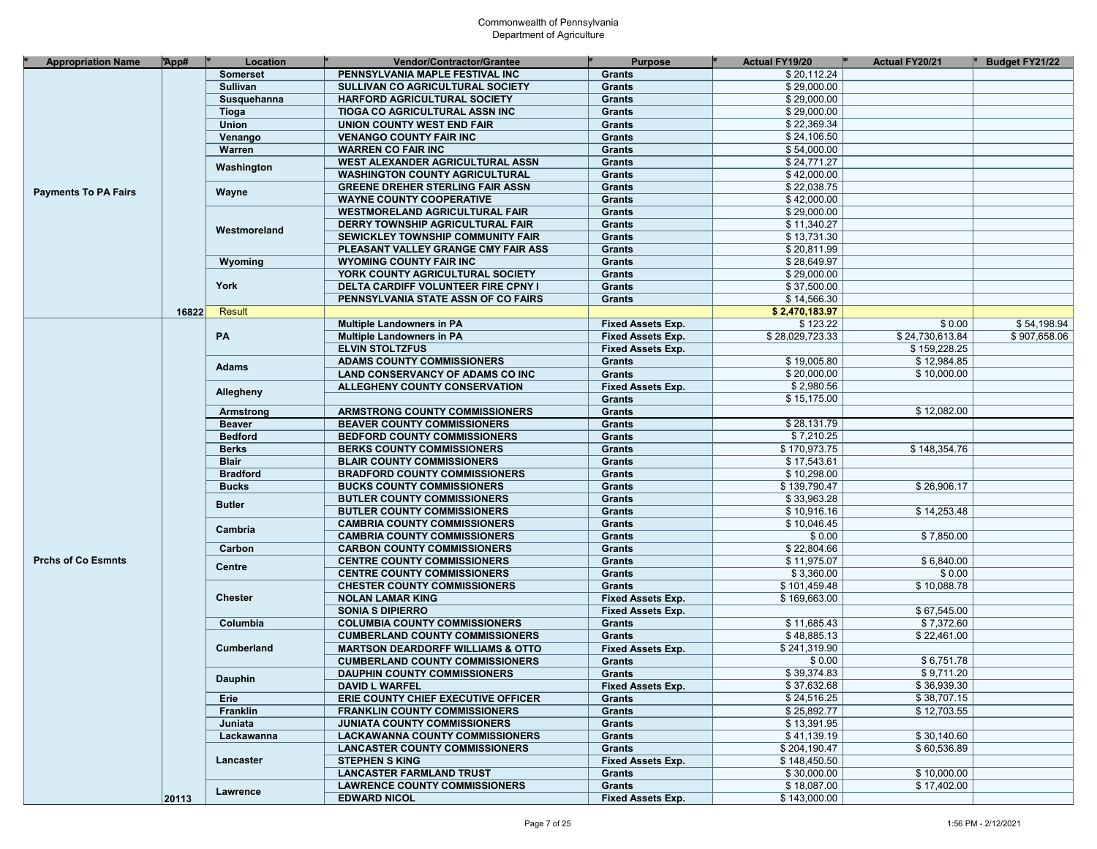| <b>Appropriation Name</b>   | App#  | Location        | Vendor/Contractor/Grantee                                                  | <b>Purpose</b>                     | Actual FY19/20             | <b>Actual FY20/21</b> | <b>Budget FY21/22</b> |
|-----------------------------|-------|-----------------|----------------------------------------------------------------------------|------------------------------------|----------------------------|-----------------------|-----------------------|
|                             |       | <b>Somerset</b> | PENNSYLVANIA MAPLE FESTIVAL INC                                            | <b>Grants</b>                      | \$20,112.24                |                       |                       |
|                             |       | Sullivan        | SULLIVAN CO AGRICULTURAL SOCIETY                                           | <b>Grants</b>                      | \$29,000.00                |                       |                       |
|                             |       | Susquehanna     | HARFORD AGRICULTURAL SOCIETY                                               | <b>Grants</b>                      | \$29,000.00                |                       |                       |
|                             |       | Tioga           | TIOGA CO AGRICULTURAL ASSN INC                                             | <b>Grants</b>                      | \$29,000.00                |                       |                       |
|                             |       | Union           | UNION COUNTY WEST END FAIR                                                 | <b>Grants</b>                      | \$22,369.34                |                       |                       |
|                             |       | Venango         | <b>VENANGO COUNTY FAIR INC</b>                                             | <b>Grants</b>                      | \$24,106.50                |                       |                       |
|                             |       | Warren          | <b>WARREN CO FAIR INC</b>                                                  | <b>Grants</b>                      | \$54,000.00                |                       |                       |
|                             |       |                 | WEST ALEXANDER AGRICULTURAL ASSN                                           | <b>Grants</b>                      | \$24,771.27                |                       |                       |
|                             |       | Washington      | <b>WASHINGTON COUNTY AGRICULTURAL</b>                                      | <b>Grants</b>                      | \$42,000.00                |                       |                       |
|                             |       |                 |                                                                            |                                    | \$22,038.75                |                       |                       |
| <b>Payments To PA Fairs</b> |       | Wayne           | <b>GREENE DREHER STERLING FAIR ASSN</b><br><b>WAYNE COUNTY COOPERATIVE</b> | <b>Grants</b>                      |                            |                       |                       |
|                             |       |                 |                                                                            | <b>Grants</b>                      | \$42,000.00<br>\$29,000.00 |                       |                       |
|                             |       |                 | <b>WESTMORELAND AGRICULTURAL FAIR</b>                                      | <b>Grants</b>                      |                            |                       |                       |
|                             |       | Westmoreland    | DERRY TOWNSHIP AGRICULTURAL FAIR                                           | <b>Grants</b>                      | \$11,340.27                |                       |                       |
|                             |       |                 | SEWICKLEY TOWNSHIP COMMUNITY FAIR                                          | <b>Grants</b>                      | \$13,731.30                |                       |                       |
|                             |       |                 | PLEASANT VALLEY GRANGE CMY FAIR ASS                                        | <b>Grants</b>                      | \$20,811.99                |                       |                       |
|                             |       | Wyoming         | <b>WYOMING COUNTY FAIR INC</b>                                             | <b>Grants</b>                      | \$28,649.97                |                       |                       |
|                             |       |                 | YORK COUNTY AGRICULTURAL SOCIETY                                           | <b>Grants</b>                      | \$29,000.00                |                       |                       |
|                             |       | York            | <b>DELTA CARDIFF VOLUNTEER FIRE CPNY I</b>                                 | <b>Grants</b>                      | \$37,500.00                |                       |                       |
|                             |       |                 | PENNSYLVANIA STATE ASSN OF CO FAIRS                                        | <b>Grants</b>                      | \$14,566.30                |                       |                       |
|                             | 16822 | Result          |                                                                            |                                    | \$2,470,183.97             |                       |                       |
|                             |       |                 | <b>Multiple Landowners in PA</b>                                           | <b>Fixed Assets Exp.</b>           | \$123.22                   | \$0.00                | \$54,198.94           |
|                             |       | PA              | <b>Multiple Landowners in PA</b>                                           | <b>Fixed Assets Exp.</b>           | \$28,029,723.33            | \$24,730,613.84       | \$907,658.06          |
|                             |       |                 | <b>ELVIN STOLTZFUS</b>                                                     | <b>Fixed Assets Exp.</b>           |                            | \$159,228.25          |                       |
|                             |       | <b>Adams</b>    | <b>ADAMS COUNTY COMMISSIONERS</b>                                          | <b>Grants</b>                      | \$19,005.80                | \$12,984.85           |                       |
|                             |       |                 | <b>LAND CONSERVANCY OF ADAMS CO INC</b>                                    | <b>Grants</b>                      | \$20,000.00                | \$10,000.00           |                       |
|                             |       | Allegheny       | ALLEGHENY COUNTY CONSERVATION                                              | <b>Fixed Assets Exp.</b>           | \$2,980.56                 |                       |                       |
|                             |       |                 |                                                                            | <b>Grants</b>                      | \$15,175.00                |                       |                       |
|                             |       | Armstrong       | ARMSTRONG COUNTY COMMISSIONERS                                             | <b>Grants</b>                      |                            | \$12,082.00           |                       |
|                             |       | <b>Beaver</b>   | <b>BEAVER COUNTY COMMISSIONERS</b>                                         | <b>Grants</b>                      | \$28,131.79                |                       |                       |
|                             |       | <b>Bedford</b>  | <b>BEDFORD COUNTY COMMISSIONERS</b>                                        | <b>Grants</b>                      | \$7,210.25                 |                       |                       |
|                             |       | <b>Berks</b>    | <b>BERKS COUNTY COMMISSIONERS</b>                                          | <b>Grants</b>                      | \$170,973.75               | \$148,354.76          |                       |
|                             |       | <b>Blair</b>    | <b>BLAIR COUNTY COMMISSIONERS</b>                                          | <b>Grants</b>                      | \$17,543.61                |                       |                       |
|                             |       | <b>Bradford</b> | <b>BRADFORD COUNTY COMMISSIONERS</b>                                       | <b>Grants</b>                      | \$10,298.00                |                       |                       |
|                             |       | <b>Bucks</b>    | <b>BUCKS COUNTY COMMISSIONERS</b>                                          | <b>Grants</b>                      | \$139,790.47               | \$26,906.17           |                       |
|                             |       |                 | <b>BUTLER COUNTY COMMISSIONERS</b>                                         | <b>Grants</b>                      | \$33,963.28                |                       |                       |
|                             |       | <b>Butler</b>   | <b>BUTLER COUNTY COMMISSIONERS</b>                                         | <b>Grants</b>                      | \$10,916.16                | \$14,253.48           |                       |
|                             |       |                 | <b>CAMBRIA COUNTY COMMISSIONERS</b>                                        | <b>Grants</b>                      | \$10,046.45                |                       |                       |
|                             |       | Cambria         | <b>CAMBRIA COUNTY COMMISSIONERS</b>                                        | <b>Grants</b>                      | \$0.00                     | \$7,850.00            |                       |
|                             |       | Carbon          | <b>CARBON COUNTY COMMISSIONERS</b>                                         | <b>Grants</b>                      | \$22,804.66                |                       |                       |
| <b>Prchs of Co Esmnts</b>   |       |                 | <b>CENTRE COUNTY COMMISSIONERS</b>                                         | <b>Grants</b>                      | \$11,975.07                | \$6,840.00            |                       |
|                             |       | <b>Centre</b>   | <b>CENTRE COUNTY COMMISSIONERS</b>                                         | <b>Grants</b>                      | \$3,360.00                 | \$0.00                |                       |
|                             |       |                 | <b>CHESTER COUNTY COMMISSIONERS</b>                                        | <b>Grants</b>                      | \$101,459.48               | \$10,088.78           |                       |
|                             |       | <b>Chester</b>  | <b>NOLAN LAMAR KING</b>                                                    | <b>Fixed Assets Exp.</b>           | \$169,663.00               |                       |                       |
|                             |       |                 | <b>SONIA S DIPIERRO</b>                                                    | <b>Fixed Assets Exp.</b>           |                            | \$67,545.00           |                       |
|                             |       | Columbia        | <b>COLUMBIA COUNTY COMMISSIONERS</b>                                       | <b>Grants</b>                      | \$11,685.43                | \$7,372.60            |                       |
|                             |       |                 | <b>CUMBERLAND COUNTY COMMISSIONERS</b>                                     | <b>Grants</b>                      | \$48,885.13                | \$22,461.00           |                       |
|                             |       | Cumberland      | <b>MARTSON DEARDORFF WILLIAMS &amp; OTTO</b>                               | <b>Fixed Assets Exp.</b>           | \$241,319.90               |                       |                       |
|                             |       |                 | <b>CUMBERLAND COUNTY COMMISSIONERS</b>                                     | <b>Grants</b>                      | \$0.00                     | \$6.751.78            |                       |
|                             |       |                 |                                                                            |                                    | \$39,374.83                | \$9,711.20            |                       |
|                             |       | <b>Dauphin</b>  | <b>DAUPHIN COUNTY COMMISSIONERS</b><br><b>DAVID L WARFEL</b>               | Grants<br><b>Fixed Assets Exp.</b> | \$37,632.68                | \$36,939.30           |                       |
|                             |       |                 |                                                                            |                                    | \$24,516.25                | \$38,707.15           |                       |
|                             |       | Erie            | ERIE COUNTY CHIEF EXECUTIVE OFFICER                                        | <b>Grants</b>                      | \$25,892.77                | \$12,703.55           |                       |
|                             |       | Franklin        | <b>FRANKLIN COUNTY COMMISSIONERS</b>                                       | <b>Grants</b>                      |                            |                       |                       |
|                             |       | Juniata         | <b>JUNIATA COUNTY COMMISSIONERS</b>                                        | Grants                             | \$13,391.95                |                       |                       |
|                             |       | Lackawanna      | <b>LACKAWANNA COUNTY COMMISSIONERS</b>                                     | <b>Grants</b>                      | \$41,139.19                | \$30,140.60           |                       |
|                             |       |                 | <b>LANCASTER COUNTY COMMISSIONERS</b>                                      | <b>Grants</b>                      | \$204,190.47               | \$60,536.89           |                       |
|                             |       | Lancaster       | <b>STEPHEN S KING</b>                                                      | <b>Fixed Assets Exp.</b>           | \$148,450.50               |                       |                       |
|                             |       |                 | <b>LANCASTER FARMLAND TRUST</b>                                            | Grants                             | \$30,000.00                | \$10,000.00           |                       |
|                             |       | Lawrence        | <b>LAWRENCE COUNTY COMMISSIONERS</b>                                       | Grants                             | \$18,087.00                | \$17,402.00           |                       |
|                             | 20113 |                 | <b>EDWARD NICOL</b>                                                        | <b>Fixed Assets Exp.</b>           | \$143,000.00               |                       |                       |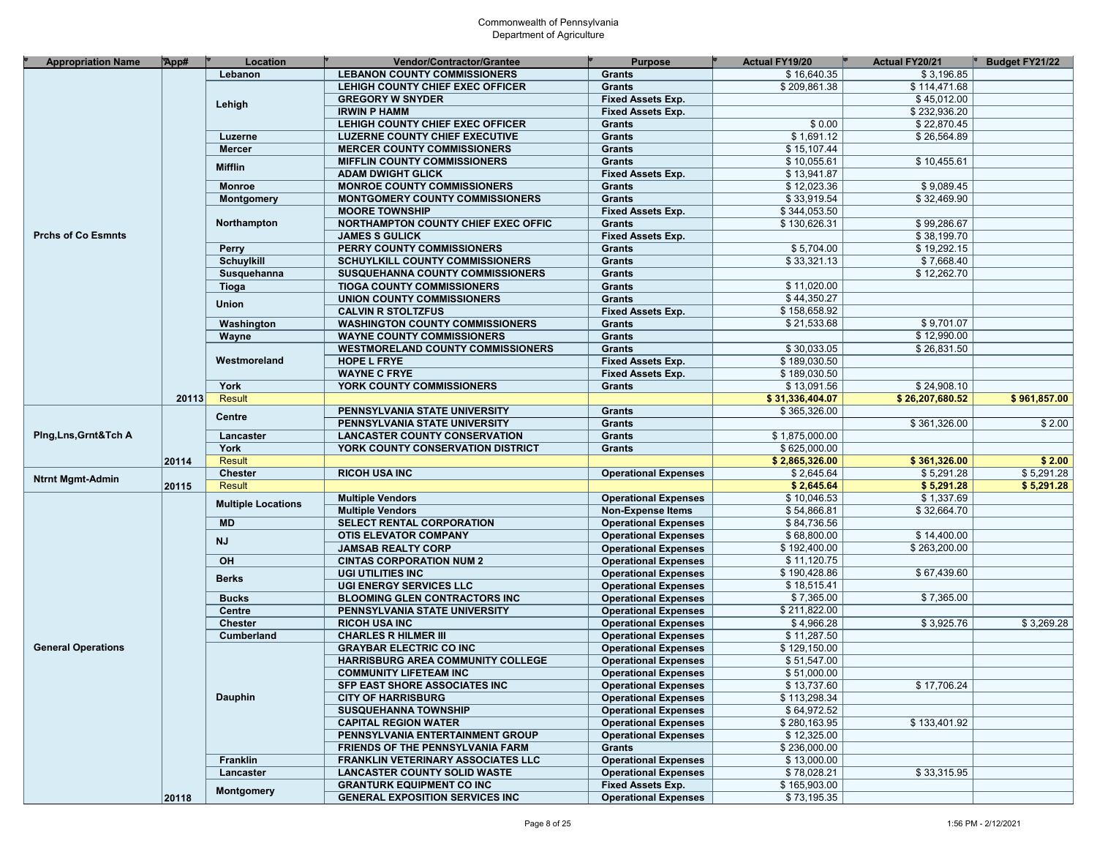| <b>Appropriation Name</b> | App#  | Location                  | Vendor/Contractor/Grantee                 | <b>Purpose</b>              | <b>Actual FY19/20</b> | <b>Actual FY20/21</b> | Budget FY21/22 |
|---------------------------|-------|---------------------------|-------------------------------------------|-----------------------------|-----------------------|-----------------------|----------------|
|                           |       | Lebanon                   | <b>LEBANON COUNTY COMMISSIONERS</b>       | <b>Grants</b>               | \$16,640.35           | \$3.196.85            |                |
|                           |       |                           | LEHIGH COUNTY CHIEF EXEC OFFICER          | <b>Grants</b>               | \$209,861.38          | \$114,471.68          |                |
|                           |       |                           | <b>GREGORY W SNYDER</b>                   | Fixed Assets Exp.           |                       | \$45,012.00           |                |
|                           |       | Lehigh                    | <b>IRWIN P HAMM</b>                       | Fixed Assets Exp.           |                       | \$232,936.20          |                |
|                           |       |                           | LEHIGH COUNTY CHIEF EXEC OFFICER          | <b>Grants</b>               | \$0.00                | \$22,870.45           |                |
|                           |       |                           |                                           |                             | \$1,691.12            | \$26,564.89           |                |
|                           |       | Luzerne                   | <b>LUZERNE COUNTY CHIEF EXECUTIVE</b>     | <b>Grants</b>               | \$15,107.44           |                       |                |
|                           |       | <b>Mercer</b>             | <b>MERCER COUNTY COMMISSIONERS</b>        | <b>Grants</b>               |                       |                       |                |
|                           |       | <b>Mifflin</b>            | <b>MIFFLIN COUNTY COMMISSIONERS</b>       | <b>Grants</b>               | \$10,055.61           | \$10,455.61           |                |
|                           |       |                           | <b>ADAM DWIGHT GLICK</b>                  | <b>Fixed Assets Exp.</b>    | \$13,941.87           |                       |                |
|                           |       | <b>Monroe</b>             | <b>MONROE COUNTY COMMISSIONERS</b>        | <b>Grants</b>               | \$12,023.36           | \$9,089.45            |                |
|                           |       | <b>Montgomery</b>         | <b>MONTGOMERY COUNTY COMMISSIONERS</b>    | <b>Grants</b>               | \$33,919.54           | \$32,469.90           |                |
|                           |       |                           | <b>MOORE TOWNSHIP</b>                     | Fixed Assets Exp.           | \$344,053.50          |                       |                |
|                           |       | Northampton               | NORTHAMPTON COUNTY CHIEF EXEC OFFIC       | <b>Grants</b>               | \$130,626.31          | \$99,286.67           |                |
| <b>Prchs of Co Esmnts</b> |       |                           | <b>JAMES S GULICK</b>                     | <b>Fixed Assets Exp.</b>    |                       | \$38,199.70           |                |
|                           |       | <b>Perry</b>              | PERRY COUNTY COMMISSIONERS                | <b>Grants</b>               | \$5,704.00            | \$19,292.15           |                |
|                           |       | <b>Schuylkill</b>         | SCHUYLKILL COUNTY COMMISSIONERS           | <b>Grants</b>               | \$33,321.13           | \$7,668.40            |                |
|                           |       | Susquehanna               | <b>SUSQUEHANNA COUNTY COMMISSIONERS</b>   | <b>Grants</b>               |                       | \$12,262.70           |                |
|                           |       | Tioga                     | <b>TIOGA COUNTY COMMISSIONERS</b>         | <b>Grants</b>               | \$11,020.00           |                       |                |
|                           |       | Union                     | <b>UNION COUNTY COMMISSIONERS</b>         | <b>Grants</b>               | \$44,350.27           |                       |                |
|                           |       |                           | <b>CALVIN R STOLTZFUS</b>                 | Fixed Assets Exp.           | \$158,658.92          |                       |                |
|                           |       | Washington                | <b>WASHINGTON COUNTY COMMISSIONERS</b>    | <b>Grants</b>               | \$21,533.68           | \$9.701.07            |                |
|                           |       | Wayne                     | <b>WAYNE COUNTY COMMISSIONERS</b>         | <b>Grants</b>               |                       | \$12,990.00           |                |
|                           |       |                           | <b>WESTMORELAND COUNTY COMMISSIONERS</b>  | <b>Grants</b>               | \$30,033.05           | \$26,831.50           |                |
|                           |       | Westmoreland              | <b>HOPE L FRYE</b>                        | <b>Fixed Assets Exp.</b>    | \$189,030.50          |                       |                |
|                           |       |                           | <b>WAYNE C FRYE</b>                       | <b>Fixed Assets Exp.</b>    | \$189,030.50          |                       |                |
|                           |       | York                      | YORK COUNTY COMMISSIONERS                 | <b>Grants</b>               | \$13,091.56           | \$24,908.10           |                |
|                           | 20113 | <b>Result</b>             |                                           |                             | \$31,336,404.07       | \$26,207,680.52       | \$961,857.00   |
|                           |       |                           | PENNSYLVANIA STATE UNIVERSITY             | <b>Grants</b>               | \$365,326.00          |                       |                |
|                           |       | <b>Centre</b>             | PENNSYLVANIA STATE UNIVERSITY             | <b>Grants</b>               |                       | \$361.326.00          | \$2.00         |
|                           |       | Lancaster                 | <b>LANCASTER COUNTY CONSERVATION</b>      | <b>Grants</b>               | \$1,875,000.00        |                       |                |
|                           |       | York                      | YORK COUNTY CONSERVATION DISTRICT         | <b>Grants</b>               | \$625,000.00          |                       |                |
|                           | 20114 | <b>Result</b>             |                                           |                             | \$2,865,326.00        | \$361,326.00          | \$2.00         |
|                           |       | <b>Chester</b>            | <b>RICOH USA INC</b>                      | <b>Operational Expenses</b> | \$2,645.64            | \$5,291.28            | \$5,291.28     |
|                           | 20115 | <b>Result</b>             |                                           |                             | \$2,645.64            | \$5,291.28            | \$5,291.28     |
|                           |       |                           | <b>Multiple Vendors</b>                   | <b>Operational Expenses</b> | \$10,046.53           | \$1,337.69            |                |
| <b>Ntrnt Mgmt-Admin</b>   |       | <b>Multiple Locations</b> | <b>Multiple Vendors</b>                   | <b>Non-Expense Items</b>    | \$54,866.81           | \$32,664.70           |                |
| Ping, Lns, Grnt& Tch A    |       | <b>MD</b>                 | SELECT RENTAL CORPORATION                 | <b>Operational Expenses</b> | \$84,736.56           |                       |                |
|                           |       |                           | <b>OTIS ELEVATOR COMPANY</b>              | <b>Operational Expenses</b> | \$68,800.00           | \$14,400.00           |                |
|                           |       | <b>NJ</b>                 | <b>JAMSAB REALTY CORP</b>                 | <b>Operational Expenses</b> | \$192,400.00          | \$263,200.00          |                |
|                           |       | OH                        | <b>CINTAS CORPORATION NUM 2</b>           | <b>Operational Expenses</b> | \$11,120.75           |                       |                |
|                           |       |                           | <b>UGI UTILITIES INC</b>                  | <b>Operational Expenses</b> | \$190,428.86          | \$67,439.60           |                |
|                           |       | <b>Berks</b>              | <b>UGI ENERGY SERVICES LLC</b>            |                             | \$18,515.41           |                       |                |
|                           |       |                           |                                           | <b>Operational Expenses</b> |                       |                       |                |
|                           |       | <b>Bucks</b>              | <b>BLOOMING GLEN CONTRACTORS INC</b>      | <b>Operational Expenses</b> | \$7,365.00            | \$7,365.00            |                |
|                           |       | Centre                    | PENNSYLVANIA STATE UNIVERSITY             | <b>Operational Expenses</b> | \$211,822.00          |                       |                |
|                           |       | <b>Chester</b>            | <b>RICOH USA INC</b>                      | <b>Operational Expenses</b> | \$4,966.28            | \$3,925.76            | \$3,269.28     |
|                           |       | Cumberland                | <b>CHARLES R HILMER III</b>               | <b>Operational Expenses</b> | \$11,287.50           |                       |                |
| <b>General Operations</b> |       |                           | <b>GRAYBAR ELECTRIC CO INC</b>            | <b>Operational Expenses</b> | \$129,150.00          |                       |                |
|                           |       |                           | HARRISBURG AREA COMMUNITY COLLEGE         | <b>Operational Expenses</b> | \$51,547.00           |                       |                |
|                           |       |                           | <b>COMMUNITY LIFETEAM INC</b>             | <b>Operational Expenses</b> | \$51,000.00           |                       |                |
|                           |       |                           | SFP EAST SHORE ASSOCIATES INC             | <b>Operational Expenses</b> | \$13,737.60           | \$17,706.24           |                |
|                           |       | <b>Dauphin</b>            | <b>CITY OF HARRISBURG</b>                 | <b>Operational Expenses</b> | \$113,298.34          |                       |                |
|                           |       |                           | <b>SUSQUEHANNA TOWNSHIP</b>               | <b>Operational Expenses</b> | \$64,972.52           |                       |                |
|                           |       |                           | <b>CAPITAL REGION WATER</b>               | <b>Operational Expenses</b> | \$280,163.95          | \$133,401.92          |                |
|                           |       |                           | PENNSYLVANIA ENTERTAINMENT GROUP          | <b>Operational Expenses</b> | \$12,325.00           |                       |                |
|                           |       |                           | <b>FRIENDS OF THE PENNSYLVANIA FARM</b>   | Grants                      | \$236,000.00          |                       |                |
|                           |       | Franklin                  | <b>FRANKLIN VETERINARY ASSOCIATES LLC</b> | <b>Operational Expenses</b> | \$13,000.00           |                       |                |
|                           |       | Lancaster                 | <b>LANCASTER COUNTY SOLID WASTE</b>       | <b>Operational Expenses</b> | \$78,028.21           | \$33,315.95           |                |
|                           |       | <b>Montgomery</b>         | <b>GRANTURK EQUIPMENT CO INC</b>          | <b>Fixed Assets Exp.</b>    | \$165,903.00          |                       |                |
|                           | 20118 |                           | <b>GENERAL EXPOSITION SERVICES INC</b>    | <b>Operational Expenses</b> | \$73,195.35           |                       |                |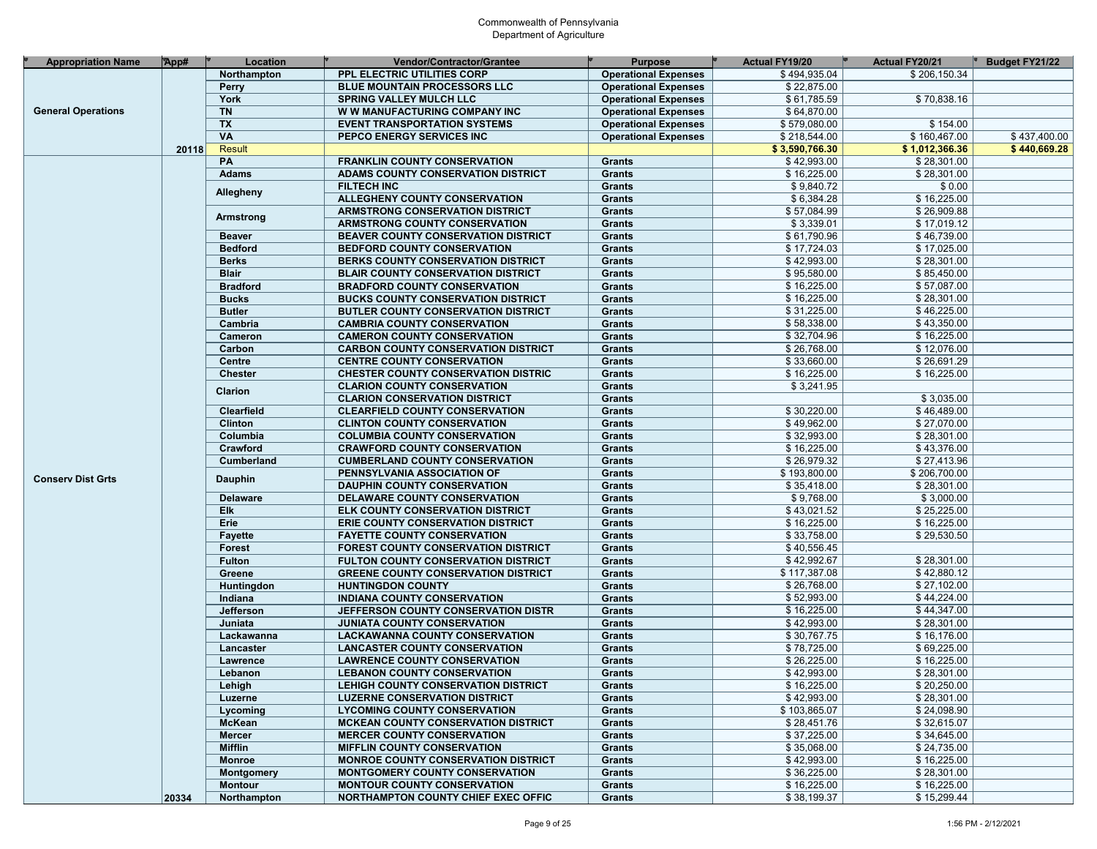| <b>Appropriation Name</b> | App#  | Location                 | Vendor/Contractor/Grantee                  | <b>Purpose</b>              | Actual FY19/20 | Actual FY20/21 | Budget FY21/22 |
|---------------------------|-------|--------------------------|--------------------------------------------|-----------------------------|----------------|----------------|----------------|
|                           |       | Northampton              | PPL ELECTRIC UTILITIES CORP                | <b>Operational Expenses</b> | \$494,935.04   | \$206,150.34   |                |
|                           |       | <b>Perry</b>             | <b>BLUE MOUNTAIN PROCESSORS LLC</b>        | <b>Operational Expenses</b> | \$22,875.00    |                |                |
|                           |       | York                     | <b>SPRING VALLEY MULCH LLC</b>             | <b>Operational Expenses</b> | \$61,785.59    | \$70,838.16    |                |
| <b>General Operations</b> |       | <b>TN</b>                | W W MANUFACTURING COMPANY INC              | <b>Operational Expenses</b> | \$64,870.00    |                |                |
|                           |       | <b>TX</b>                | <b>EVENT TRANSPORTATION SYSTEMS</b>        | <b>Operational Expenses</b> | \$579,080.00   | \$154.00       |                |
|                           |       | $\overline{\mathsf{VA}}$ | PEPCO ENERGY SERVICES INC                  | <b>Operational Expenses</b> | \$218,544.00   | \$160,467.00   | \$437,400.00   |
|                           | 20118 | <b>Result</b>            |                                            |                             | \$3,590,766.30 | \$1,012,366.36 | \$440,669.28   |
|                           |       | PA                       | <b>FRANKLIN COUNTY CONSERVATION</b>        | <b>Grants</b>               | \$42,993.00    | \$28,301.00    |                |
|                           |       | <b>Adams</b>             | ADAMS COUNTY CONSERVATION DISTRICT         | Grants                      | \$16,225.00    | \$28,301.00    |                |
|                           |       |                          | <b>FILTECH INC</b>                         | <b>Grants</b>               | \$9,840.72     | \$0.00         |                |
|                           |       | Allegheny                | ALLEGHENY COUNTY CONSERVATION              | <b>Grants</b>               | \$6,384.28     | \$16,225.00    |                |
|                           |       |                          | <b>ARMSTRONG CONSERVATION DISTRICT</b>     | <b>Grants</b>               | \$57,084.99    | \$26,909.88    |                |
|                           |       | Armstrong                | ARMSTRONG COUNTY CONSERVATION              | Grants                      | \$3,339.01     | \$17,019.12    |                |
|                           |       | <b>Beaver</b>            | BEAVER COUNTY CONSERVATION DISTRICT        | <b>Grants</b>               | \$61,790.96    | \$46,739.00    |                |
|                           |       | <b>Bedford</b>           | <b>BEDFORD COUNTY CONSERVATION</b>         | <b>Grants</b>               | \$17,724.03    | \$17,025.00    |                |
|                           |       | <b>Berks</b>             | BERKS COUNTY CONSERVATION DISTRICT         | <b>Grants</b>               | \$42,993.00    | \$28,301.00    |                |
|                           |       | <b>Blair</b>             | <b>BLAIR COUNTY CONSERVATION DISTRICT</b>  | Grants                      | \$95,580.00    | \$85,450.00    |                |
|                           |       | <b>Bradford</b>          | <b>BRADFORD COUNTY CONSERVATION</b>        | <b>Grants</b>               | \$16,225.00    | \$57,087.00    |                |
|                           |       | <b>Bucks</b>             | <b>BUCKS COUNTY CONSERVATION DISTRICT</b>  | Grants                      | \$16,225.00    | \$28,301.00    |                |
|                           |       | <b>Butler</b>            |                                            |                             | \$31,225.00    | \$46,225.00    |                |
|                           |       | Cambria                  | <b>BUTLER COUNTY CONSERVATION DISTRICT</b> | <b>Grants</b>               | \$58,338.00    | \$43,350.00    |                |
|                           |       |                          | <b>CAMBRIA COUNTY CONSERVATION</b>         | Grants                      |                |                |                |
|                           |       | Cameron                  | <b>CAMERON COUNTY CONSERVATION</b>         | <b>Grants</b>               | \$32,704.96    | \$16,225.00    |                |
|                           |       | Carbon                   | <b>CARBON COUNTY CONSERVATION DISTRICT</b> | Grants                      | \$26,768.00    | \$12,076.00    |                |
|                           |       | Centre                   | <b>CENTRE COUNTY CONSERVATION</b>          | <b>Grants</b>               | \$33,660.00    | \$26,691.29    |                |
|                           |       | <b>Chester</b>           | <b>CHESTER COUNTY CONSERVATION DISTRIC</b> | <b>Grants</b>               | \$16,225.00    | \$16,225.00    |                |
|                           |       | Clarion                  | <b>CLARION COUNTY CONSERVATION</b>         | <b>Grants</b>               | \$3,241.95     |                |                |
|                           |       |                          | <b>CLARION CONSERVATION DISTRICT</b>       | Grants                      |                | \$3,035.00     |                |
|                           |       | <b>Clearfield</b>        | <b>CLEARFIELD COUNTY CONSERVATION</b>      | <b>Grants</b>               | \$30,220.00    | \$46,489.00    |                |
|                           |       | Clinton                  | <b>CLINTON COUNTY CONSERVATION</b>         | Grants                      | \$49,962.00    | \$27,070.00    |                |
|                           |       | Columbia                 | <b>COLUMBIA COUNTY CONSERVATION</b>        | <b>Grants</b>               | \$32,993.00    | \$28,301.00    |                |
|                           |       | Crawford                 | <b>CRAWFORD COUNTY CONSERVATION</b>        | <b>Grants</b>               | \$16,225.00    | \$43,376.00    |                |
|                           |       | Cumberland               | <b>CUMBERLAND COUNTY CONSERVATION</b>      | <b>Grants</b>               | \$26,979.32    | \$27,413.96    |                |
| <b>Conserv Dist Grts</b>  |       | <b>Dauphin</b>           | PENNSYLVANIA ASSOCIATION OF                | <b>Grants</b>               | \$193,800.00   | \$206,700.00   |                |
|                           |       |                          | <b>DAUPHIN COUNTY CONSERVATION</b>         | <b>Grants</b>               | \$35,418.00    | \$28,301.00    |                |
|                           |       | <b>Delaware</b>          | DELAWARE COUNTY CONSERVATION               | <b>Grants</b>               | \$9,768.00     | \$3,000.00     |                |
|                           |       | Elk                      | ELK COUNTY CONSERVATION DISTRICT           | <b>Grants</b>               | \$43,021.52    | \$25,225.00    |                |
|                           |       | Erie                     | <b>ERIE COUNTY CONSERVATION DISTRICT</b>   | Grants                      | \$16,225.00    | \$16,225.00    |                |
|                           |       | <b>Fayette</b>           | <b>FAYETTE COUNTY CONSERVATION</b>         | <b>Grants</b>               | \$33,758.00    | \$29,530.50    |                |
|                           |       | <b>Forest</b>            | <b>FOREST COUNTY CONSERVATION DISTRICT</b> | <b>Grants</b>               | \$40,556.45    |                |                |
|                           |       | <b>Fulton</b>            | FULTON COUNTY CONSERVATION DISTRICT        | <b>Grants</b>               | \$42,992.67    | \$28,301.00    |                |
|                           |       | Greene                   | <b>GREENE COUNTY CONSERVATION DISTRICT</b> | Grants                      | \$117,387.08   | \$42,880.12    |                |
|                           |       | Huntingdon               | <b>HUNTINGDON COUNTY</b>                   | <b>Grants</b>               | \$26,768.00    | \$27,102.00    |                |
|                           |       | Indiana                  | <b>INDIANA COUNTY CONSERVATION</b>         | <b>Grants</b>               | \$52,993.00    | \$44,224.00    |                |
|                           |       | Jefferson                | JEFFERSON COUNTY CONSERVATION DISTR        | <b>Grants</b>               | \$16,225.00    | \$44,347.00    |                |
|                           |       | Juniata                  | <b>JUNIATA COUNTY CONSERVATION</b>         | Grants                      | \$42,993.00    | \$28,301.00    |                |
|                           |       | Lackawanna               | <b>LACKAWANNA COUNTY CONSERVATION</b>      | <b>Grants</b>               | \$30,767.75    | \$16,176.00    |                |
|                           |       | Lancaster                | <b>LANCASTER COUNTY CONSERVATION</b>       | Grants                      | \$78,725.00    | \$69,225.00    |                |
|                           |       | Lawrence                 | <b>LAWRENCE COUNTY CONSERVATION</b>        | <b>Grants</b>               | \$26,225.00    | \$16,225.00    |                |
|                           |       | Lebanon                  | <b>LEBANON COUNTY CONSERVATION</b>         | <b>Grants</b>               | \$42,993.00    | \$28,301.00    |                |
|                           |       | Lehigh                   | LEHIGH COUNTY CONSERVATION DISTRICT        | Grants                      | \$16,225.00    | \$20,250.00    |                |
|                           |       | Luzerne                  | <b>LUZERNE CONSERVATION DISTRICT</b>       | Grants                      | \$42,993.00    | \$28,301.00    |                |
|                           |       | Lycoming                 | <b>LYCOMING COUNTY CONSERVATION</b>        | Grants                      | \$103,865.07   | \$24,098.90    |                |
|                           |       | McKean                   | <b>MCKEAN COUNTY CONSERVATION DISTRICT</b> | Grants                      | \$28,451.76    | \$32,615.07    |                |
|                           |       | <b>Mercer</b>            | <b>MERCER COUNTY CONSERVATION</b>          | Grants                      | \$37,225.00    | \$34,645.00    |                |
|                           |       | <b>Mifflin</b>           | <b>MIFFLIN COUNTY CONSERVATION</b>         | Grants                      | \$35,068.00    | \$24,735.00    |                |
|                           |       | <b>Monroe</b>            | <b>MONROE COUNTY CONSERVATION DISTRICT</b> | Grants                      | \$42,993.00    | \$16,225.00    |                |
|                           |       | <b>Montgomery</b>        | <b>MONTGOMERY COUNTY CONSERVATION</b>      | Grants                      | \$36,225.00    | \$28,301.00    |                |
|                           |       | <b>Montour</b>           | <b>MONTOUR COUNTY CONSERVATION</b>         | Grants                      | \$16,225.00    | \$16,225.00    |                |
|                           | 20334 | Northampton              | NORTHAMPTON COUNTY CHIEF EXEC OFFIC        | Grants                      | \$38,199.37    | \$15,299.44    |                |
|                           |       |                          |                                            |                             |                |                |                |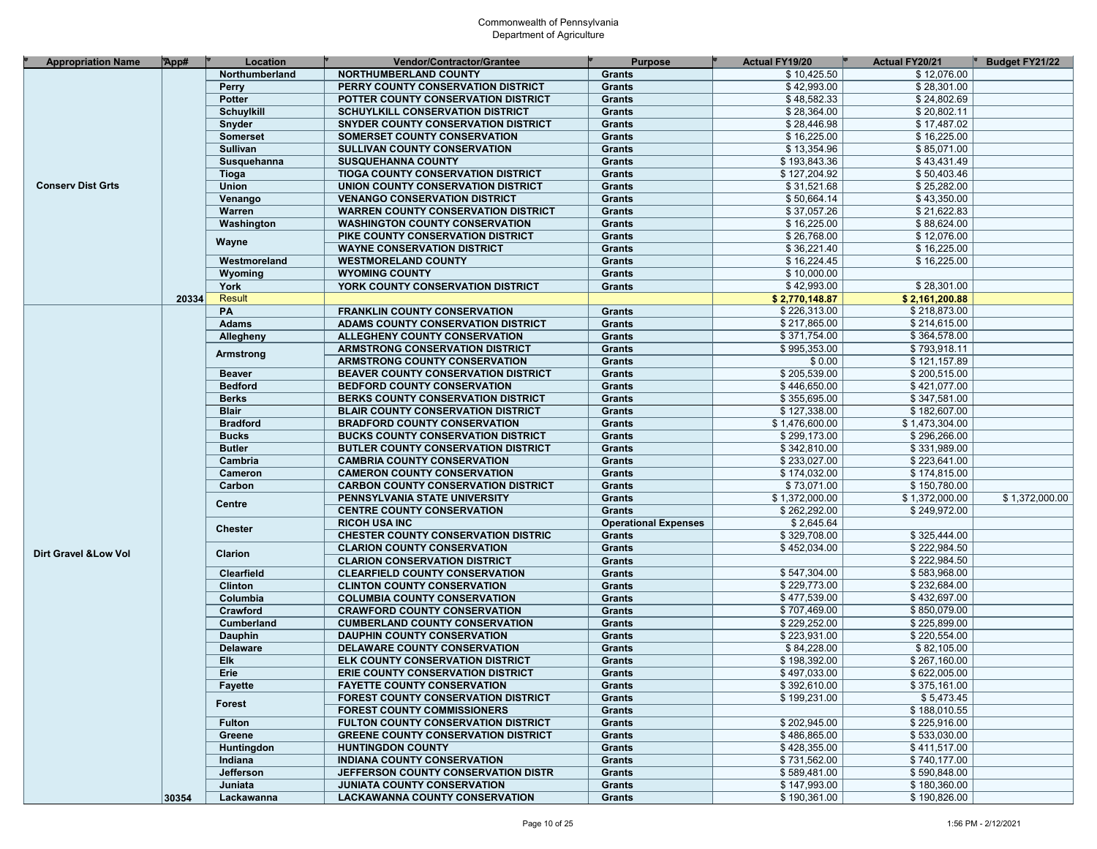| <b>Appropriation Name</b>        | App#  | Location          | <b>Vendor/Contractor/Grantee</b>           | <b>Purpose</b>              | <b>Actual FY19/20</b> | <b>Actual FY20/21</b> | Budget FY21/22 |
|----------------------------------|-------|-------------------|--------------------------------------------|-----------------------------|-----------------------|-----------------------|----------------|
|                                  |       | Northumberland    | <b>NORTHUMBERLAND COUNTY</b>               | <b>Grants</b>               | \$10,425.50           | \$12,076.00           |                |
|                                  |       | Perry             | PERRY COUNTY CONSERVATION DISTRICT         | <b>Grants</b>               | \$42,993.00           | \$28,301.00           |                |
|                                  |       | Potter            | POTTER COUNTY CONSERVATION DISTRICT        | <b>Grants</b>               | \$48,582.33           | \$24,802.69           |                |
|                                  |       | <b>Schuylkill</b> | <b>SCHUYLKILL CONSERVATION DISTRICT</b>    | <b>Grants</b>               | \$28,364.00           | \$20,802.11           |                |
|                                  |       | Snyder            | SNYDER COUNTY CONSERVATION DISTRICT        | <b>Grants</b>               | \$28,446.98           | \$17,487.02           |                |
|                                  |       | <b>Somerset</b>   | SOMERSET COUNTY CONSERVATION               | <b>Grants</b>               | \$16,225.00           | \$16,225.00           |                |
|                                  |       | <b>Sullivan</b>   | SULLIVAN COUNTY CONSERVATION               | <b>Grants</b>               | \$13,354.96           | \$85,071.00           |                |
|                                  |       | Susquehanna       | <b>SUSQUEHANNA COUNTY</b>                  | <b>Grants</b>               | \$193,843.36          | \$43,431.49           |                |
|                                  |       | <b>Tioga</b>      | <b>TIOGA COUNTY CONSERVATION DISTRICT</b>  | <b>Grants</b>               | \$127,204.92          | \$50,403.46           |                |
| <b>Conserv Dist Grts</b>         |       | Union             | UNION COUNTY CONSERVATION DISTRICT         | <b>Grants</b>               | \$31,521.68           | \$25,282.00           |                |
|                                  |       | Venango           | <b>VENANGO CONSERVATION DISTRICT</b>       | <b>Grants</b>               | \$50,664.14           | \$43,350.00           |                |
|                                  |       | Warren            | <b>WARREN COUNTY CONSERVATION DISTRICT</b> | <b>Grants</b>               | \$37,057.26           | \$21,622.83           |                |
|                                  |       | Washington        | <b>WASHINGTON COUNTY CONSERVATION</b>      | <b>Grants</b>               | \$16,225.00           | \$88,624.00           |                |
|                                  |       |                   | PIKE COUNTY CONSERVATION DISTRICT          | <b>Grants</b>               | \$26,768.00           | \$12,076.00           |                |
|                                  |       | Wayne             | <b>WAYNE CONSERVATION DISTRICT</b>         | <b>Grants</b>               | \$36,221.40           | \$16,225.00           |                |
|                                  |       | Westmoreland      | <b>WESTMORELAND COUNTY</b>                 | <b>Grants</b>               | \$16,224.45           | \$16,225.00           |                |
|                                  |       |                   |                                            |                             | \$10,000.00           |                       |                |
|                                  |       | Wyoming           | <b>WYOMING COUNTY</b>                      | <b>Grants</b>               |                       |                       |                |
|                                  |       | York              | YORK COUNTY CONSERVATION DISTRICT          | <b>Grants</b>               | \$42,993.00           | \$28,301.00           |                |
|                                  | 20334 | Result            |                                            |                             | \$2,770,148.87        | \$2,161,200.88        |                |
|                                  |       | PA                | <b>FRANKLIN COUNTY CONSERVATION</b>        | <b>Grants</b>               | \$226,313.00          | \$218,873.00          |                |
|                                  |       | <b>Adams</b>      | ADAMS COUNTY CONSERVATION DISTRICT         | <b>Grants</b>               | \$217,865.00          | \$214,615.00          |                |
|                                  |       | Allegheny         | ALLEGHENY COUNTY CONSERVATION              | <b>Grants</b>               | \$371,754.00          | \$364,578.00          |                |
|                                  |       | Armstrong         | ARMSTRONG CONSERVATION DISTRICT            | <b>Grants</b>               | \$995,353.00          | \$793,918.11          |                |
|                                  |       |                   | ARMSTRONG COUNTY CONSERVATION              | <b>Grants</b>               | \$0.00                | \$121,157.89          |                |
|                                  |       | <b>Beaver</b>     | BEAVER COUNTY CONSERVATION DISTRICT        | <b>Grants</b>               | \$205,539.00          | \$200,515.00          |                |
|                                  |       | <b>Bedford</b>    | <b>BEDFORD COUNTY CONSERVATION</b>         | <b>Grants</b>               | \$446,650.00          | \$421,077.00          |                |
|                                  |       | <b>Berks</b>      | BERKS COUNTY CONSERVATION DISTRICT         | <b>Grants</b>               | \$355,695.00          | \$347,581.00          |                |
|                                  |       | <b>Blair</b>      | <b>BLAIR COUNTY CONSERVATION DISTRICT</b>  | <b>Grants</b>               | \$127,338.00          | \$182,607.00          |                |
|                                  |       | <b>Bradford</b>   | <b>BRADFORD COUNTY CONSERVATION</b>        | <b>Grants</b>               | \$1,476,600.00        | \$1,473,304.00        |                |
|                                  |       | <b>Bucks</b>      | <b>BUCKS COUNTY CONSERVATION DISTRICT</b>  | <b>Grants</b>               | \$299,173.00          | \$296,266.00          |                |
|                                  |       | <b>Butler</b>     | <b>BUTLER COUNTY CONSERVATION DISTRICT</b> | <b>Grants</b>               | \$342,810.00          | \$331,989.00          |                |
|                                  |       | Cambria           | <b>CAMBRIA COUNTY CONSERVATION</b>         | Grants                      | \$233,027.00          | \$223,641.00          |                |
|                                  |       | Cameron           | <b>CAMERON COUNTY CONSERVATION</b>         | <b>Grants</b>               | \$174,032.00          | \$174,815.00          |                |
|                                  |       | Carbon            | <b>CARBON COUNTY CONSERVATION DISTRICT</b> | <b>Grants</b>               | \$73,071.00           | \$150,780.00          |                |
|                                  |       | <b>Centre</b>     | PENNSYLVANIA STATE UNIVERSITY              | Grants                      | \$1,372,000.00        | \$1,372,000.00        | \$1,372,000.00 |
|                                  |       |                   | <b>CENTRE COUNTY CONSERVATION</b>          | Grants                      | \$262,292.00          | \$249,972.00          |                |
|                                  |       |                   | <b>RICOH USA INC</b>                       | <b>Operational Expenses</b> | \$2,645.64            |                       |                |
|                                  |       | <b>Chester</b>    | <b>CHESTER COUNTY CONSERVATION DISTRIC</b> | Grants                      | \$329,708.00          | \$325,444.00          |                |
|                                  |       |                   | <b>CLARION COUNTY CONSERVATION</b>         | <b>Grants</b>               | \$452,034.00          | \$222,984.50          |                |
| <b>Dirt Gravel &amp; Low Vol</b> |       | Clarion           | <b>CLARION CONSERVATION DISTRICT</b>       | <b>Grants</b>               |                       | \$222,984.50          |                |
|                                  |       | Clearfield        | <b>CLEARFIELD COUNTY CONSERVATION</b>      | <b>Grants</b>               | \$547,304.00          | \$583,968.00          |                |
|                                  |       | <b>Clinton</b>    | <b>CLINTON COUNTY CONSERVATION</b>         | Grants                      | \$229,773.00          | \$232,684.00          |                |
|                                  |       | Columbia          | <b>COLUMBIA COUNTY CONSERVATION</b>        | <b>Grants</b>               | \$477,539.00          | \$432,697.00          |                |
|                                  |       | Crawford          | <b>CRAWFORD COUNTY CONSERVATION</b>        | Grants                      | \$707,469.00          | \$850,079.00          |                |
|                                  |       | Cumberland        | <b>CUMBERLAND COUNTY CONSERVATION</b>      | <b>Grants</b>               | \$229,252.00          | \$225,899.00          |                |
|                                  |       | Dauphin           | <b>DAUPHIN COUNTY CONSERVATION</b>         | <b>Grants</b>               | \$223,931.00          | \$220,554.00          |                |
|                                  |       | <b>Delaware</b>   | DELAWARE COUNTY CONSERVATION               | Grants                      | \$84,228.00           | \$82,105.00           |                |
|                                  |       | Elk               | <b>ELK COUNTY CONSERVATION DISTRICT</b>    | <b>Grants</b>               | \$198,392.00          | \$267,160.00          |                |
|                                  |       | Erie              | <b>ERIE COUNTY CONSERVATION DISTRICT</b>   | Grants                      | \$497,033.00          | \$622,005.00          |                |
|                                  |       | Fayette           | <b>FAYETTE COUNTY CONSERVATION</b>         | Grants                      | \$392,610.00          | \$375,161.00          |                |
|                                  |       |                   | <b>FOREST COUNTY CONSERVATION DISTRICT</b> | Grants                      | \$199,231.00          | \$5,473.45            |                |
|                                  |       | <b>Forest</b>     | <b>FOREST COUNTY COMMISSIONERS</b>         | <b>Grants</b>               |                       | \$188,010.55          |                |
|                                  |       | <b>Fulton</b>     | FULTON COUNTY CONSERVATION DISTRICT        | Grants                      | \$202,945.00          | \$225,916.00          |                |
|                                  |       | Greene            |                                            |                             | \$486,865.00          | \$533,030.00          |                |
|                                  |       |                   | <b>GREENE COUNTY CONSERVATION DISTRICT</b> | Grants                      |                       |                       |                |
|                                  |       | Huntingdon        | <b>HUNTINGDON COUNTY</b>                   | Grants                      | \$428,355.00          | \$411,517.00          |                |
|                                  |       | Indiana           | INDIANA COUNTY CONSERVATION                | Grants                      | \$731,562.00          | \$740,177.00          |                |
|                                  |       | Jefferson         | JEFFERSON COUNTY CONSERVATION DISTR        | Grants                      | \$589,481.00          | \$590,848.00          |                |
|                                  |       | Juniata           | <b>JUNIATA COUNTY CONSERVATION</b>         | Grants                      | \$147,993.00          | \$180,360.00          |                |
|                                  | 30354 | Lackawanna        | <b>LACKAWANNA COUNTY CONSERVATION</b>      | Grants                      | \$190,361.00          | \$190,826.00          |                |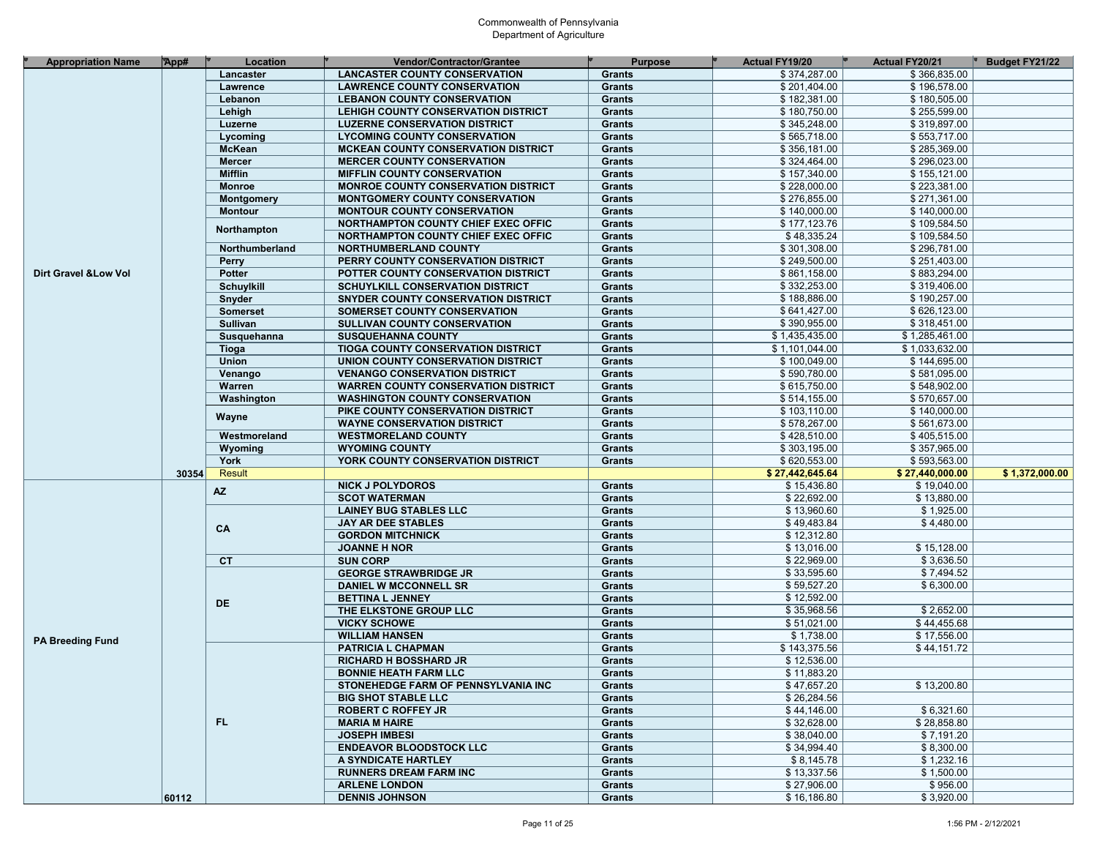| <b>Appropriation Name</b>                        | App#  | Location          | <b>Vendor/Contractor/Grantee</b>                                    | <b>Purpose</b>                                                                                                                                                                                                                                                                                                                                                                                                                                                                                                                                                                                                                                                                                                                                                                                                                                                                                                                                                                                                                                                                                                                                                                                                                                                                                                                                                                                                                                                                                                                                                                                                                                                                                                                                                                                                                                                                                                                                                                                                                                                                                                                                                                                                                                                                                                                                                                                                                                                                                                                   | <b>Actual FY19/20</b> | Actual FY20/21 | Budget FY21/22 |
|--------------------------------------------------|-------|-------------------|---------------------------------------------------------------------|----------------------------------------------------------------------------------------------------------------------------------------------------------------------------------------------------------------------------------------------------------------------------------------------------------------------------------------------------------------------------------------------------------------------------------------------------------------------------------------------------------------------------------------------------------------------------------------------------------------------------------------------------------------------------------------------------------------------------------------------------------------------------------------------------------------------------------------------------------------------------------------------------------------------------------------------------------------------------------------------------------------------------------------------------------------------------------------------------------------------------------------------------------------------------------------------------------------------------------------------------------------------------------------------------------------------------------------------------------------------------------------------------------------------------------------------------------------------------------------------------------------------------------------------------------------------------------------------------------------------------------------------------------------------------------------------------------------------------------------------------------------------------------------------------------------------------------------------------------------------------------------------------------------------------------------------------------------------------------------------------------------------------------------------------------------------------------------------------------------------------------------------------------------------------------------------------------------------------------------------------------------------------------------------------------------------------------------------------------------------------------------------------------------------------------------------------------------------------------------------------------------------------------|-----------------------|----------------|----------------|
|                                                  |       | Lancaster         | <b>LANCASTER COUNTY CONSERVATION</b>                                | <b>Grants</b>                                                                                                                                                                                                                                                                                                                                                                                                                                                                                                                                                                                                                                                                                                                                                                                                                                                                                                                                                                                                                                                                                                                                                                                                                                                                                                                                                                                                                                                                                                                                                                                                                                                                                                                                                                                                                                                                                                                                                                                                                                                                                                                                                                                                                                                                                                                                                                                                                                                                                                                    | \$374,287.00          | \$366,835.00   |                |
|                                                  |       | Lawrence          | <b>LAWRENCE COUNTY CONSERVATION</b>                                 | <b>Grants</b>                                                                                                                                                                                                                                                                                                                                                                                                                                                                                                                                                                                                                                                                                                                                                                                                                                                                                                                                                                                                                                                                                                                                                                                                                                                                                                                                                                                                                                                                                                                                                                                                                                                                                                                                                                                                                                                                                                                                                                                                                                                                                                                                                                                                                                                                                                                                                                                                                                                                                                                    | \$201,404.00          | \$196,578.00   |                |
|                                                  |       | Lebanon           | <b>LEBANON COUNTY CONSERVATION</b>                                  |                                                                                                                                                                                                                                                                                                                                                                                                                                                                                                                                                                                                                                                                                                                                                                                                                                                                                                                                                                                                                                                                                                                                                                                                                                                                                                                                                                                                                                                                                                                                                                                                                                                                                                                                                                                                                                                                                                                                                                                                                                                                                                                                                                                                                                                                                                                                                                                                                                                                                                                                  | \$182,381.00          | \$180,505.00   |                |
|                                                  |       | Lehigh            | LEHIGH COUNTY CONSERVATION DISTRICT                                 | <b>Grants</b><br>\$180,750.00<br>\$255,599.00<br><b>Grants</b><br>\$345,248.00<br>\$319,897.00<br>Grants<br>\$565,718.00<br>\$553,717.00<br><b>Grants</b><br>\$356,181.00<br>\$285,369.00<br><b>Grants</b><br>\$324,464.00<br>\$296,023.00<br><b>Grants</b><br>\$157,340.00<br>\$155,121.00<br>Grants<br>\$228,000.00<br>\$223,381.00<br><b>Grants</b><br>\$276,855.00<br>\$271,361.00<br>Grants<br>\$140,000.00<br>\$140,000.00<br><b>Grants</b><br>\$177,123.76<br>\$109.584.50<br><b>Grants</b><br>\$48,335.24<br>\$109,584.50<br><b>Grants</b><br>\$301,308.00<br>\$296,781.00<br>Grants<br>\$249,500.00<br>\$251,403.00<br><b>Grants</b><br>\$861,158.00<br>\$883,294.00<br>Grants<br>\$332,253.00<br>\$319,406.00<br><b>Grants</b><br>\$188,886.00<br>\$190,257.00<br>Grants<br>\$641,427.00<br>\$626,123.00<br><b>Grants</b><br>\$390,955.00<br>\$318,451.00<br>Grants<br>\$1,435,435.00<br>\$1,285,461.00<br><b>Grants</b><br>\$1,101,044.00<br>\$1,033,632.00<br><b>Grants</b><br>\$100,049.00<br>\$144,695.00<br><b>Grants</b><br>\$590,780.00<br>\$581,095.00<br>Grants<br>\$615,750.00<br>\$548,902.00<br><b>Grants</b><br>\$514,155.00<br>\$570,657.00<br>Grants<br>\$103.110.00<br>\$140,000.00<br><b>Grants</b><br>\$578,267.00<br>\$561,673.00<br>Grants<br>\$428,510.00<br>\$405,515.00<br><b>Grants</b><br>\$303,195.00<br>\$357,965.00<br>Grants<br>\$620,553.00<br>\$593,563.00<br><b>Grants</b><br>\$27,442,645.64<br>\$27,440,000.00<br>\$1,372,000.00<br>\$15,436.80<br><b>Grants</b><br>\$19,040.00<br>\$22,692.00<br>\$13,880.00<br>Grants<br>\$13,960.60<br>\$1,925.00<br><b>Grants</b><br>\$49,483.84<br>\$4,480.00<br>Grants<br>\$12,312.80<br><b>Grants</b><br>\$13,016.00<br>\$15,128.00<br>Grants<br>\$22,969.00<br>\$3,636.50<br><b>Grants</b><br>\$33,595.60<br>\$7,494.52<br>Grants<br>\$59,527.20<br>\$6,300.00<br><b>Grants</b><br>\$12,592.00<br>Grants<br>\$35,968.56<br>\$2,652.00<br><b>Grants</b><br>\$51,021.00<br>\$44,455.68<br>Grants<br>\$1,738.00<br>\$17,556.00<br><b>Grants</b><br>\$143,375.56<br>\$44,151.72<br>Grants<br>\$12,536.00<br><b>Grants</b><br>\$11,883.20<br><b>Grants</b><br>\$47,657.20<br>\$13,200.80<br>Grants<br>\$26,284.56<br>Grants<br>\$44,146.00<br>\$6,321.60<br>Grants<br>\$32,628.00<br>\$28,858.80<br>Grants<br>\$38,040.00<br>\$7,191.20<br>Grants<br>\$34,994.40<br>\$8,300.00<br>Grants<br>\$8,145.78<br>\$1,232.16<br>Grants<br>\$13,337.56<br>\$1,500.00<br>Grants<br>\$27,906.00<br>\$956.00<br>Grants<br>\$16,186.80<br>\$3,920.00<br>Grants |                       |                |                |
| Dirt Gravel & Low Vol<br><b>PA Breeding Fund</b> |       | Luzerne           | <b>LUZERNE CONSERVATION DISTRICT</b>                                |                                                                                                                                                                                                                                                                                                                                                                                                                                                                                                                                                                                                                                                                                                                                                                                                                                                                                                                                                                                                                                                                                                                                                                                                                                                                                                                                                                                                                                                                                                                                                                                                                                                                                                                                                                                                                                                                                                                                                                                                                                                                                                                                                                                                                                                                                                                                                                                                                                                                                                                                  |                       |                |                |
|                                                  |       | Lycoming          | <b>LYCOMING COUNTY CONSERVATION</b>                                 |                                                                                                                                                                                                                                                                                                                                                                                                                                                                                                                                                                                                                                                                                                                                                                                                                                                                                                                                                                                                                                                                                                                                                                                                                                                                                                                                                                                                                                                                                                                                                                                                                                                                                                                                                                                                                                                                                                                                                                                                                                                                                                                                                                                                                                                                                                                                                                                                                                                                                                                                  |                       |                |                |
|                                                  |       | <b>McKean</b>     | <b>MCKEAN COUNTY CONSERVATION DISTRICT</b>                          |                                                                                                                                                                                                                                                                                                                                                                                                                                                                                                                                                                                                                                                                                                                                                                                                                                                                                                                                                                                                                                                                                                                                                                                                                                                                                                                                                                                                                                                                                                                                                                                                                                                                                                                                                                                                                                                                                                                                                                                                                                                                                                                                                                                                                                                                                                                                                                                                                                                                                                                                  |                       |                |                |
|                                                  |       | <b>Mercer</b>     | <b>MERCER COUNTY CONSERVATION</b>                                   |                                                                                                                                                                                                                                                                                                                                                                                                                                                                                                                                                                                                                                                                                                                                                                                                                                                                                                                                                                                                                                                                                                                                                                                                                                                                                                                                                                                                                                                                                                                                                                                                                                                                                                                                                                                                                                                                                                                                                                                                                                                                                                                                                                                                                                                                                                                                                                                                                                                                                                                                  |                       |                |                |
|                                                  |       | <b>Mifflin</b>    | <b>MIFFLIN COUNTY CONSERVATION</b>                                  |                                                                                                                                                                                                                                                                                                                                                                                                                                                                                                                                                                                                                                                                                                                                                                                                                                                                                                                                                                                                                                                                                                                                                                                                                                                                                                                                                                                                                                                                                                                                                                                                                                                                                                                                                                                                                                                                                                                                                                                                                                                                                                                                                                                                                                                                                                                                                                                                                                                                                                                                  |                       |                |                |
|                                                  |       | <b>Monroe</b>     | <b>MONROE COUNTY CONSERVATION DISTRICT</b>                          |                                                                                                                                                                                                                                                                                                                                                                                                                                                                                                                                                                                                                                                                                                                                                                                                                                                                                                                                                                                                                                                                                                                                                                                                                                                                                                                                                                                                                                                                                                                                                                                                                                                                                                                                                                                                                                                                                                                                                                                                                                                                                                                                                                                                                                                                                                                                                                                                                                                                                                                                  |                       |                |                |
|                                                  |       | Montgomery        | <b>MONTGOMERY COUNTY CONSERVATION</b>                               |                                                                                                                                                                                                                                                                                                                                                                                                                                                                                                                                                                                                                                                                                                                                                                                                                                                                                                                                                                                                                                                                                                                                                                                                                                                                                                                                                                                                                                                                                                                                                                                                                                                                                                                                                                                                                                                                                                                                                                                                                                                                                                                                                                                                                                                                                                                                                                                                                                                                                                                                  |                       |                |                |
|                                                  |       | <b>Montour</b>    | <b>MONTOUR COUNTY CONSERVATION</b>                                  |                                                                                                                                                                                                                                                                                                                                                                                                                                                                                                                                                                                                                                                                                                                                                                                                                                                                                                                                                                                                                                                                                                                                                                                                                                                                                                                                                                                                                                                                                                                                                                                                                                                                                                                                                                                                                                                                                                                                                                                                                                                                                                                                                                                                                                                                                                                                                                                                                                                                                                                                  |                       |                |                |
|                                                  |       |                   | <b>NORTHAMPTON COUNTY CHIEF EXEC OFFIC</b>                          |                                                                                                                                                                                                                                                                                                                                                                                                                                                                                                                                                                                                                                                                                                                                                                                                                                                                                                                                                                                                                                                                                                                                                                                                                                                                                                                                                                                                                                                                                                                                                                                                                                                                                                                                                                                                                                                                                                                                                                                                                                                                                                                                                                                                                                                                                                                                                                                                                                                                                                                                  |                       |                |                |
|                                                  |       | Northampton       | <b>NORTHAMPTON COUNTY CHIEF EXEC OFFIC</b>                          |                                                                                                                                                                                                                                                                                                                                                                                                                                                                                                                                                                                                                                                                                                                                                                                                                                                                                                                                                                                                                                                                                                                                                                                                                                                                                                                                                                                                                                                                                                                                                                                                                                                                                                                                                                                                                                                                                                                                                                                                                                                                                                                                                                                                                                                                                                                                                                                                                                                                                                                                  |                       |                |                |
|                                                  |       | Northumberland    | <b>NORTHUMBERLAND COUNTY</b>                                        |                                                                                                                                                                                                                                                                                                                                                                                                                                                                                                                                                                                                                                                                                                                                                                                                                                                                                                                                                                                                                                                                                                                                                                                                                                                                                                                                                                                                                                                                                                                                                                                                                                                                                                                                                                                                                                                                                                                                                                                                                                                                                                                                                                                                                                                                                                                                                                                                                                                                                                                                  |                       |                |                |
|                                                  |       | Perry             | PERRY COUNTY CONSERVATION DISTRICT                                  |                                                                                                                                                                                                                                                                                                                                                                                                                                                                                                                                                                                                                                                                                                                                                                                                                                                                                                                                                                                                                                                                                                                                                                                                                                                                                                                                                                                                                                                                                                                                                                                                                                                                                                                                                                                                                                                                                                                                                                                                                                                                                                                                                                                                                                                                                                                                                                                                                                                                                                                                  |                       |                |                |
|                                                  |       | <b>Potter</b>     | POTTER COUNTY CONSERVATION DISTRICT                                 |                                                                                                                                                                                                                                                                                                                                                                                                                                                                                                                                                                                                                                                                                                                                                                                                                                                                                                                                                                                                                                                                                                                                                                                                                                                                                                                                                                                                                                                                                                                                                                                                                                                                                                                                                                                                                                                                                                                                                                                                                                                                                                                                                                                                                                                                                                                                                                                                                                                                                                                                  |                       |                |                |
|                                                  |       | <b>Schuylkill</b> | <b>SCHUYLKILL CONSERVATION DISTRICT</b>                             |                                                                                                                                                                                                                                                                                                                                                                                                                                                                                                                                                                                                                                                                                                                                                                                                                                                                                                                                                                                                                                                                                                                                                                                                                                                                                                                                                                                                                                                                                                                                                                                                                                                                                                                                                                                                                                                                                                                                                                                                                                                                                                                                                                                                                                                                                                                                                                                                                                                                                                                                  |                       |                |                |
|                                                  |       |                   |                                                                     |                                                                                                                                                                                                                                                                                                                                                                                                                                                                                                                                                                                                                                                                                                                                                                                                                                                                                                                                                                                                                                                                                                                                                                                                                                                                                                                                                                                                                                                                                                                                                                                                                                                                                                                                                                                                                                                                                                                                                                                                                                                                                                                                                                                                                                                                                                                                                                                                                                                                                                                                  |                       |                |                |
|                                                  |       | Snyder            | SNYDER COUNTY CONSERVATION DISTRICT<br>SOMERSET COUNTY CONSERVATION |                                                                                                                                                                                                                                                                                                                                                                                                                                                                                                                                                                                                                                                                                                                                                                                                                                                                                                                                                                                                                                                                                                                                                                                                                                                                                                                                                                                                                                                                                                                                                                                                                                                                                                                                                                                                                                                                                                                                                                                                                                                                                                                                                                                                                                                                                                                                                                                                                                                                                                                                  |                       |                |                |
|                                                  |       | <b>Somerset</b>   |                                                                     |                                                                                                                                                                                                                                                                                                                                                                                                                                                                                                                                                                                                                                                                                                                                                                                                                                                                                                                                                                                                                                                                                                                                                                                                                                                                                                                                                                                                                                                                                                                                                                                                                                                                                                                                                                                                                                                                                                                                                                                                                                                                                                                                                                                                                                                                                                                                                                                                                                                                                                                                  |                       |                |                |
|                                                  |       | <b>Sullivan</b>   | SULLIVAN COUNTY CONSERVATION<br><b>SUSQUEHANNA COUNTY</b>           |                                                                                                                                                                                                                                                                                                                                                                                                                                                                                                                                                                                                                                                                                                                                                                                                                                                                                                                                                                                                                                                                                                                                                                                                                                                                                                                                                                                                                                                                                                                                                                                                                                                                                                                                                                                                                                                                                                                                                                                                                                                                                                                                                                                                                                                                                                                                                                                                                                                                                                                                  |                       |                |                |
|                                                  |       | Susquehanna       |                                                                     |                                                                                                                                                                                                                                                                                                                                                                                                                                                                                                                                                                                                                                                                                                                                                                                                                                                                                                                                                                                                                                                                                                                                                                                                                                                                                                                                                                                                                                                                                                                                                                                                                                                                                                                                                                                                                                                                                                                                                                                                                                                                                                                                                                                                                                                                                                                                                                                                                                                                                                                                  |                       |                |                |
|                                                  |       | Tioga             | TIOGA COUNTY CONSERVATION DISTRICT                                  |                                                                                                                                                                                                                                                                                                                                                                                                                                                                                                                                                                                                                                                                                                                                                                                                                                                                                                                                                                                                                                                                                                                                                                                                                                                                                                                                                                                                                                                                                                                                                                                                                                                                                                                                                                                                                                                                                                                                                                                                                                                                                                                                                                                                                                                                                                                                                                                                                                                                                                                                  |                       |                |                |
|                                                  |       | Union             | UNION COUNTY CONSERVATION DISTRICT                                  |                                                                                                                                                                                                                                                                                                                                                                                                                                                                                                                                                                                                                                                                                                                                                                                                                                                                                                                                                                                                                                                                                                                                                                                                                                                                                                                                                                                                                                                                                                                                                                                                                                                                                                                                                                                                                                                                                                                                                                                                                                                                                                                                                                                                                                                                                                                                                                                                                                                                                                                                  |                       |                |                |
|                                                  |       | Venango           | <b>VENANGO CONSERVATION DISTRICT</b>                                |                                                                                                                                                                                                                                                                                                                                                                                                                                                                                                                                                                                                                                                                                                                                                                                                                                                                                                                                                                                                                                                                                                                                                                                                                                                                                                                                                                                                                                                                                                                                                                                                                                                                                                                                                                                                                                                                                                                                                                                                                                                                                                                                                                                                                                                                                                                                                                                                                                                                                                                                  |                       |                |                |
|                                                  |       | Warren            | <b>WARREN COUNTY CONSERVATION DISTRICT</b>                          |                                                                                                                                                                                                                                                                                                                                                                                                                                                                                                                                                                                                                                                                                                                                                                                                                                                                                                                                                                                                                                                                                                                                                                                                                                                                                                                                                                                                                                                                                                                                                                                                                                                                                                                                                                                                                                                                                                                                                                                                                                                                                                                                                                                                                                                                                                                                                                                                                                                                                                                                  |                       |                |                |
|                                                  |       | Washington        | <b>WASHINGTON COUNTY CONSERVATION</b>                               |                                                                                                                                                                                                                                                                                                                                                                                                                                                                                                                                                                                                                                                                                                                                                                                                                                                                                                                                                                                                                                                                                                                                                                                                                                                                                                                                                                                                                                                                                                                                                                                                                                                                                                                                                                                                                                                                                                                                                                                                                                                                                                                                                                                                                                                                                                                                                                                                                                                                                                                                  |                       |                |                |
|                                                  |       | Wayne             | PIKE COUNTY CONSERVATION DISTRICT                                   |                                                                                                                                                                                                                                                                                                                                                                                                                                                                                                                                                                                                                                                                                                                                                                                                                                                                                                                                                                                                                                                                                                                                                                                                                                                                                                                                                                                                                                                                                                                                                                                                                                                                                                                                                                                                                                                                                                                                                                                                                                                                                                                                                                                                                                                                                                                                                                                                                                                                                                                                  |                       |                |                |
|                                                  |       |                   | <b>WAYNE CONSERVATION DISTRICT</b>                                  |                                                                                                                                                                                                                                                                                                                                                                                                                                                                                                                                                                                                                                                                                                                                                                                                                                                                                                                                                                                                                                                                                                                                                                                                                                                                                                                                                                                                                                                                                                                                                                                                                                                                                                                                                                                                                                                                                                                                                                                                                                                                                                                                                                                                                                                                                                                                                                                                                                                                                                                                  |                       |                |                |
|                                                  |       | Westmoreland      | <b>WESTMORELAND COUNTY</b>                                          |                                                                                                                                                                                                                                                                                                                                                                                                                                                                                                                                                                                                                                                                                                                                                                                                                                                                                                                                                                                                                                                                                                                                                                                                                                                                                                                                                                                                                                                                                                                                                                                                                                                                                                                                                                                                                                                                                                                                                                                                                                                                                                                                                                                                                                                                                                                                                                                                                                                                                                                                  |                       |                |                |
|                                                  |       | Wyoming           | <b>WYOMING COUNTY</b>                                               |                                                                                                                                                                                                                                                                                                                                                                                                                                                                                                                                                                                                                                                                                                                                                                                                                                                                                                                                                                                                                                                                                                                                                                                                                                                                                                                                                                                                                                                                                                                                                                                                                                                                                                                                                                                                                                                                                                                                                                                                                                                                                                                                                                                                                                                                                                                                                                                                                                                                                                                                  |                       |                |                |
|                                                  |       | York              | YORK COUNTY CONSERVATION DISTRICT                                   |                                                                                                                                                                                                                                                                                                                                                                                                                                                                                                                                                                                                                                                                                                                                                                                                                                                                                                                                                                                                                                                                                                                                                                                                                                                                                                                                                                                                                                                                                                                                                                                                                                                                                                                                                                                                                                                                                                                                                                                                                                                                                                                                                                                                                                                                                                                                                                                                                                                                                                                                  |                       |                |                |
|                                                  | 30354 | Result            |                                                                     |                                                                                                                                                                                                                                                                                                                                                                                                                                                                                                                                                                                                                                                                                                                                                                                                                                                                                                                                                                                                                                                                                                                                                                                                                                                                                                                                                                                                                                                                                                                                                                                                                                                                                                                                                                                                                                                                                                                                                                                                                                                                                                                                                                                                                                                                                                                                                                                                                                                                                                                                  |                       |                |                |
|                                                  |       | <b>AZ</b>         | <b>NICK J POLYDOROS</b>                                             |                                                                                                                                                                                                                                                                                                                                                                                                                                                                                                                                                                                                                                                                                                                                                                                                                                                                                                                                                                                                                                                                                                                                                                                                                                                                                                                                                                                                                                                                                                                                                                                                                                                                                                                                                                                                                                                                                                                                                                                                                                                                                                                                                                                                                                                                                                                                                                                                                                                                                                                                  |                       |                |                |
|                                                  |       |                   | <b>SCOT WATERMAN</b>                                                |                                                                                                                                                                                                                                                                                                                                                                                                                                                                                                                                                                                                                                                                                                                                                                                                                                                                                                                                                                                                                                                                                                                                                                                                                                                                                                                                                                                                                                                                                                                                                                                                                                                                                                                                                                                                                                                                                                                                                                                                                                                                                                                                                                                                                                                                                                                                                                                                                                                                                                                                  |                       |                |                |
|                                                  |       |                   | <b>LAINEY BUG STABLES LLC</b>                                       |                                                                                                                                                                                                                                                                                                                                                                                                                                                                                                                                                                                                                                                                                                                                                                                                                                                                                                                                                                                                                                                                                                                                                                                                                                                                                                                                                                                                                                                                                                                                                                                                                                                                                                                                                                                                                                                                                                                                                                                                                                                                                                                                                                                                                                                                                                                                                                                                                                                                                                                                  |                       |                |                |
|                                                  |       | CA                | <b>JAY AR DEE STABLES</b>                                           |                                                                                                                                                                                                                                                                                                                                                                                                                                                                                                                                                                                                                                                                                                                                                                                                                                                                                                                                                                                                                                                                                                                                                                                                                                                                                                                                                                                                                                                                                                                                                                                                                                                                                                                                                                                                                                                                                                                                                                                                                                                                                                                                                                                                                                                                                                                                                                                                                                                                                                                                  |                       |                |                |
|                                                  |       |                   | <b>GORDON MITCHNICK</b>                                             |                                                                                                                                                                                                                                                                                                                                                                                                                                                                                                                                                                                                                                                                                                                                                                                                                                                                                                                                                                                                                                                                                                                                                                                                                                                                                                                                                                                                                                                                                                                                                                                                                                                                                                                                                                                                                                                                                                                                                                                                                                                                                                                                                                                                                                                                                                                                                                                                                                                                                                                                  |                       |                |                |
|                                                  |       |                   | <b>JOANNE H NOR</b>                                                 |                                                                                                                                                                                                                                                                                                                                                                                                                                                                                                                                                                                                                                                                                                                                                                                                                                                                                                                                                                                                                                                                                                                                                                                                                                                                                                                                                                                                                                                                                                                                                                                                                                                                                                                                                                                                                                                                                                                                                                                                                                                                                                                                                                                                                                                                                                                                                                                                                                                                                                                                  |                       |                |                |
|                                                  |       | <b>CT</b>         | <b>SUN CORP</b>                                                     |                                                                                                                                                                                                                                                                                                                                                                                                                                                                                                                                                                                                                                                                                                                                                                                                                                                                                                                                                                                                                                                                                                                                                                                                                                                                                                                                                                                                                                                                                                                                                                                                                                                                                                                                                                                                                                                                                                                                                                                                                                                                                                                                                                                                                                                                                                                                                                                                                                                                                                                                  |                       |                |                |
|                                                  |       |                   | <b>GEORGE STRAWBRIDGE JR</b>                                        |                                                                                                                                                                                                                                                                                                                                                                                                                                                                                                                                                                                                                                                                                                                                                                                                                                                                                                                                                                                                                                                                                                                                                                                                                                                                                                                                                                                                                                                                                                                                                                                                                                                                                                                                                                                                                                                                                                                                                                                                                                                                                                                                                                                                                                                                                                                                                                                                                                                                                                                                  |                       |                |                |
|                                                  |       |                   | <b>DANIEL W MCCONNELL SR</b>                                        |                                                                                                                                                                                                                                                                                                                                                                                                                                                                                                                                                                                                                                                                                                                                                                                                                                                                                                                                                                                                                                                                                                                                                                                                                                                                                                                                                                                                                                                                                                                                                                                                                                                                                                                                                                                                                                                                                                                                                                                                                                                                                                                                                                                                                                                                                                                                                                                                                                                                                                                                  |                       |                |                |
|                                                  |       | <b>DE</b>         | <b>BETTINA L JENNEY</b>                                             |                                                                                                                                                                                                                                                                                                                                                                                                                                                                                                                                                                                                                                                                                                                                                                                                                                                                                                                                                                                                                                                                                                                                                                                                                                                                                                                                                                                                                                                                                                                                                                                                                                                                                                                                                                                                                                                                                                                                                                                                                                                                                                                                                                                                                                                                                                                                                                                                                                                                                                                                  |                       |                |                |
|                                                  |       |                   | THE ELKSTONE GROUP LLC                                              |                                                                                                                                                                                                                                                                                                                                                                                                                                                                                                                                                                                                                                                                                                                                                                                                                                                                                                                                                                                                                                                                                                                                                                                                                                                                                                                                                                                                                                                                                                                                                                                                                                                                                                                                                                                                                                                                                                                                                                                                                                                                                                                                                                                                                                                                                                                                                                                                                                                                                                                                  |                       |                |                |
|                                                  |       |                   | <b>VICKY SCHOWE</b>                                                 |                                                                                                                                                                                                                                                                                                                                                                                                                                                                                                                                                                                                                                                                                                                                                                                                                                                                                                                                                                                                                                                                                                                                                                                                                                                                                                                                                                                                                                                                                                                                                                                                                                                                                                                                                                                                                                                                                                                                                                                                                                                                                                                                                                                                                                                                                                                                                                                                                                                                                                                                  |                       |                |                |
|                                                  |       |                   | <b>WILLIAM HANSEN</b>                                               |                                                                                                                                                                                                                                                                                                                                                                                                                                                                                                                                                                                                                                                                                                                                                                                                                                                                                                                                                                                                                                                                                                                                                                                                                                                                                                                                                                                                                                                                                                                                                                                                                                                                                                                                                                                                                                                                                                                                                                                                                                                                                                                                                                                                                                                                                                                                                                                                                                                                                                                                  |                       |                |                |
|                                                  |       |                   | PATRICIA L CHAPMAN                                                  |                                                                                                                                                                                                                                                                                                                                                                                                                                                                                                                                                                                                                                                                                                                                                                                                                                                                                                                                                                                                                                                                                                                                                                                                                                                                                                                                                                                                                                                                                                                                                                                                                                                                                                                                                                                                                                                                                                                                                                                                                                                                                                                                                                                                                                                                                                                                                                                                                                                                                                                                  |                       |                |                |
|                                                  |       |                   | <b>RICHARD H BOSSHARD JR</b>                                        |                                                                                                                                                                                                                                                                                                                                                                                                                                                                                                                                                                                                                                                                                                                                                                                                                                                                                                                                                                                                                                                                                                                                                                                                                                                                                                                                                                                                                                                                                                                                                                                                                                                                                                                                                                                                                                                                                                                                                                                                                                                                                                                                                                                                                                                                                                                                                                                                                                                                                                                                  |                       |                |                |
|                                                  |       |                   | <b>BONNIE HEATH FARM LLC</b>                                        |                                                                                                                                                                                                                                                                                                                                                                                                                                                                                                                                                                                                                                                                                                                                                                                                                                                                                                                                                                                                                                                                                                                                                                                                                                                                                                                                                                                                                                                                                                                                                                                                                                                                                                                                                                                                                                                                                                                                                                                                                                                                                                                                                                                                                                                                                                                                                                                                                                                                                                                                  |                       |                |                |
|                                                  |       |                   | STONEHEDGE FARM OF PENNSYLVANIA INC                                 |                                                                                                                                                                                                                                                                                                                                                                                                                                                                                                                                                                                                                                                                                                                                                                                                                                                                                                                                                                                                                                                                                                                                                                                                                                                                                                                                                                                                                                                                                                                                                                                                                                                                                                                                                                                                                                                                                                                                                                                                                                                                                                                                                                                                                                                                                                                                                                                                                                                                                                                                  |                       |                |                |
|                                                  |       |                   | <b>BIG SHOT STABLE LLC</b>                                          |                                                                                                                                                                                                                                                                                                                                                                                                                                                                                                                                                                                                                                                                                                                                                                                                                                                                                                                                                                                                                                                                                                                                                                                                                                                                                                                                                                                                                                                                                                                                                                                                                                                                                                                                                                                                                                                                                                                                                                                                                                                                                                                                                                                                                                                                                                                                                                                                                                                                                                                                  |                       |                |                |
|                                                  |       |                   | <b>ROBERT C ROFFEY JR</b>                                           |                                                                                                                                                                                                                                                                                                                                                                                                                                                                                                                                                                                                                                                                                                                                                                                                                                                                                                                                                                                                                                                                                                                                                                                                                                                                                                                                                                                                                                                                                                                                                                                                                                                                                                                                                                                                                                                                                                                                                                                                                                                                                                                                                                                                                                                                                                                                                                                                                                                                                                                                  |                       |                |                |
|                                                  |       | FL.               | <b>MARIA M HAIRE</b>                                                |                                                                                                                                                                                                                                                                                                                                                                                                                                                                                                                                                                                                                                                                                                                                                                                                                                                                                                                                                                                                                                                                                                                                                                                                                                                                                                                                                                                                                                                                                                                                                                                                                                                                                                                                                                                                                                                                                                                                                                                                                                                                                                                                                                                                                                                                                                                                                                                                                                                                                                                                  |                       |                |                |
|                                                  |       |                   | <b>JOSEPH IMBESI</b>                                                |                                                                                                                                                                                                                                                                                                                                                                                                                                                                                                                                                                                                                                                                                                                                                                                                                                                                                                                                                                                                                                                                                                                                                                                                                                                                                                                                                                                                                                                                                                                                                                                                                                                                                                                                                                                                                                                                                                                                                                                                                                                                                                                                                                                                                                                                                                                                                                                                                                                                                                                                  |                       |                |                |
|                                                  |       |                   | <b>ENDEAVOR BLOODSTOCK LLC</b>                                      |                                                                                                                                                                                                                                                                                                                                                                                                                                                                                                                                                                                                                                                                                                                                                                                                                                                                                                                                                                                                                                                                                                                                                                                                                                                                                                                                                                                                                                                                                                                                                                                                                                                                                                                                                                                                                                                                                                                                                                                                                                                                                                                                                                                                                                                                                                                                                                                                                                                                                                                                  |                       |                |                |
|                                                  |       |                   | A SYNDICATE HARTLEY                                                 |                                                                                                                                                                                                                                                                                                                                                                                                                                                                                                                                                                                                                                                                                                                                                                                                                                                                                                                                                                                                                                                                                                                                                                                                                                                                                                                                                                                                                                                                                                                                                                                                                                                                                                                                                                                                                                                                                                                                                                                                                                                                                                                                                                                                                                                                                                                                                                                                                                                                                                                                  |                       |                |                |
|                                                  |       |                   | <b>RUNNERS DREAM FARM INC</b>                                       |                                                                                                                                                                                                                                                                                                                                                                                                                                                                                                                                                                                                                                                                                                                                                                                                                                                                                                                                                                                                                                                                                                                                                                                                                                                                                                                                                                                                                                                                                                                                                                                                                                                                                                                                                                                                                                                                                                                                                                                                                                                                                                                                                                                                                                                                                                                                                                                                                                                                                                                                  |                       |                |                |
|                                                  |       |                   | <b>ARLENE LONDON</b>                                                |                                                                                                                                                                                                                                                                                                                                                                                                                                                                                                                                                                                                                                                                                                                                                                                                                                                                                                                                                                                                                                                                                                                                                                                                                                                                                                                                                                                                                                                                                                                                                                                                                                                                                                                                                                                                                                                                                                                                                                                                                                                                                                                                                                                                                                                                                                                                                                                                                                                                                                                                  |                       |                |                |
|                                                  | 60112 |                   | <b>DENNIS JOHNSON</b>                                               |                                                                                                                                                                                                                                                                                                                                                                                                                                                                                                                                                                                                                                                                                                                                                                                                                                                                                                                                                                                                                                                                                                                                                                                                                                                                                                                                                                                                                                                                                                                                                                                                                                                                                                                                                                                                                                                                                                                                                                                                                                                                                                                                                                                                                                                                                                                                                                                                                                                                                                                                  |                       |                |                |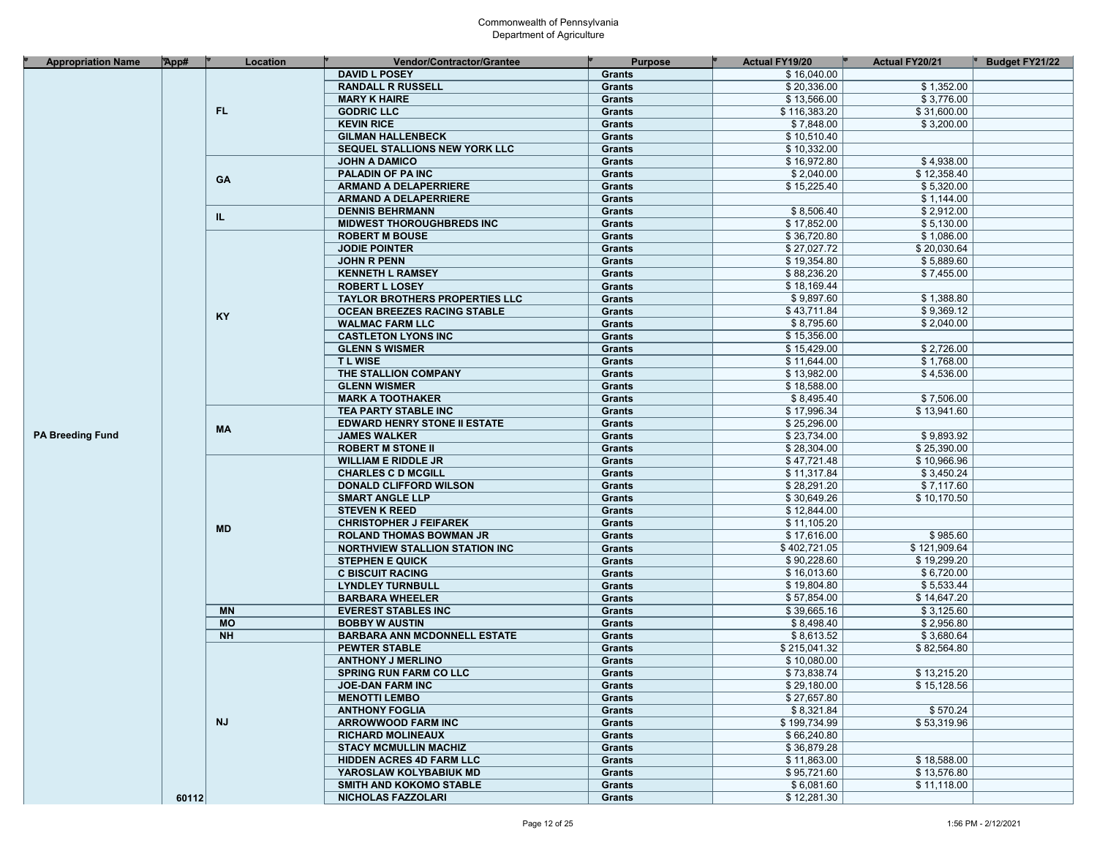| <b>Appropriation Name</b> | TApp# | Location  | Vendor/Contractor/Grantee             | <b>Purpose</b> | <b>Actual FY19/20</b> | <b>Actual FY20/21</b> | <b>Budget FY21/22</b> |
|---------------------------|-------|-----------|---------------------------------------|----------------|-----------------------|-----------------------|-----------------------|
|                           |       |           | <b>DAVID L POSEY</b>                  | <b>Grants</b>  | \$16,040.00           |                       |                       |
|                           |       |           | <b>RANDALL R RUSSELL</b>              | <b>Grants</b>  | \$20,336.00           | \$1,352.00            |                       |
|                           |       |           | <b>MARY K HAIRE</b>                   | <b>Grants</b>  | \$13,566.00           | \$3,776.00            |                       |
|                           |       | FL.       | <b>GODRIC LLC</b>                     | <b>Grants</b>  | \$116,383.20          | \$31,600.00           |                       |
|                           |       |           | <b>KEVIN RICE</b>                     | <b>Grants</b>  | \$7,848.00            | \$3,200.00            |                       |
|                           |       |           | <b>GILMAN HALLENBECK</b>              | <b>Grants</b>  | \$10,510.40           |                       |                       |
|                           |       |           | SEQUEL STALLIONS NEW YORK LLC         | <b>Grants</b>  | \$10,332.00           |                       |                       |
|                           |       |           | <b>JOHN A DAMICO</b>                  | <b>Grants</b>  | \$16,972.80           | \$4,938.00            |                       |
|                           |       |           |                                       |                | \$2,040.00            | \$12,358.40           |                       |
|                           |       | GA        | <b>PALADIN OF PAINC</b>               | <b>Grants</b>  |                       |                       |                       |
|                           |       |           | <b>ARMAND A DELAPERRIERE</b>          | <b>Grants</b>  | \$15,225.40           | \$5,320.00            |                       |
|                           |       |           | <b>ARMAND A DELAPERRIERE</b>          | <b>Grants</b>  |                       | \$1,144.00            |                       |
|                           |       | IL.       | <b>DENNIS BEHRMANN</b>                | <b>Grants</b>  | \$8,506.40            | \$2,912.00            |                       |
|                           |       |           | <b>MIDWEST THOROUGHBREDS INC</b>      | <b>Grants</b>  | \$17,852.00           | \$5,130.00            |                       |
|                           |       |           | <b>ROBERT M BOUSE</b>                 | <b>Grants</b>  | \$36,720.80           | \$1,086.00            |                       |
|                           |       |           | <b>JODIE POINTER</b>                  | <b>Grants</b>  | \$27,027.72           | \$20,030.64           |                       |
|                           |       |           | <b>JOHN R PENN</b>                    | <b>Grants</b>  | \$19,354.80           | \$5,889.60            |                       |
|                           |       |           | <b>KENNETH L RAMSEY</b>               | <b>Grants</b>  | \$88,236.20           | \$7,455.00            |                       |
|                           |       |           | <b>ROBERT L LOSEY</b>                 | <b>Grants</b>  | \$18,169.44           |                       |                       |
|                           |       |           | <b>TAYLOR BROTHERS PROPERTIES LLC</b> | <b>Grants</b>  | \$9,897.60            | \$1,388.80            |                       |
|                           |       |           | OCEAN BREEZES RACING STABLE           | <b>Grants</b>  | \$43,711.84           | \$9,369.12            |                       |
|                           |       | <b>KY</b> | <b>WALMAC FARM LLC</b>                | <b>Grants</b>  | \$8,795.60            | \$2,040.00            |                       |
|                           |       |           | <b>CASTLETON LYONS INC</b>            | <b>Grants</b>  | \$15,356.00           |                       |                       |
|                           |       |           | <b>GLENN S WISMER</b>                 | <b>Grants</b>  | \$15,429.00           | \$2,726.00            |                       |
|                           |       |           | <b>TLWISE</b>                         | <b>Grants</b>  | \$11,644.00           | \$1,768.00            |                       |
|                           |       |           | THE STALLION COMPANY                  |                | \$13,982.00           | \$4,536.00            |                       |
|                           |       |           |                                       | <b>Grants</b>  |                       |                       |                       |
|                           |       |           | <b>GLENN WISMER</b>                   | <b>Grants</b>  | \$18,588.00           |                       |                       |
|                           |       |           | <b>MARK A TOOTHAKER</b>               | <b>Grants</b>  | \$8,495.40            | \$7,506.00            |                       |
|                           |       |           | TEA PARTY STABLE INC                  | <b>Grants</b>  | \$17,996.34           | \$13,941.60           |                       |
|                           |       | MА        | <b>EDWARD HENRY STONE II ESTATE</b>   | <b>Grants</b>  | \$25,296.00           |                       |                       |
| <b>PA Breeding Fund</b>   |       |           | <b>JAMES WALKER</b>                   | <b>Grants</b>  | \$23,734.00           | \$9,893.92            |                       |
|                           |       |           | <b>ROBERT M STONE II</b>              | <b>Grants</b>  | \$28,304.00           | \$25,390.00           |                       |
|                           |       |           | <b>WILLIAM E RIDDLE JR</b>            | <b>Grants</b>  | \$47,721.48           | \$10,966.96           |                       |
|                           |       |           | <b>CHARLES C D MCGILL</b>             | <b>Grants</b>  | \$11,317.84           | \$3,450.24            |                       |
|                           |       |           | <b>DONALD CLIFFORD WILSON</b>         | <b>Grants</b>  | \$28,291.20           | \$7,117.60            |                       |
|                           |       |           | <b>SMART ANGLE LLP</b>                | <b>Grants</b>  | \$30,649.26           | \$10,170.50           |                       |
|                           |       | MD        | <b>STEVEN K REED</b>                  | <b>Grants</b>  | \$12,844.00           |                       |                       |
|                           |       |           | <b>CHRISTOPHER J FEIFAREK</b>         | Grants         | \$11,105.20           |                       |                       |
|                           |       |           | <b>ROLAND THOMAS BOWMAN JR</b>        | <b>Grants</b>  | \$17,616.00           | \$985.60              |                       |
|                           |       |           | <b>NORTHVIEW STALLION STATION INC</b> | <b>Grants</b>  | \$402,721.05          | \$121,909.64          |                       |
|                           |       |           | <b>STEPHEN E QUICK</b>                | <b>Grants</b>  | \$90,228.60           | \$19,299.20           |                       |
|                           |       |           | <b>C BISCUIT RACING</b>               | <b>Grants</b>  | \$16,013.60           | \$6,720.00            |                       |
|                           |       |           | <b>LYNDLEY TURNBULL</b>               | <b>Grants</b>  | \$19,804.80           | \$5,533.44            |                       |
|                           |       |           |                                       | <b>Grants</b>  | \$57,854.00           | \$14,647.20           |                       |
|                           |       |           | <b>BARBARA WHEELER</b>                |                |                       |                       |                       |
|                           |       | <b>MN</b> | <b>EVEREST STABLES INC</b>            | <b>Grants</b>  | \$39,665.16           | \$3,125.60            |                       |
|                           |       | <b>MO</b> | <b>BOBBY W AUSTIN</b>                 | <b>Grants</b>  | \$8,498.40            | \$2,956.80            |                       |
|                           |       | <b>NH</b> | <b>BARBARA ANN MCDONNELL ESTATE</b>   | <b>Grants</b>  | \$8,613.52            | \$3,680.64            |                       |
|                           |       |           | <b>PEWTER STABLE</b>                  | <b>Grants</b>  | \$215,041.32          | \$82,564.80           |                       |
|                           |       |           | <b>ANTHONY J MERLINO</b>              | <b>Grants</b>  | \$10.080.00           |                       |                       |
|                           |       |           | <b>SPRING RUN FARM CO LLC</b>         | <b>Grants</b>  | \$73,838.74           | \$13,215.20           |                       |
|                           |       |           | <b>JOE-DAN FARM INC</b>               | <b>Grants</b>  | \$29,180.00           | \$15,128.56           |                       |
|                           |       |           | <b>MENOTTI LEMBO</b>                  | <b>Grants</b>  | \$27,657.80           |                       |                       |
|                           |       |           | <b>ANTHONY FOGLIA</b>                 | <b>Grants</b>  | \$8,321.84            | \$570.24              |                       |
|                           |       | <b>NJ</b> | <b>ARROWWOOD FARM INC</b>             | <b>Grants</b>  | \$199,734.99          | \$53,319.96           |                       |
|                           |       |           | <b>RICHARD MOLINEAUX</b>              | <b>Grants</b>  | \$66,240.80           |                       |                       |
|                           |       |           | <b>STACY MCMULLIN MACHIZ</b>          | <b>Grants</b>  | \$36,879.28           |                       |                       |
|                           |       |           | <b>HIDDEN ACRES 4D FARM LLC</b>       | <b>Grants</b>  | \$11,863.00           | \$18,588.00           |                       |
|                           |       |           | YAROSLAW KOLYBABIUK MD                | Grants         | \$95,721.60           | \$13,576.80           |                       |
|                           |       |           | SMITH AND KOKOMO STABLE               | <b>Grants</b>  | \$6,081.60            | \$11,118.00           |                       |
|                           | 60112 |           | NICHOLAS FAZZOLARI                    | Grants         | \$12,281.30           |                       |                       |
|                           |       |           |                                       |                |                       |                       |                       |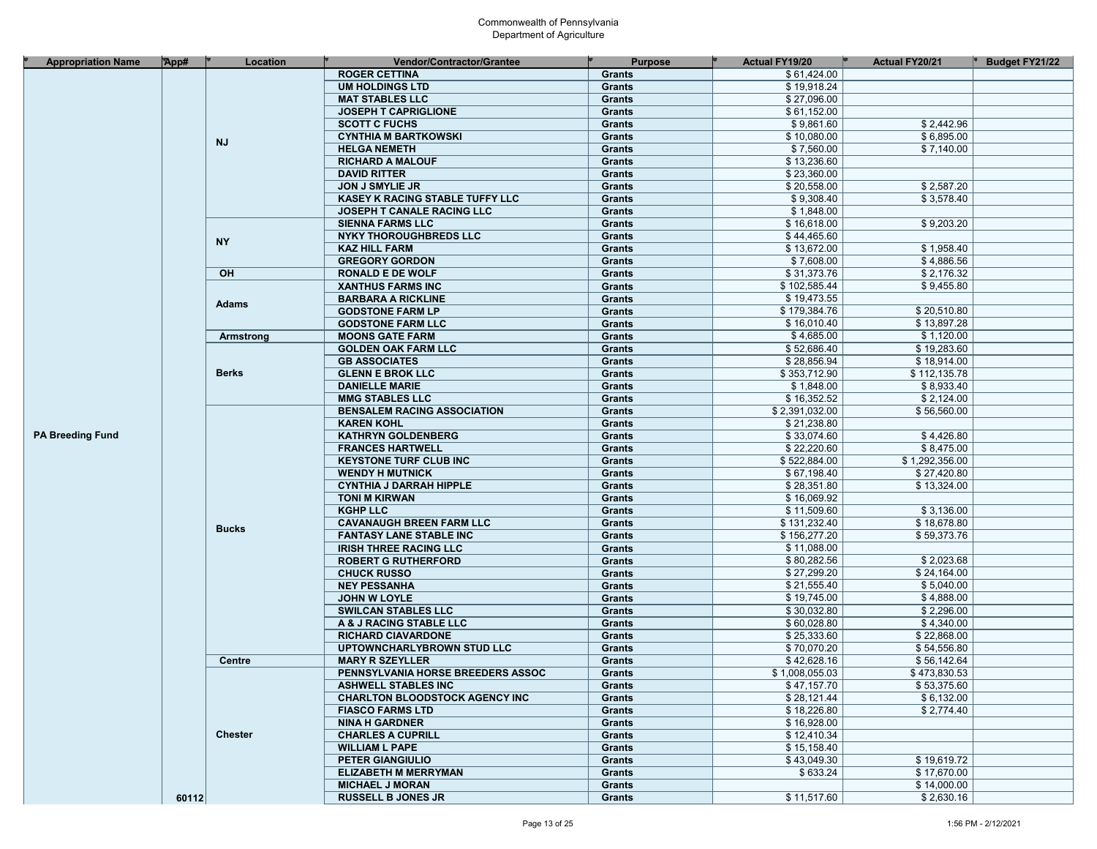| <b>Appropriation Name</b> | App#  | Location       | <b>Vendor/Contractor/Grantee</b>                  | <b>Purpose</b> | <b>Actual FY19/20</b> | <b>Actual FY20/21</b> | <b>Budget FY21/22</b> |
|---------------------------|-------|----------------|---------------------------------------------------|----------------|-----------------------|-----------------------|-----------------------|
|                           |       |                | <b>ROGER CETTINA</b>                              | <b>Grants</b>  | \$61,424.00           |                       |                       |
|                           |       |                | <b>UM HOLDINGS LTD</b>                            | <b>Grants</b>  | \$19,918.24           |                       |                       |
|                           |       |                | <b>MAT STABLES LLC</b>                            | <b>Grants</b>  | \$27,096.00           |                       |                       |
|                           |       |                | <b>JOSEPH T CAPRIGLIONE</b>                       | <b>Grants</b>  | \$61,152.00           |                       |                       |
|                           |       |                | <b>SCOTT C FUCHS</b>                              | <b>Grants</b>  | \$9,861.60            | \$2,442.96            |                       |
|                           |       |                | <b>CYNTHIA M BARTKOWSKI</b>                       | <b>Grants</b>  | \$10,080.00           | \$6,895.00            |                       |
|                           |       | <b>NJ</b>      | <b>HELGA NEMETH</b>                               | <b>Grants</b>  | \$7,560.00            | \$7,140.00            |                       |
|                           |       |                | <b>RICHARD A MALOUF</b>                           | <b>Grants</b>  | \$13,236.60           |                       |                       |
|                           |       |                | <b>DAVID RITTER</b>                               | <b>Grants</b>  | \$23,360.00           |                       |                       |
|                           |       |                | <b>JON J SMYLIE JR</b>                            | <b>Grants</b>  | \$20,558.00           | \$2,587.20            |                       |
|                           |       |                | KASEY K RACING STABLE TUFFY LLC                   | <b>Grants</b>  | \$9,308.40            | \$3,578.40            |                       |
|                           |       |                | JOSEPH T CANALE RACING LLC                        | <b>Grants</b>  | \$1,848.00            |                       |                       |
|                           |       |                | <b>SIENNA FARMS LLC</b>                           |                | \$16,618.00           | \$9,203.20            |                       |
|                           |       |                |                                                   | <b>Grants</b>  | \$44,465.60           |                       |                       |
|                           |       | NY.            | <b>NYKY THOROUGHBREDS LLC</b>                     | <b>Grants</b>  |                       |                       |                       |
|                           |       |                | <b>KAZ HILL FARM</b>                              | <b>Grants</b>  | \$13,672.00           | \$1,958.40            |                       |
|                           |       |                | <b>GREGORY GORDON</b>                             | <b>Grants</b>  | \$7,608.00            | \$4,886.56            |                       |
|                           |       | OH             | <b>RONALD E DE WOLF</b>                           | <b>Grants</b>  | \$31,373.76           | \$2,176.32            |                       |
|                           |       |                | <b>XANTHUS FARMS INC</b>                          | <b>Grants</b>  | \$102,585.44          | \$9,455.80            |                       |
|                           |       | <b>Adams</b>   | <b>BARBARA A RICKLINE</b>                         | <b>Grants</b>  | \$19,473.55           |                       |                       |
|                           |       |                | <b>GODSTONE FARM LP</b>                           | <b>Grants</b>  | \$179,384.76          | \$20,510.80           |                       |
|                           |       |                | <b>GODSTONE FARM LLC</b>                          | <b>Grants</b>  | \$16,010.40           | \$13,897.28           |                       |
|                           |       | Armstrong      | <b>MOONS GATE FARM</b>                            | <b>Grants</b>  | \$4,685.00            | \$1,120.00            |                       |
|                           |       |                | <b>GOLDEN OAK FARM LLC</b>                        | <b>Grants</b>  | \$52,686.40           | \$19,283.60           |                       |
|                           |       |                | <b>GB ASSOCIATES</b>                              | <b>Grants</b>  | \$28,856.94           | \$18,914.00           |                       |
|                           |       | <b>Berks</b>   | <b>GLENN E BROK LLC</b>                           | <b>Grants</b>  | \$353,712.90          | \$112,135.78          |                       |
|                           |       |                | <b>DANIELLE MARIE</b>                             | <b>Grants</b>  | \$1,848.00            | \$8,933.40            |                       |
|                           |       |                | <b>MMG STABLES LLC</b>                            | <b>Grants</b>  | \$16,352.52           | \$2,124.00            |                       |
|                           |       |                | <b>BENSALEM RACING ASSOCIATION</b>                | <b>Grants</b>  | \$2,391,032.00        | \$56,560.00           |                       |
|                           |       |                | <b>KAREN KOHL</b>                                 | <b>Grants</b>  | \$21.238.80           |                       |                       |
| <b>PA Breeding Fund</b>   |       |                | <b>KATHRYN GOLDENBERG</b>                         | <b>Grants</b>  | \$33,074.60           | \$4,426.80            |                       |
|                           |       |                | <b>FRANCES HARTWELL</b>                           | <b>Grants</b>  | \$22,220.60           | \$8,475.00            |                       |
|                           |       |                | <b>KEYSTONE TURF CLUB INC</b>                     | <b>Grants</b>  | \$522,884.00          | \$1,292,356.00        |                       |
|                           |       |                | <b>WENDY H MUTNICK</b>                            | <b>Grants</b>  | \$67,198.40           | \$27,420.80           |                       |
|                           |       | <b>Bucks</b>   | <b>CYNTHIA J DARRAH HIPPLE</b>                    | <b>Grants</b>  | \$28,351.80           | \$13,324.00           |                       |
|                           |       |                | <b>TONI M KIRWAN</b>                              | <b>Grants</b>  | \$16,069.92           |                       |                       |
|                           |       |                | <b>KGHP LLC</b>                                   | <b>Grants</b>  | \$11,509.60           | \$3,136.00            |                       |
|                           |       |                | <b>CAVANAUGH BREEN FARM LLC</b>                   | <b>Grants</b>  | \$131,232.40          | \$18,678.80           |                       |
|                           |       |                | <b>FANTASY LANE STABLE INC</b>                    | <b>Grants</b>  | \$156,277.20          | \$59,373.76           |                       |
|                           |       |                | <b>IRISH THREE RACING LLC</b>                     | <b>Grants</b>  | \$11,088.00           |                       |                       |
|                           |       |                | <b>ROBERT G RUTHERFORD</b>                        | <b>Grants</b>  | \$80,282.56           | \$2,023.68            |                       |
|                           |       |                | <b>CHUCK RUSSO</b>                                | <b>Grants</b>  | \$27,299.20           | \$24,164.00           |                       |
|                           |       |                | <b>NEY PESSANHA</b>                               | <b>Grants</b>  | \$21,555.40           | \$5,040.00            |                       |
|                           |       |                |                                                   | <b>Grants</b>  | \$19,745.00           | \$4,888.00            |                       |
|                           |       |                | <b>JOHN W LOYLE</b><br><b>SWILCAN STABLES LLC</b> | <b>Grants</b>  | \$30,032.80           | \$2,296.00            |                       |
|                           |       |                | A & J RACING STABLE LLC                           |                | \$60,028.80           | \$4,340.00            |                       |
|                           |       |                |                                                   | <b>Grants</b>  | \$25,333.60           | \$22,868.00           |                       |
|                           |       |                | <b>RICHARD CIAVARDONE</b>                         | <b>Grants</b>  |                       |                       |                       |
|                           |       |                | UPTOWNCHARLYBROWN STUD LLC                        | <b>Grants</b>  | \$70,070.20           | \$54,556.80           |                       |
|                           |       | <b>Centre</b>  | <b>MARY R SZEYLLER</b>                            | <b>Grants</b>  | \$42,628.16           | \$56,142.64           |                       |
|                           |       |                | PENNSYLVANIA HORSE BREEDERS ASSOC                 | <b>Grants</b>  | \$1,008,055.03        | \$473,830.53          |                       |
|                           |       |                | <b>ASHWELL STABLES INC</b>                        | Grants         | \$47,157.70           | \$53,375.60           |                       |
|                           |       |                | <b>CHARLTON BLOODSTOCK AGENCY INC</b>             | <b>Grants</b>  | \$28,121.44           | \$6,132.00            |                       |
|                           |       |                | <b>FIASCO FARMS LTD</b>                           | Grants         | \$18,226.80           | \$2,774.40            |                       |
|                           |       |                | <b>NINA H GARDNER</b>                             | <b>Grants</b>  | \$16,928.00           |                       |                       |
|                           |       | <b>Chester</b> | <b>CHARLES A CUPRILL</b>                          | Grants         | \$12,410.34           |                       |                       |
|                           |       |                | <b>WILLIAM L PAPE</b>                             | Grants         | \$15,158.40           |                       |                       |
|                           |       |                | <b>PETER GIANGIULIO</b>                           | Grants         | \$43,049.30           | \$19,619.72           |                       |
|                           |       |                | <b>ELIZABETH M MERRYMAN</b>                       | Grants         | \$633.24              | \$17,670.00           |                       |
|                           |       |                | <b>MICHAEL J MORAN</b>                            | <b>Grants</b>  |                       | \$14,000.00           |                       |
|                           | 60112 |                | <b>RUSSELL B JONES JR</b>                         | Grants         | \$11,517.60           | \$2,630.16            |                       |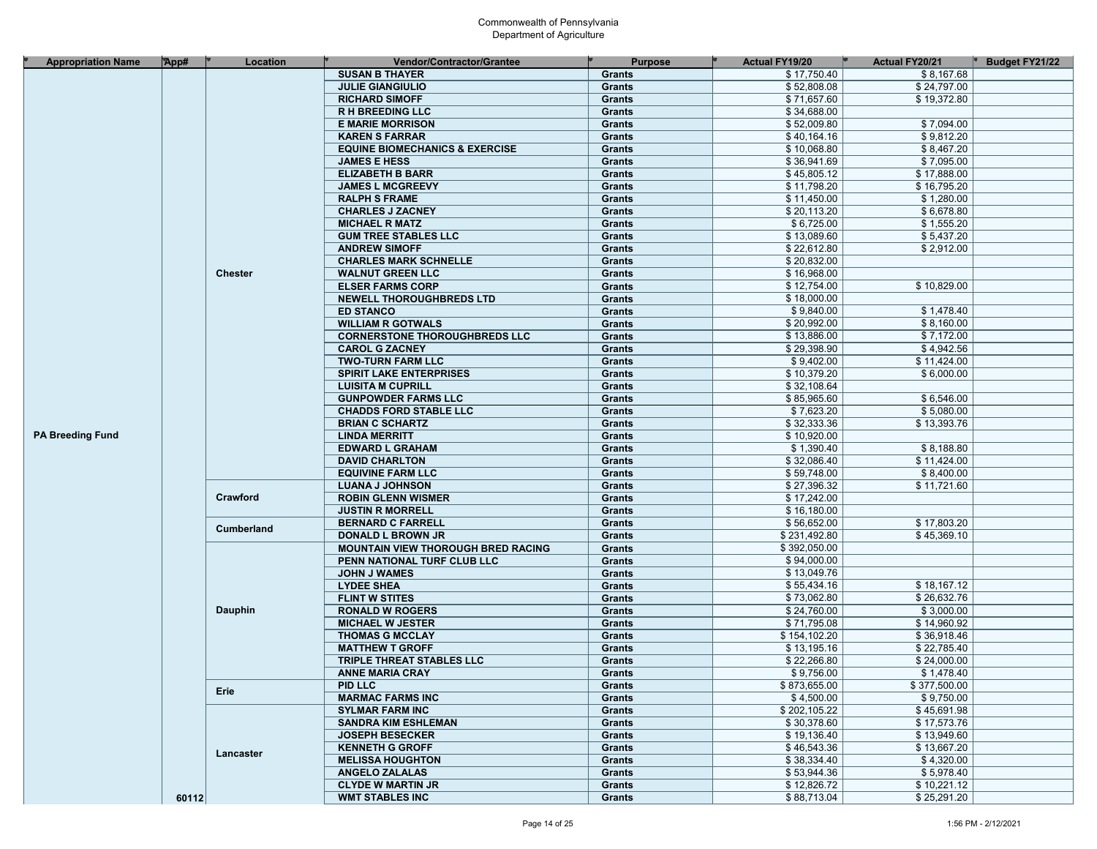| <b>Appropriation Name</b> | $\mathbb{R}$ pp# | Location       | <b>Vendor/Contractor/Grantee</b>                     | <b>Purpose</b> | <b>Actual FY19/20</b> | <b>Actual FY20/21</b>     | <b>Budget FY21/22</b> |
|---------------------------|------------------|----------------|------------------------------------------------------|----------------|-----------------------|---------------------------|-----------------------|
|                           |                  |                | <b>SUSAN B THAYER</b>                                | <b>Grants</b>  | \$17,750.40           | \$8,167.68                |                       |
|                           |                  |                | <b>JULIE GIANGIULIO</b>                              | <b>Grants</b>  | \$52,808.08           | \$24,797.00               |                       |
|                           |                  |                | <b>RICHARD SIMOFF</b>                                | <b>Grants</b>  | \$71,657.60           | \$19,372.80               |                       |
|                           |                  |                | <b>R H BREEDING LLC</b>                              | <b>Grants</b>  | \$34,688.00           |                           |                       |
|                           |                  |                | <b>E MARIE MORRISON</b>                              | <b>Grants</b>  | \$52,009.80           | \$7,094.00                |                       |
|                           |                  |                | <b>KAREN S FARRAR</b>                                | <b>Grants</b>  | \$40,164.16           | \$9,812.20                |                       |
|                           |                  |                | <b>EQUINE BIOMECHANICS &amp; EXERCISE</b>            | <b>Grants</b>  | \$10,068.80           | \$8,467.20                |                       |
|                           |                  |                | <b>JAMES E HESS</b>                                  | <b>Grants</b>  | \$36,941.69           | \$7,095.00                |                       |
|                           |                  |                | <b>ELIZABETH B BARR</b>                              | <b>Grants</b>  | \$45,805.12           | \$17,888.00               |                       |
|                           |                  |                | <b>JAMES L MCGREEVY</b>                              | <b>Grants</b>  | \$11,798.20           | \$16,795.20               |                       |
|                           |                  |                | <b>RALPH S FRAME</b>                                 | <b>Grants</b>  | \$11,450.00           | \$1,280.00                |                       |
|                           |                  |                | <b>CHARLES J ZACNEY</b>                              | <b>Grants</b>  | \$20,113.20           | \$6,678.80                |                       |
|                           |                  |                |                                                      |                | \$6,725.00            | \$1,555.20                |                       |
|                           |                  |                | <b>MICHAEL R MATZ</b><br><b>GUM TREE STABLES LLC</b> | <b>Grants</b>  | \$13,089.60           | \$5,437.20                |                       |
|                           |                  |                |                                                      | <b>Grants</b>  |                       |                           |                       |
|                           |                  |                | <b>ANDREW SIMOFF</b>                                 | Grants         | \$22,612.80           | \$2,912.00                |                       |
|                           |                  |                | <b>CHARLES MARK SCHNELLE</b>                         | <b>Grants</b>  | \$20,832.00           |                           |                       |
|                           |                  | <b>Chester</b> | <b>WALNUT GREEN LLC</b>                              | <b>Grants</b>  | \$16,968.00           |                           |                       |
|                           |                  |                | <b>ELSER FARMS CORP</b>                              | <b>Grants</b>  | \$12,754.00           | \$10,829.00               |                       |
|                           |                  |                | <b>NEWELL THOROUGHBREDS LTD</b>                      | Grants         | \$18,000.00           |                           |                       |
|                           |                  |                | <b>ED STANCO</b>                                     | <b>Grants</b>  | \$9,840.00            | \$1,478.40                |                       |
|                           |                  |                | <b>WILLIAM R GOTWALS</b>                             | Grants         | \$20,992.00           | \$8,160.00                |                       |
|                           |                  |                | <b>CORNERSTONE THOROUGHBREDS LLC</b>                 | <b>Grants</b>  | \$13,886.00           | \$7,172.00                |                       |
|                           |                  |                | <b>CAROL G ZACNEY</b>                                | <b>Grants</b>  | \$29,398.90           | \$4,942.56                |                       |
|                           |                  |                | <b>TWO-TURN FARM LLC</b>                             | <b>Grants</b>  | \$9,402.00            | \$11,424.00               |                       |
|                           |                  |                | <b>SPIRIT LAKE ENTERPRISES</b>                       | <b>Grants</b>  | \$10,379.20           | \$6,000.00                |                       |
|                           |                  |                | <b>LUISITA M CUPRILL</b>                             | <b>Grants</b>  | \$32,108.64           |                           |                       |
|                           |                  |                | <b>GUNPOWDER FARMS LLC</b>                           | <b>Grants</b>  | \$85,965.60           | \$6,546.00                |                       |
|                           |                  |                | <b>CHADDS FORD STABLE LLC</b>                        | <b>Grants</b>  | \$7,623.20            | \$5,080.00                |                       |
|                           |                  |                | <b>BRIAN C SCHARTZ</b>                               | Grants         | \$32,333.36           | \$13,393.76               |                       |
| <b>PA Breeding Fund</b>   |                  |                | <b>LINDA MERRITT</b>                                 | <b>Grants</b>  | \$10,920.00           |                           |                       |
|                           |                  |                | <b>EDWARD L GRAHAM</b>                               | <b>Grants</b>  | \$1,390.40            | \$8,188.80                |                       |
|                           |                  |                | <b>DAVID CHARLTON</b>                                | <b>Grants</b>  | \$32,086.40           | \$11,424.00               |                       |
|                           |                  |                | <b>EQUIVINE FARM LLC</b>                             | Grants         | \$59,748.00           | \$8,400.00                |                       |
|                           |                  |                | <b>LUANA J JOHNSON</b>                               | <b>Grants</b>  | \$27,396.32           | \$11,721.60               |                       |
|                           |                  | Crawford       | <b>ROBIN GLENN WISMER</b>                            | <b>Grants</b>  | \$17,242.00           |                           |                       |
|                           |                  |                | <b>JUSTIN R MORRELL</b>                              | <b>Grants</b>  | \$16,180.00           |                           |                       |
|                           |                  | Cumberland     | <b>BERNARD C FARRELL</b>                             | <b>Grants</b>  | \$56,652.00           | \$17,803.20               |                       |
|                           |                  |                | <b>DONALD L BROWN JR</b>                             | <b>Grants</b>  | \$231,492.80          | \$45,369.10               |                       |
|                           |                  |                | <b>MOUNTAIN VIEW THOROUGH BRED RACING</b>            | <b>Grants</b>  | \$392,050.00          |                           |                       |
|                           |                  |                | PENN NATIONAL TURF CLUB LLC                          | <b>Grants</b>  | \$94,000.00           |                           |                       |
|                           |                  |                | <b>JOHN J WAMES</b>                                  | <b>Grants</b>  | \$13,049.76           |                           |                       |
|                           |                  |                | <b>LYDEE SHEA</b>                                    | <b>Grants</b>  | \$55,434.16           | \$18,167.12               |                       |
|                           |                  |                | <b>FLINT W STITES</b>                                | <b>Grants</b>  | \$73,062.80           | \$26,632.76               |                       |
|                           |                  | Dauphin        | <b>RONALD W ROGERS</b>                               | <b>Grants</b>  | \$24,760.00           | \$3.000.00                |                       |
|                           |                  |                | <b>MICHAEL W JESTER</b>                              | <b>Grants</b>  | \$71,795.08           | \$14,960.92               |                       |
|                           |                  |                | <b>THOMAS G MCCLAY</b>                               | <b>Grants</b>  | \$154,102.20          | \$36,918.46               |                       |
|                           |                  |                |                                                      |                | \$13,195.16           | \$22,785.40               |                       |
|                           |                  |                | <b>MATTHEW T GROFF</b>                               | Grants         | \$22,266.80           |                           |                       |
|                           |                  |                | TRIPLE THREAT STABLES LLC                            | <b>Grants</b>  |                       | \$24,000.00<br>\$1,478.40 |                       |
|                           |                  |                | <b>ANNE MARIA CRAY</b>                               | <b>Grants</b>  | \$9,756.00            |                           |                       |
|                           |                  | Erie           | PID LLC                                              | Grants         | \$873,655.00          | \$377,500.00              |                       |
|                           |                  |                | <b>MARMAC FARMS INC</b>                              | Grants         | \$4,500.00            | \$9,750.00                |                       |
|                           |                  |                | <b>SYLMAR FARM INC</b>                               | <b>Grants</b>  | \$202,105.22          | \$45,691.98               |                       |
|                           |                  |                | <b>SANDRA KIM ESHLEMAN</b>                           | Grants         | \$30,378.60           | \$17,573.76               |                       |
|                           |                  |                | <b>JOSEPH BESECKER</b>                               | <b>Grants</b>  | \$19,136.40           | \$13,949.60               |                       |
|                           |                  | Lancaster      | <b>KENNETH G GROFF</b>                               | Grants         | \$46,543.36           | \$13,667.20               |                       |
|                           |                  |                | <b>MELISSA HOUGHTON</b>                              | Grants         | \$38,334.40           | \$4,320.00                |                       |
|                           |                  |                | <b>ANGELO ZALALAS</b>                                | Grants         | \$53,944.36           | \$5,978.40                |                       |
|                           |                  |                | <b>CLYDE W MARTIN JR</b>                             | Grants         | \$12,826.72           | \$10,221.12               |                       |
|                           | 60112            |                | <b>WMT STABLES INC</b>                               | Grants         | \$88,713.04           | \$25,291.20               |                       |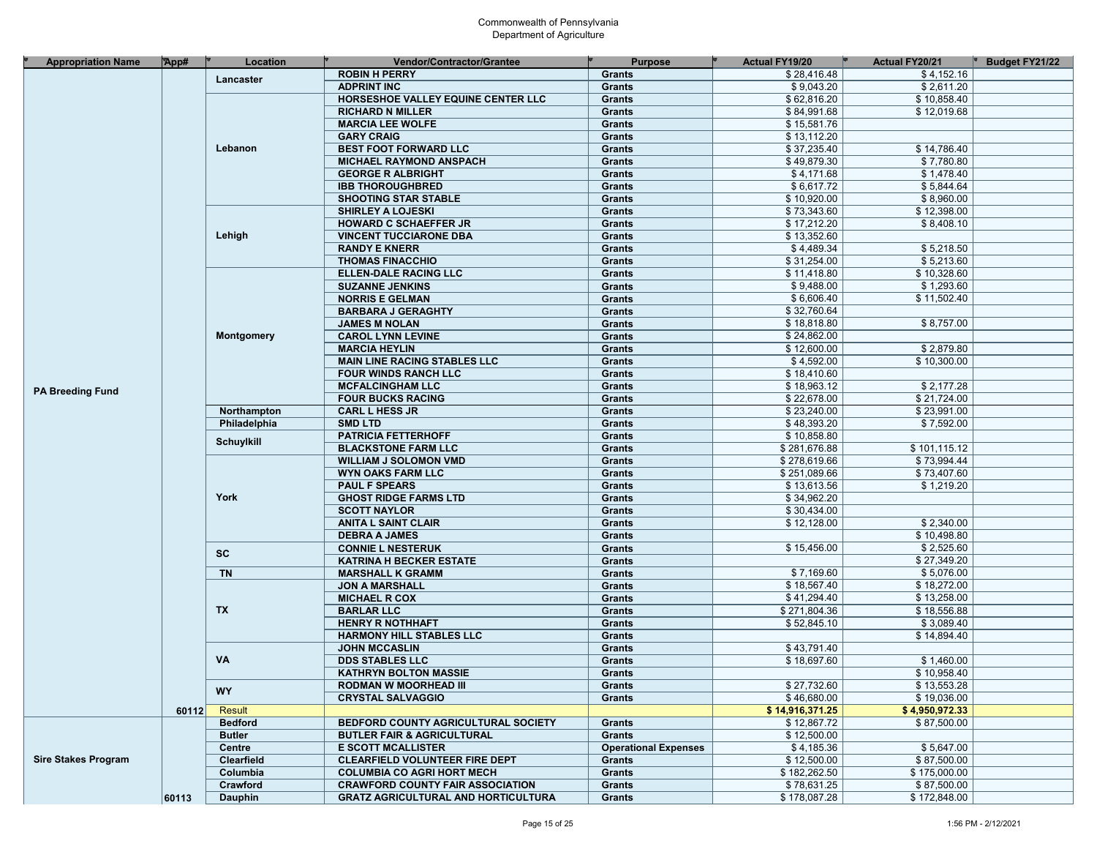| <b>Appropriation Name</b>  | App#  | Location          | <b>Vendor/Contractor/Grantee</b>           | <b>Purpose</b>              | <b>Actual FY19/20</b> | Actual FY20/21 | <b>Budget FY21/22</b> |
|----------------------------|-------|-------------------|--------------------------------------------|-----------------------------|-----------------------|----------------|-----------------------|
|                            |       | Lancaster         | <b>ROBIN H PERRY</b>                       | Grants                      | \$28,416.48           | \$4,152.16     |                       |
|                            |       |                   | <b>ADPRINT INC</b>                         | <b>Grants</b>               | \$9,043.20            | \$2,611.20     |                       |
|                            |       |                   | HORSESHOE VALLEY EQUINE CENTER LLC         | Grants                      | \$62,816.20           | \$10,858.40    |                       |
|                            |       |                   | <b>RICHARD N MILLER</b>                    | Grants                      | \$84,991.68           | \$12,019.68    |                       |
|                            |       |                   | <b>MARCIA LEE WOLFE</b>                    | Grants                      | \$15,581.76           |                |                       |
|                            |       |                   | <b>GARY CRAIG</b>                          | Grants                      | \$13,112.20           |                |                       |
|                            |       | Lebanon           | <b>BEST FOOT FORWARD LLC</b>               | Grants                      | \$37,235.40           | \$14,786.40    |                       |
|                            |       |                   | <b>MICHAEL RAYMOND ANSPACH</b>             | Grants                      | \$49,879.30           | \$7,780.80     |                       |
|                            |       |                   | <b>GEORGE R ALBRIGHT</b>                   | Grants                      | \$4,171.68            | \$1,478.40     |                       |
|                            |       |                   | <b>IBB THOROUGHBRED</b>                    | Grants                      | \$6,617.72            | \$5,844.64     |                       |
|                            |       |                   | <b>SHOOTING STAR STABLE</b>                | Grants                      | \$10,920.00           | \$8,960.00     |                       |
|                            |       |                   | <b>SHIRLEY A LOJESKI</b>                   |                             | \$73,343.60           | \$12,398.00    |                       |
|                            |       |                   |                                            | Grants                      |                       |                |                       |
|                            |       |                   | <b>HOWARD C SCHAEFFER JR</b>               | Grants                      | \$17,212.20           | \$8,408.10     |                       |
|                            |       | Lehigh            | <b>VINCENT TUCCIARONE DBA</b>              | Grants                      | \$13,352.60           |                |                       |
|                            |       |                   | <b>RANDY E KNERR</b>                       | Grants                      | \$4,489.34            | \$5,218.50     |                       |
|                            |       |                   | <b>THOMAS FINACCHIO</b>                    | Grants                      | \$31,254.00           | \$5,213.60     |                       |
|                            |       |                   | <b>ELLEN-DALE RACING LLC</b>               | Grants                      | \$11,418.80           | \$10,328.60    |                       |
|                            |       |                   | <b>SUZANNE JENKINS</b>                     | Grants                      | \$9,488.00            | \$1,293.60     |                       |
|                            |       |                   | <b>NORRIS E GELMAN</b>                     | Grants                      | \$6,606.40            | \$11,502.40    |                       |
|                            |       |                   | <b>BARBARA J GERAGHTY</b>                  | Grants                      | \$32,760.64           |                |                       |
|                            |       |                   | <b>JAMES M NOLAN</b>                       | Grants                      | \$18,818.80           | \$8,757.00     |                       |
|                            |       | Montgomery        | <b>CAROL LYNN LEVINE</b>                   | Grants                      | \$24,862.00           |                |                       |
|                            |       |                   | <b>MARCIA HEYLIN</b>                       | Grants                      | \$12,600.00           | \$2.879.80     |                       |
|                            |       |                   | <b>MAIN LINE RACING STABLES LLC</b>        | Grants                      | \$4,592.00            | \$10,300.00    |                       |
|                            |       |                   | <b>FOUR WINDS RANCH LLC</b>                | Grants                      | \$18,410.60           |                |                       |
|                            |       |                   | <b>MCFALCINGHAM LLC</b>                    | Grants                      | \$18,963.12           | \$2,177.28     |                       |
| <b>PA Breeding Fund</b>    |       |                   | <b>FOUR BUCKS RACING</b>                   | Grants                      | \$22,678.00           | \$21,724.00    |                       |
|                            |       | Northampton       | <b>CARL L HESS JR</b>                      | <b>Grants</b>               | \$23,240.00           | \$23.991.00    |                       |
|                            |       | Philadelphia      | <b>SMD LTD</b>                             | Grants                      | \$48,393.20           | \$7,592.00     |                       |
|                            |       |                   | <b>PATRICIA FETTERHOFF</b>                 | Grants                      | \$10,858.80           |                |                       |
|                            |       | <b>Schuylkill</b> | <b>BLACKSTONE FARM LLC</b>                 | Grants                      | \$281,676.88          | \$101,115.12   |                       |
|                            |       |                   | <b>WILLIAM J SOLOMON VMD</b>               | Grants                      | \$278,619.66          | \$73,994.44    |                       |
|                            |       |                   | <b>WYN OAKS FARM LLC</b>                   | Grants                      | \$251,089.66          | \$73,407.60    |                       |
|                            |       | York              | <b>PAUL F SPEARS</b>                       | Grants                      | \$13,613.56           | \$1,219.20     |                       |
|                            |       |                   | <b>GHOST RIDGE FARMS LTD</b>               | Grants                      | \$34,962.20           |                |                       |
|                            |       |                   | <b>SCOTT NAYLOR</b>                        |                             | \$30,434.00           |                |                       |
|                            |       |                   |                                            | Grants                      | \$12,128.00           | \$2,340.00     |                       |
|                            |       |                   | <b>ANITA L SAINT CLAIR</b>                 | Grants                      |                       | \$10,498.80    |                       |
|                            |       |                   | <b>DEBRA A JAMES</b>                       | Grants                      |                       |                |                       |
|                            |       | <b>SC</b>         | <b>CONNIE L NESTERUK</b>                   | <b>Grants</b>               | \$15,456.00           | \$2,525.60     |                       |
|                            |       |                   | <b>KATRINA H BECKER ESTATE</b>             | Grants                      |                       | \$27,349.20    |                       |
|                            |       | <b>TN</b>         | <b>MARSHALL K GRAMM</b>                    | Grants                      | \$7,169.60            | \$5,076.00     |                       |
|                            |       |                   | <b>JON A MARSHALL</b>                      | Grants                      | \$18,567.40           | \$18,272.00    |                       |
|                            |       |                   | <b>MICHAEL R COX</b>                       | Grants                      | \$41,294.40           | \$13,258.00    |                       |
|                            |       | <b>TX</b>         | <b>BARLAR LLC</b>                          | Grants                      | \$271,804.36          | \$18,556.88    |                       |
|                            |       |                   | <b>HENRY R NOTHHAFT</b>                    | Grants                      | \$52,845.10           | \$3,089.40     |                       |
|                            |       |                   | <b>HARMONY HILL STABLES LLC</b>            | Grants                      |                       | \$14,894.40    |                       |
|                            |       |                   | <b>JOHN MCCASLIN</b>                       | Grants                      | \$43,791.40           |                |                       |
|                            |       | VA                | <b>DDS STABLES LLC</b>                     | Grants                      | \$18,697.60           | \$1,460.00     |                       |
|                            |       |                   | <b>KATHRYN BOLTON MASSIE</b>               | <b>Grants</b>               |                       | \$10,958.40    |                       |
|                            |       | <b>WY</b>         | <b>RODMAN W MOORHEAD III</b>               | Grants                      | \$27,732.60           | \$13,553.28    |                       |
|                            |       |                   | <b>CRYSTAL SALVAGGIO</b>                   | <b>Grants</b>               | \$46,680.00           | \$19,036.00    |                       |
|                            | 60112 | Result            |                                            |                             | \$14,916,371.25       | \$4,950,972.33 |                       |
|                            |       | <b>Bedford</b>    | BEDFORD COUNTY AGRICULTURAL SOCIETY        | <b>Grants</b>               | \$12,867.72           | \$87,500.00    |                       |
|                            |       | <b>Butler</b>     | <b>BUTLER FAIR &amp; AGRICULTURAL</b>      | <b>Grants</b>               | \$12.500.00           |                |                       |
|                            |       | Centre            | <b>E SCOTT MCALLISTER</b>                  | <b>Operational Expenses</b> | \$4,185.36            | \$5,647.00     |                       |
| <b>Sire Stakes Program</b> |       | <b>Clearfield</b> | <b>CLEARFIELD VOLUNTEER FIRE DEPT</b>      | <b>Grants</b>               | \$12,500.00           | \$87,500.00    |                       |
|                            |       | Columbia          | <b>COLUMBIA CO AGRI HORT MECH</b>          | Grants                      | \$182,262.50          | \$175,000.00   |                       |
|                            |       | Crawford          | <b>CRAWFORD COUNTY FAIR ASSOCIATION</b>    | Grants                      | \$78,631.25           | \$87,500.00    |                       |
|                            | 60113 | <b>Dauphin</b>    | <b>GRATZ AGRICULTURAL AND HORTICULTURA</b> | Grants                      | \$178,087.28          | \$172,848.00   |                       |
|                            |       |                   |                                            |                             |                       |                |                       |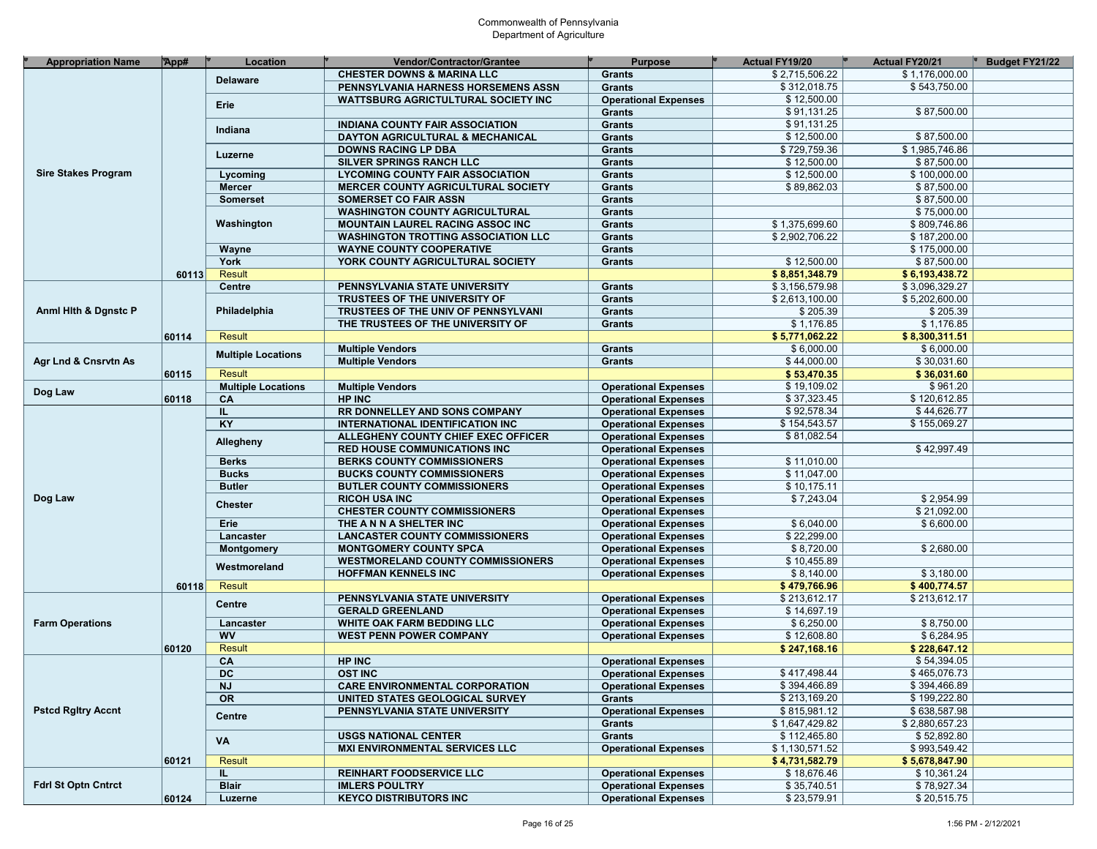| <b>Appropriation Name</b>  | App#  | Location                  | Vendor/Contractor/Grantee                  | <b>Purpose</b>              | Actual FY19/20            | Actual FY20/21 | Budget FY21/22 |
|----------------------------|-------|---------------------------|--------------------------------------------|-----------------------------|---------------------------|----------------|----------------|
|                            |       | <b>Delaware</b>           | <b>CHESTER DOWNS &amp; MARINA LLC</b>      | <b>Grants</b>               | \$2,715,506.22            | \$1,176,000.00 |                |
|                            |       |                           | PENNSYLVANIA HARNESS HORSEMENS ASSN        | <b>Grants</b>               | \$312,018.75              | \$543,750.00   |                |
|                            |       |                           | WATTSBURG AGRICTULTURAL SOCIETY INC        | <b>Operational Expenses</b> | \$12,500.00               |                |                |
|                            |       | Erie                      |                                            | <b>Grants</b>               | \$91,131.25               | \$87,500.00    |                |
|                            |       |                           | <b>INDIANA COUNTY FAIR ASSOCIATION</b>     | <b>Grants</b>               | \$91,131.25               |                |                |
|                            |       | Indiana                   | DAYTON AGRICULTURAL & MECHANICAL           | <b>Grants</b>               | \$12,500.00               | \$87,500.00    |                |
|                            |       |                           | <b>DOWNS RACING LP DBA</b>                 | <b>Grants</b>               | \$729,759.36              | \$1,985,746.86 |                |
|                            |       | Luzerne                   | SILVER SPRINGS RANCH LLC                   | <b>Grants</b>               | \$12,500.00               | \$87,500.00    |                |
| <b>Sire Stakes Program</b> |       | Lycoming                  | <b>LYCOMING COUNTY FAIR ASSOCIATION</b>    | <b>Grants</b>               | \$12,500.00               | \$100,000.00   |                |
|                            |       | <b>Mercer</b>             | <b>MERCER COUNTY AGRICULTURAL SOCIETY</b>  | <b>Grants</b>               | \$89,862.03               | \$87,500.00    |                |
|                            |       | <b>Somerset</b>           | <b>SOMERSET CO FAIR ASSN</b>               | <b>Grants</b>               |                           | \$87,500.00    |                |
|                            |       |                           |                                            |                             |                           | \$75,000.00    |                |
|                            |       | Washington                | <b>WASHINGTON COUNTY AGRICULTURAL</b>      | <b>Grants</b>               |                           |                |                |
|                            |       |                           | <b>MOUNTAIN LAUREL RACING ASSOC INC</b>    | <b>Grants</b>               | \$1,375,699.60            | \$809,746.86   |                |
|                            |       |                           | <b>WASHINGTON TROTTING ASSOCIATION LLC</b> | <b>Grants</b>               | \$2,902,706.22            | \$187,200.00   |                |
|                            |       | Wayne                     | <b>WAYNE COUNTY COOPERATIVE</b>            | <b>Grants</b>               |                           | \$175,000.00   |                |
|                            |       | York                      | YORK COUNTY AGRICULTURAL SOCIETY           | <b>Grants</b>               | \$12,500.00               | \$87,500.00    |                |
|                            | 60113 | <b>Result</b>             |                                            |                             | \$8,851,348.79            | \$6,193,438.72 |                |
|                            |       | Centre                    | PENNSYLVANIA STATE UNIVERSITY              | <b>Grants</b>               | \$3,156,579.98            | \$3,096,329.27 |                |
|                            |       |                           | TRUSTEES OF THE UNIVERSITY OF              | <b>Grants</b>               | \$2,613,100.00            | \$5,202,600.00 |                |
| Anml Hith & Dgnstc P       |       | Philadelphia              | TRUSTEES OF THE UNIV OF PENNSYLVANI        | <b>Grants</b>               | \$205.39                  | \$205.39       |                |
|                            |       |                           | THE TRUSTEES OF THE UNIVERSITY OF          | <b>Grants</b>               | \$1,176.85                | \$1,176.85     |                |
|                            | 60114 | <b>Result</b>             |                                            |                             | \$5,771,062.22            | \$8,300,311.51 |                |
|                            |       | <b>Multiple Locations</b> | <b>Multiple Vendors</b>                    | <b>Grants</b>               | \$6,000.00                | \$6,000.00     |                |
| Agr Lnd & Cnsrvtn As       |       |                           | <b>Multiple Vendors</b>                    | <b>Grants</b>               | \$44,000.00               | \$30,031.60    |                |
|                            | 60115 | <b>Result</b>             |                                            |                             | \$53,470.35               | \$36,031.60    |                |
|                            |       | <b>Multiple Locations</b> | <b>Multiple Vendors</b>                    | <b>Operational Expenses</b> | \$19,109.02               | \$961.20       |                |
| Dog Law                    | 60118 | CA                        | <b>HP INC</b>                              | <b>Operational Expenses</b> | \$37,323.45               | \$120,612.85   |                |
|                            |       | IL.                       | RR DONNELLEY AND SONS COMPANY              | <b>Operational Expenses</b> | \$92,578.34               | \$44,626.77    |                |
|                            |       | KT                        | INTERNATIONAL IDENTIFICATION INC           | <b>Operational Expenses</b> | \$154,543.57              | \$155,069.27   |                |
|                            |       |                           | ALLEGHENY COUNTY CHIEF EXEC OFFICER        | <b>Operational Expenses</b> | \$81,082.54               |                |                |
|                            |       | Allegheny                 | <b>RED HOUSE COMMUNICATIONS INC</b>        | <b>Operational Expenses</b> |                           | \$42,997.49    |                |
|                            |       | <b>Berks</b>              | <b>BERKS COUNTY COMMISSIONERS</b>          | <b>Operational Expenses</b> | \$11,010.00               |                |                |
|                            |       | <b>Bucks</b>              | <b>BUCKS COUNTY COMMISSIONERS</b>          | <b>Operational Expenses</b> | \$11,047.00               |                |                |
|                            |       | <b>Butler</b>             | <b>BUTLER COUNTY COMMISSIONERS</b>         | <b>Operational Expenses</b> | \$10,175.11               |                |                |
| Dog Law                    |       |                           | <b>RICOH USA INC</b>                       | <b>Operational Expenses</b> | \$7,243.04                | \$2,954.99     |                |
|                            |       | <b>Chester</b>            | <b>CHESTER COUNTY COMMISSIONERS</b>        | <b>Operational Expenses</b> |                           | \$21,092.00    |                |
|                            |       |                           |                                            |                             |                           |                |                |
|                            |       | Erie                      | THE ANN A SHELTER INC                      | <b>Operational Expenses</b> | \$6,040.00<br>\$22,299.00 | \$6,600.00     |                |
|                            |       | Lancaster                 | <b>LANCASTER COUNTY COMMISSIONERS</b>      | <b>Operational Expenses</b> |                           |                |                |
|                            |       | <b>Montgomery</b>         | <b>MONTGOMERY COUNTY SPCA</b>              | <b>Operational Expenses</b> | \$8,720.00                | \$2,680.00     |                |
|                            |       | Westmoreland              | <b>WESTMORELAND COUNTY COMMISSIONERS</b>   | <b>Operational Expenses</b> | \$10,455.89               |                |                |
|                            |       |                           | <b>HOFFMAN KENNELS INC</b>                 | <b>Operational Expenses</b> | \$8,140.00                | \$3,180.00     |                |
|                            | 60118 | <b>Result</b>             |                                            |                             | \$479,766.96              | \$400,774.57   |                |
|                            |       | <b>Centre</b>             | PENNSYLVANIA STATE UNIVERSITY              | <b>Operational Expenses</b> | \$213,612.17              | \$213,612.17   |                |
|                            |       |                           | <b>GERALD GREENLAND</b>                    | <b>Operational Expenses</b> | \$14,697.19               |                |                |
| <b>Farm Operations</b>     |       | Lancaster                 | WHITE OAK FARM BEDDING LLC                 | <b>Operational Expenses</b> | \$6,250.00                | \$8,750.00     |                |
|                            |       | <b>WV</b>                 | <b>WEST PENN POWER COMPANY</b>             | <b>Operational Expenses</b> | \$12,608.80               | \$6,284.95     |                |
|                            | 60120 | <b>Result</b>             |                                            |                             | \$247,168.16              | \$228,647.12   |                |
|                            |       | CA                        | <b>HP INC</b>                              | <b>Operational Expenses</b> |                           | \$54,394.05    |                |
|                            |       | <b>DC</b>                 | <b>OST INC</b>                             | <b>Operational Expenses</b> | \$417,498.44              | \$465,076.73   |                |
|                            |       | <b>NJ</b>                 | <b>CARE ENVIRONMENTAL CORPORATION</b>      | <b>Operational Expenses</b> | \$394,466.89              | \$394,466.89   |                |
|                            |       | $\overline{\text{OR}}$    | UNITED STATES GEOLOGICAL SURVEY            | <b>Grants</b>               | \$213,169.20              | \$199,222.80   |                |
| <b>Pstcd Rgitry Accnt</b>  |       |                           | PENNSYLVANIA STATE UNIVERSITY              | <b>Operational Expenses</b> | \$815,981.12              | \$638,587.98   |                |
|                            |       | Centre                    |                                            | Grants                      | \$1,647,429.82            | \$2,880,657.23 |                |
|                            |       |                           | <b>USGS NATIONAL CENTER</b>                | <b>Grants</b>               | \$112,465.80              | \$52,892.80    |                |
|                            |       | VA                        | <b>MXI ENVIRONMENTAL SERVICES LLC</b>      | <b>Operational Expenses</b> | \$1,130,571.52            | \$993,549.42   |                |
|                            | 60121 | <b>Result</b>             |                                            |                             | \$4,731,582.79            | \$5,678,847.90 |                |
|                            |       | IL.                       | <b>REINHART FOODSERVICE LLC</b>            | <b>Operational Expenses</b> | \$18,676.46               | \$10,361.24    |                |
| <b>Fdrl St Optn Cntrct</b> |       | <b>Blair</b>              | <b>IMLERS POULTRY</b>                      | <b>Operational Expenses</b> | \$35,740.51               | \$78,927.34    |                |
|                            | 60124 | Luzerne                   | <b>KEYCO DISTRIBUTORS INC</b>              | <b>Operational Expenses</b> | \$23,579.91               | \$20,515.75    |                |
|                            |       |                           |                                            |                             |                           |                |                |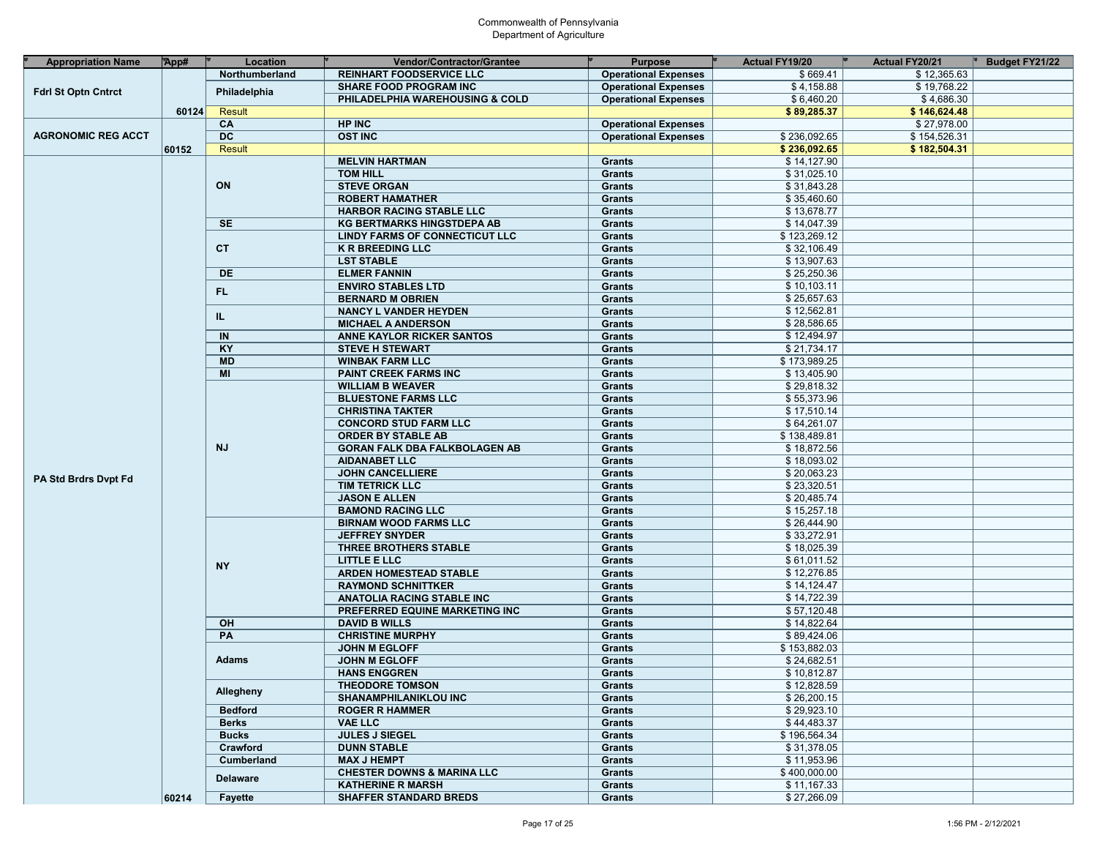| <b>Appropriation Name</b>   | App#  | Location        | Vendor/Contractor/Grantee             | <b>Purpose</b>              | <b>Actual FY19/20</b> | Actual FY20/21 | Budget FY21/22 |
|-----------------------------|-------|-----------------|---------------------------------------|-----------------------------|-----------------------|----------------|----------------|
|                             |       | Northumberland  | <b>REINHART FOODSERVICE LLC</b>       | <b>Operational Expenses</b> | \$669.41              | \$12,365.63    |                |
|                             |       |                 | <b>SHARE FOOD PROGRAM INC</b>         | <b>Operational Expenses</b> | \$4,158.88            | \$19,768.22    |                |
| <b>Fdrl St Optn Cntrct</b>  |       | Philadelphia    | PHILADELPHIA WAREHOUSING & COLD       | <b>Operational Expenses</b> | \$6,460.20            | \$4,686.30     |                |
|                             | 60124 | Result          |                                       |                             | \$89,285.37           | \$146,624.48   |                |
|                             |       | CA              | <b>HP INC</b>                         | <b>Operational Expenses</b> |                       | \$27,978.00    |                |
| <b>AGRONOMIC REG ACCT</b>   |       | $\overline{DC}$ | <b>OST INC</b>                        | <b>Operational Expenses</b> | \$236,092.65          | \$154,526.31   |                |
|                             | 60152 | Result          |                                       |                             | \$236,092.65          | \$182,504.31   |                |
|                             |       |                 | <b>MELVIN HARTMAN</b>                 | <b>Grants</b>               | \$14,127.90           |                |                |
|                             |       |                 | <b>TOM HILL</b>                       | Grants                      | \$31,025.10           |                |                |
|                             |       | ON              | <b>STEVE ORGAN</b>                    | Grants                      | \$31,843.28           |                |                |
|                             |       |                 | <b>ROBERT HAMATHER</b>                | Grants                      | \$35,460.60           |                |                |
|                             |       |                 | <b>HARBOR RACING STABLE LLC</b>       | Grants                      | \$13,678.77           |                |                |
|                             |       | <b>SE</b>       | <b>KG BERTMARKS HINGSTDEPA AB</b>     | <b>Grants</b>               | \$14,047.39           |                |                |
|                             |       |                 | <b>LINDY FARMS OF CONNECTICUT LLC</b> | <b>Grants</b>               | \$123,269.12          |                |                |
|                             |       | <b>CT</b>       | <b>K R BREEDING LLC</b>               | Grants                      | \$32,106.49           |                |                |
|                             |       |                 | <b>LST STABLE</b>                     |                             | \$13,907.63           |                |                |
|                             |       |                 |                                       | <b>Grants</b>               | \$25,250.36           |                |                |
|                             |       | DE              | <b>ELMER FANNIN</b>                   | <b>Grants</b>               |                       |                |                |
|                             |       | FL.             | <b>ENVIRO STABLES LTD</b>             | <b>Grants</b>               | \$10,103.11           |                |                |
|                             |       |                 | <b>BERNARD M OBRIEN</b>               | Grants                      | \$25,657.63           |                |                |
|                             |       | IL.             | <b>NANCY L VANDER HEYDEN</b>          | <b>Grants</b>               | \$12,562.81           |                |                |
|                             |       |                 | <b>MICHAEL A ANDERSON</b>             | <b>Grants</b>               | \$28,586.65           |                |                |
|                             |       | IN              | <b>ANNE KAYLOR RICKER SANTOS</b>      | <b>Grants</b>               | \$12,494.97           |                |                |
|                             |       | KY              | <b>STEVE H STEWART</b>                | Grants                      | \$21,734.17           |                |                |
|                             |       | <b>MD</b>       | <b>WINBAK FARM LLC</b>                | <b>Grants</b>               | \$173,989.25          |                |                |
|                             |       | MI              | <b>PAINT CREEK FARMS INC</b>          | <b>Grants</b>               | \$13,405.90           |                |                |
|                             |       |                 | <b>WILLIAM B WEAVER</b>               | <b>Grants</b>               | \$29,818.32           |                |                |
|                             |       |                 | <b>BLUESTONE FARMS LLC</b>            | Grants                      | \$55,373.96           |                |                |
|                             |       |                 | <b>CHRISTINA TAKTER</b>               | <b>Grants</b>               | \$17,510.14           |                |                |
|                             |       |                 | <b>CONCORD STUD FARM LLC</b>          | <b>Grants</b>               | \$64,261.07           |                |                |
|                             |       |                 | <b>ORDER BY STABLE AB</b>             | <b>Grants</b>               | \$138,489.81          |                |                |
|                             |       | <b>NJ</b>       | <b>GORAN FALK DBA FALKBOLAGEN AB</b>  | Grants                      | \$18,872.56           |                |                |
|                             |       |                 | <b>AIDANABET LLC</b>                  | <b>Grants</b>               | \$18,093.02           |                |                |
| <b>PA Std Brdrs Dvpt Fd</b> |       |                 | <b>JOHN CANCELLIERE</b>               | <b>Grants</b>               | \$20,063.23           |                |                |
|                             |       |                 | <b>TIM TETRICK LLC</b>                | Grants                      | \$23,320.51           |                |                |
|                             |       |                 | <b>JASON E ALLEN</b>                  | Grants                      | \$20,485.74           |                |                |
|                             |       |                 | <b>BAMOND RACING LLC</b>              | <b>Grants</b>               | \$15,257.18           |                |                |
|                             |       |                 | <b>BIRNAM WOOD FARMS LLC</b>          | <b>Grants</b>               | \$26,444.90           |                |                |
|                             |       |                 | <b>JEFFREY SNYDER</b>                 | Grants                      | \$33,272.91           |                |                |
|                             |       |                 | THREE BROTHERS STABLE                 | Grants                      | \$18,025.39           |                |                |
|                             |       |                 | LITTLE E LLC                          | <b>Grants</b>               | \$61,011.52           |                |                |
|                             |       | <b>NY</b>       | <b>ARDEN HOMESTEAD STABLE</b>         | <b>Grants</b>               | \$12,276.85           |                |                |
|                             |       |                 | <b>RAYMOND SCHNITTKER</b>             | Grants                      | \$14,124.47           |                |                |
|                             |       |                 | <b>ANATOLIA RACING STABLE INC</b>     | <b>Grants</b>               | \$14,722.39           |                |                |
|                             |       |                 | PREFERRED EQUINE MARKETING INC        | <b>Grants</b>               | \$57,120.48           |                |                |
|                             |       | OH              | <b>DAVID B WILLS</b>                  | <b>Grants</b>               | \$14,822.64           |                |                |
|                             |       | PA              | <b>CHRISTINE MURPHY</b>               | Grants                      | \$89,424.06           |                |                |
|                             |       |                 | <b>JOHN M EGLOFF</b>                  | <b>Grants</b>               | \$153,882.03          |                |                |
|                             |       | <b>Adams</b>    | <b>JOHN M EGLOFF</b>                  | <b>Grants</b>               | \$24,682.51           |                |                |
|                             |       |                 | <b>HANS ENGGREN</b>                   | Grants                      | \$10,812.87           |                |                |
|                             |       |                 | <b>THEODORE TOMSON</b>                | Grants                      | \$12,828.59           |                |                |
|                             |       | Allegheny       | <b>SHANAMPHILANIKLOU INC</b>          | <b>Grants</b>               | \$26,200.15           |                |                |
|                             |       | <b>Bedford</b>  | <b>ROGER R HAMMER</b>                 | <b>Grants</b>               | \$29,923.10           |                |                |
|                             |       | <b>Berks</b>    | <b>VAE LLC</b>                        | <b>Grants</b>               | \$44,483.37           |                |                |
|                             |       | <b>Bucks</b>    | <b>JULES J SIEGEL</b>                 | <b>Grants</b>               | \$196,564.34          |                |                |
|                             |       | Crawford        | <b>DUNN STABLE</b>                    | <b>Grants</b>               | \$31,378.05           |                |                |
|                             |       | Cumberland      | <b>MAX J HEMPT</b>                    | <b>Grants</b>               | \$11,953.96           |                |                |
|                             |       |                 | <b>CHESTER DOWNS &amp; MARINA LLC</b> | <b>Grants</b>               | \$400,000.00          |                |                |
|                             |       | <b>Delaware</b> | <b>KATHERINE R MARSH</b>              | <b>Grants</b>               | \$11,167.33           |                |                |
|                             | 60214 | Fayette         | <b>SHAFFER STANDARD BREDS</b>         | <b>Grants</b>               | \$27,266.09           |                |                |
|                             |       |                 |                                       |                             |                       |                |                |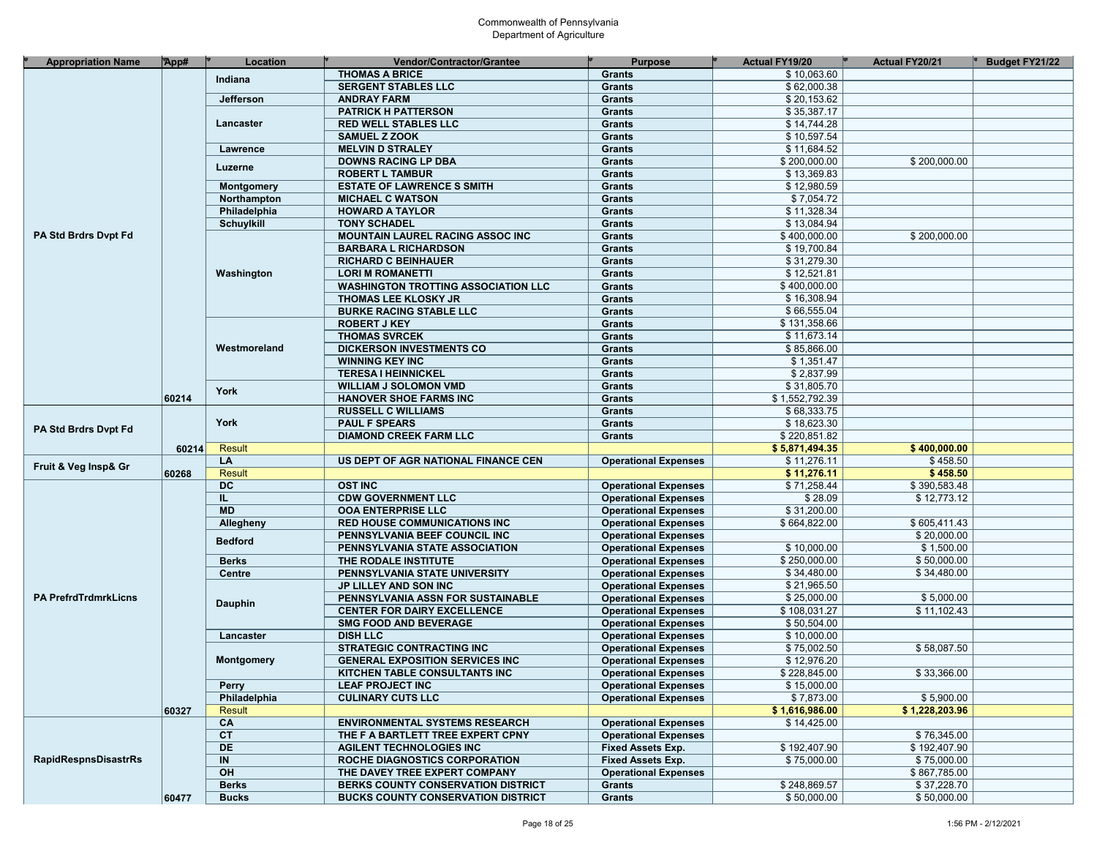| <b>Appropriation Name</b>   | App#  | Location          | Vendor/Contractor/Grantee                  | <b>Purpose</b>              | <b>Actual FY19/20</b> | <b>Actual FY20/21</b> | Budget FY21/22 |
|-----------------------------|-------|-------------------|--------------------------------------------|-----------------------------|-----------------------|-----------------------|----------------|
|                             |       | Indiana           | <b>THOMAS A BRICE</b>                      | <b>Grants</b>               | \$10,063.60           |                       |                |
|                             |       |                   | <b>SERGENT STABLES LLC</b>                 | <b>Grants</b>               | \$62,000.38           |                       |                |
|                             |       | Jefferson         | <b>ANDRAY FARM</b>                         | <b>Grants</b>               | \$20,153.62           |                       |                |
|                             |       |                   | <b>PATRICK H PATTERSON</b>                 | <b>Grants</b>               | \$35,387.17           |                       |                |
|                             |       | Lancaster         | <b>RED WELL STABLES LLC</b>                | <b>Grants</b>               | \$14,744.28           |                       |                |
|                             |       |                   | <b>SAMUEL Z ZOOK</b>                       | <b>Grants</b>               | \$10,597.54           |                       |                |
|                             |       | Lawrence          | <b>MELVIN D STRALEY</b>                    | <b>Grants</b>               | \$11,684.52           |                       |                |
|                             |       |                   | <b>DOWNS RACING LP DBA</b>                 | <b>Grants</b>               | \$200,000.00          | \$200,000.00          |                |
|                             |       | Luzerne           | <b>ROBERT L TAMBUR</b>                     | Grants                      | \$13,369.83           |                       |                |
|                             |       | Montgomery        | <b>ESTATE OF LAWRENCE S SMITH</b>          | <b>Grants</b>               | \$12,980.59           |                       |                |
|                             |       | Northampton       | <b>MICHAEL C WATSON</b>                    | Grants                      | \$7,054.72            |                       |                |
|                             |       | Philadelphia      |                                            | <b>Grants</b>               | \$11,328.34           |                       |                |
|                             |       |                   | <b>HOWARD A TAYLOR</b>                     |                             |                       |                       |                |
|                             |       | <b>Schuylkill</b> | <b>TONY SCHADEL</b>                        | Grants                      | \$13,084.94           |                       |                |
| PA Std Brdrs Dvpt Fd        |       |                   | <b>MOUNTAIN LAUREL RACING ASSOC INC</b>    | <b>Grants</b>               | \$400,000.00          | \$200,000.00          |                |
|                             |       |                   | <b>BARBARA L RICHARDSON</b>                | Grants                      | \$19,700.84           |                       |                |
|                             |       | Washington        | <b>RICHARD C BEINHAUER</b>                 | Grants                      | \$31,279.30           |                       |                |
|                             |       |                   | <b>LORI M ROMANETTI</b>                    | Grants                      | \$12,521.81           |                       |                |
|                             |       |                   | <b>WASHINGTON TROTTING ASSOCIATION LLC</b> | Grants                      | \$400,000.00          |                       |                |
|                             |       |                   | <b>THOMAS LEE KLOSKY JR</b>                | Grants                      | \$16,308.94           |                       |                |
|                             |       |                   | <b>BURKE RACING STABLE LLC</b>             | Grants                      | \$66,555.04           |                       |                |
|                             |       |                   | <b>ROBERT J KEY</b>                        | <b>Grants</b>               | \$131,358.66          |                       |                |
|                             |       |                   | <b>THOMAS SVRCEK</b>                       | Grants                      | \$11,673.14           |                       |                |
|                             |       | Westmoreland      | <b>DICKERSON INVESTMENTS CO</b>            | Grants                      | \$85,866.00           |                       |                |
|                             |       |                   | <b>WINNING KEY INC</b>                     | <b>Grants</b>               | \$1,351.47            |                       |                |
|                             |       |                   | <b>TERESA I HEINNICKEL</b>                 | Grants                      | \$2,837.99            |                       |                |
|                             |       |                   | <b>WILLIAM J SOLOMON VMD</b>               | <b>Grants</b>               | \$31,805.70           |                       |                |
|                             | 60214 | York              | <b>HANOVER SHOE FARMS INC</b>              | Grants                      | \$1,552,792.39        |                       |                |
|                             |       |                   | <b>RUSSELL C WILLIAMS</b>                  | <b>Grants</b>               | \$68,333.75           |                       |                |
|                             |       | York              | <b>PAUL F SPEARS</b>                       | Grants                      | \$18,623.30           |                       |                |
| PA Std Brdrs Dvpt Fd        |       |                   | <b>DIAMOND CREEK FARM LLC</b>              | <b>Grants</b>               | \$220,851.82          |                       |                |
|                             | 60214 | <b>Result</b>     |                                            |                             | \$5,871,494.35        | \$400,000.00          |                |
|                             |       | LA                | US DEPT OF AGR NATIONAL FINANCE CEN        | <b>Operational Expenses</b> | \$11,276.11           | \$458.50              |                |
| Fruit & Veg Insp& Gr        | 60268 | <b>Result</b>     |                                            |                             | \$11,276.11           | \$458.50              |                |
|                             |       | <b>DC</b>         | <b>OST INC</b>                             | <b>Operational Expenses</b> | \$71,258.44           | \$390,583.48          |                |
|                             |       | IL.               | <b>CDW GOVERNMENT LLC</b>                  | <b>Operational Expenses</b> | \$28.09               | \$12,773.12           |                |
|                             |       | <b>MD</b>         | <b>OOA ENTERPRISE LLC</b>                  | <b>Operational Expenses</b> | \$31,200.00           |                       |                |
|                             |       |                   | <b>RED HOUSE COMMUNICATIONS INC</b>        | <b>Operational Expenses</b> | \$664,822.00          | \$605,411.43          |                |
|                             |       | Allegheny         |                                            |                             |                       | \$20,000.00           |                |
|                             |       | <b>Bedford</b>    | PENNSYLVANIA BEEF COUNCIL INC              | <b>Operational Expenses</b> | \$10,000.00           | \$1,500.00            |                |
|                             |       |                   | PENNSYLVANIA STATE ASSOCIATION             | <b>Operational Expenses</b> |                       |                       |                |
|                             |       | <b>Berks</b>      | THE RODALE INSTITUTE                       | <b>Operational Expenses</b> | \$250,000.00          | \$50,000.00           |                |
|                             |       | Centre            | PENNSYLVANIA STATE UNIVERSITY              | <b>Operational Expenses</b> | \$34,480.00           | \$34,480.00           |                |
|                             |       |                   | JP LILLEY AND SON INC                      | <b>Operational Expenses</b> | \$21,965.50           |                       |                |
| <b>PA PrefrdTrdmrkLicns</b> |       | Dauphin           | PENNSYLVANIA ASSN FOR SUSTAINABLE          | <b>Operational Expenses</b> | \$25,000.00           | \$5,000.00            |                |
|                             |       |                   | <b>CENTER FOR DAIRY EXCELLENCE</b>         | <b>Operational Expenses</b> | \$108,031.27          | \$11,102.43           |                |
|                             |       |                   | <b>SMG FOOD AND BEVERAGE</b>               | <b>Operational Expenses</b> | \$50,504.00           |                       |                |
|                             |       | Lancaster         | <b>DISH LLC</b>                            | <b>Operational Expenses</b> | \$10,000.00           |                       |                |
|                             |       |                   | <b>STRATEGIC CONTRACTING INC</b>           | <b>Operational Expenses</b> | \$75,002.50           | \$58,087.50           |                |
|                             |       | <b>Montgomery</b> | <b>GENERAL EXPOSITION SERVICES INC</b>     | <b>Operational Expenses</b> | \$12,976.20           |                       |                |
|                             |       |                   | KITCHEN TABLE CONSULTANTS INC              | <b>Operational Expenses</b> | \$228,845.00          | \$33,366.00           |                |
|                             |       | Perry             | <b>LEAF PROJECT INC</b>                    | <b>Operational Expenses</b> | \$15,000.00           |                       |                |
|                             |       | Philadelphia      | <b>CULINARY CUTS LLC</b>                   | <b>Operational Expenses</b> | \$7,873.00            | \$5,900.00            |                |
|                             | 60327 | <b>Result</b>     |                                            |                             | \$1,616,986.00        | \$1,228,203.96        |                |
|                             |       | CA                | <b>ENVIRONMENTAL SYSTEMS RESEARCH</b>      | <b>Operational Expenses</b> | \$14,425.00           |                       |                |
|                             |       | CT                | THE F A BARTLETT TREE EXPERT CPNY          | <b>Operational Expenses</b> |                       | \$76,345.00           |                |
|                             |       | DE                | <b>AGILENT TECHNOLOGIES INC</b>            | Fixed Assets Exp.           | \$192,407.90          | \$192,407.90          |                |
| <b>RapidRespnsDisastrRs</b> |       | IN                | ROCHE DIAGNOSTICS CORPORATION              | Fixed Assets Exp.           | \$75,000.00           | \$75,000.00           |                |
|                             |       | OH                | THE DAVEY TREE EXPERT COMPANY              | <b>Operational Expenses</b> |                       | \$867,785.00          |                |
|                             |       | <b>Berks</b>      | BERKS COUNTY CONSERVATION DISTRICT         | <b>Grants</b>               | \$248,869.57          | \$37,228.70           |                |
|                             | 60477 | <b>Bucks</b>      | <b>BUCKS COUNTY CONSERVATION DISTRICT</b>  | <b>Grants</b>               | \$50,000.00           | \$50,000.00           |                |
|                             |       |                   |                                            |                             |                       |                       |                |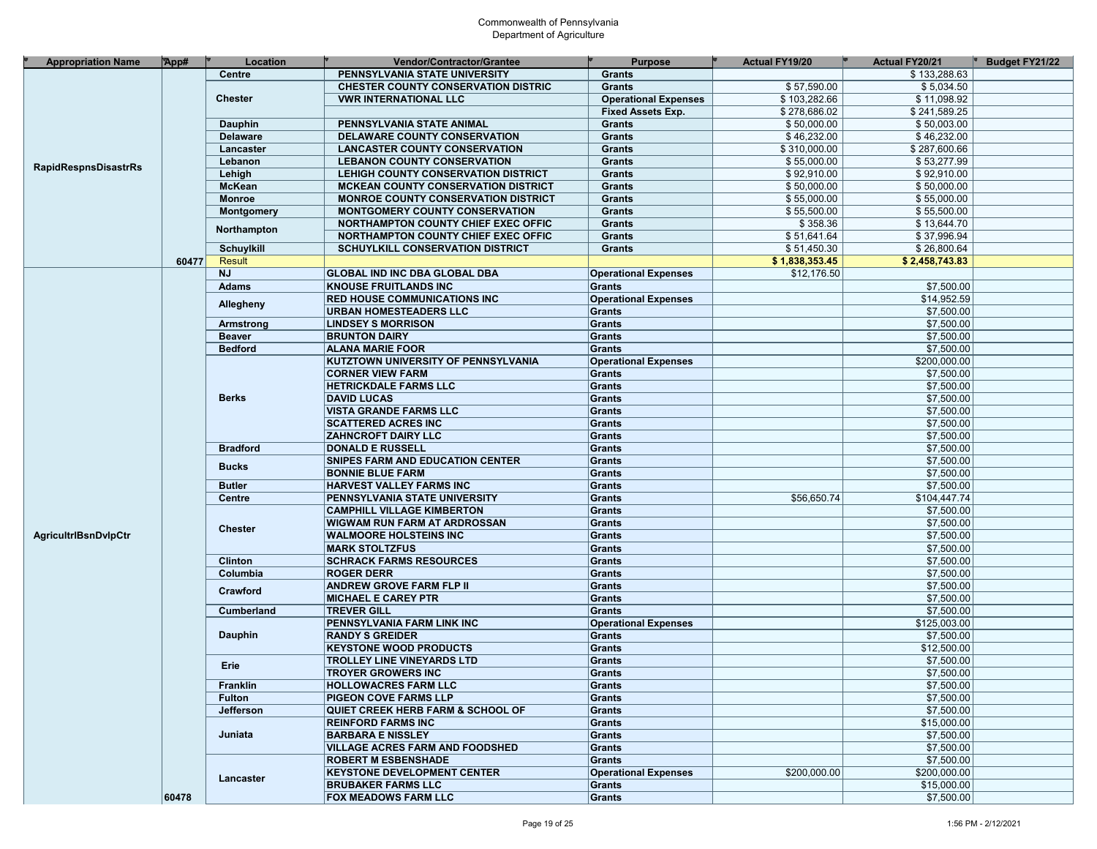| <b>Appropriation Name</b>   | App#  | Location          | <b>Vendor/Contractor/Grantee</b>             | <b>Purpose</b>              | <b>Actual FY19/20</b> | <b>Actual FY20/21</b> | Budget FY21/22 |
|-----------------------------|-------|-------------------|----------------------------------------------|-----------------------------|-----------------------|-----------------------|----------------|
|                             |       | Centre            | PENNSYLVANIA STATE UNIVERSITY                | <b>Grants</b>               |                       | \$133,288.63          |                |
|                             |       |                   | <b>CHESTER COUNTY CONSERVATION DISTRIC</b>   | <b>Grants</b>               | \$57,590.00           | \$5,034.50            |                |
|                             |       | <b>Chester</b>    | <b>VWR INTERNATIONAL LLC</b>                 | <b>Operational Expenses</b> | \$103,282.66          | \$11,098.92           |                |
|                             |       |                   |                                              | <b>Fixed Assets Exp.</b>    | \$278,686.02          | \$241,589.25          |                |
|                             |       | Dauphin           | PENNSYLVANIA STATE ANIMAL                    | <b>Grants</b>               | \$50,000.00           | \$50,003.00           |                |
|                             |       | <b>Delaware</b>   | DELAWARE COUNTY CONSERVATION                 | Grants                      | \$46,232.00           | \$46,232.00           |                |
|                             |       | Lancaster         | <b>LANCASTER COUNTY CONSERVATION</b>         | <b>Grants</b>               | \$310,000.00          | \$287,600.66          |                |
|                             |       | Lebanon           | <b>LEBANON COUNTY CONSERVATION</b>           | <b>Grants</b>               | \$55,000.00           | \$53,277.99           |                |
| <b>RapidRespnsDisastrRs</b> |       | Lehigh            | LEHIGH COUNTY CONSERVATION DISTRICT          | Grants                      | \$92,910.00           | \$92,910.00           |                |
|                             |       | <b>McKean</b>     | <b>MCKEAN COUNTY CONSERVATION DISTRICT</b>   | Grants                      | \$50,000.00           | \$50,000.00           |                |
|                             |       | Monroe            | <b>MONROE COUNTY CONSERVATION DISTRICT</b>   | <b>Grants</b>               | \$55,000.00           | \$55,000.00           |                |
|                             |       | <b>Montgomery</b> | <b>MONTGOMERY COUNTY CONSERVATION</b>        | Grants                      | \$55,500.00           | \$55,500.00           |                |
|                             |       |                   | NORTHAMPTON COUNTY CHIEF EXEC OFFIC          | Grants                      | \$358.36              | \$13,644.70           |                |
|                             |       | Northampton       |                                              | Grants                      | \$51,641.64           | \$37,996.94           |                |
|                             |       |                   | <b>NORTHAMPTON COUNTY CHIEF EXEC OFFIC</b>   |                             |                       |                       |                |
|                             |       | <b>Schuylkill</b> | <b>SCHUYLKILL CONSERVATION DISTRICT</b>      | <b>Grants</b>               | \$51,450.30           | \$26,800.64           |                |
|                             | 60477 | <b>Result</b>     |                                              |                             | \$1,838,353.45        | \$2,458,743.83        |                |
|                             |       | <b>NJ</b>         | <b>GLOBAL IND INC DBA GLOBAL DBA</b>         | <b>Operational Expenses</b> | \$12,176.50           |                       |                |
|                             |       | <b>Adams</b>      | <b>KNOUSE FRUITLANDS INC</b>                 | <b>Grants</b>               |                       | \$7,500.00            |                |
|                             |       | Allegheny         | <b>RED HOUSE COMMUNICATIONS INC</b>          | <b>Operational Expenses</b> |                       | \$14,952.59           |                |
|                             |       |                   | URBAN HOMESTEADERS LLC                       | <b>Grants</b>               |                       | \$7,500.00            |                |
|                             |       | Armstrong         | <b>LINDSEY S MORRISON</b>                    | Grants                      |                       | \$7,500.00            |                |
|                             |       | <b>Beaver</b>     | <b>BRUNTON DAIRY</b>                         | <b>Grants</b>               |                       | \$7,500.00            |                |
|                             |       | <b>Bedford</b>    | <b>ALANA MARIE FOOR</b>                      | <b>Grants</b>               |                       | \$7,500.00            |                |
|                             |       |                   | KUTZTOWN UNIVERSITY OF PENNSYLVANIA          | <b>Operational Expenses</b> |                       | \$200,000.00          |                |
|                             |       |                   | <b>CORNER VIEW FARM</b>                      | <b>Grants</b>               |                       | \$7,500.00            |                |
|                             |       |                   | <b>HETRICKDALE FARMS LLC</b>                 | <b>Grants</b>               |                       | \$7,500.00            |                |
|                             |       | <b>Berks</b>      | <b>DAVID LUCAS</b>                           | Grants                      |                       | \$7,500.00            |                |
|                             |       |                   | <b>VISTA GRANDE FARMS LLC</b>                | <b>Grants</b>               |                       | \$7,500.00            |                |
|                             |       |                   | <b>SCATTERED ACRES INC</b>                   | <b>Grants</b>               |                       | \$7,500.00            |                |
|                             |       |                   | <b>ZAHNCROFT DAIRY LLC</b>                   | <b>Grants</b>               |                       | \$7,500.00            |                |
|                             |       | <b>Bradford</b>   | <b>DONALD E RUSSELL</b>                      | <b>Grants</b>               |                       | \$7,500.00            |                |
|                             |       |                   | SNIPES FARM AND EDUCATION CENTER             | <b>Grants</b>               |                       | \$7,500.00            |                |
|                             |       | <b>Bucks</b>      | <b>BONNIE BLUE FARM</b>                      | <b>Grants</b>               |                       | \$7,500.00            |                |
|                             |       | <b>Butler</b>     | <b>HARVEST VALLEY FARMS INC</b>              | <b>Grants</b>               |                       | \$7,500.00            |                |
|                             |       | <b>Centre</b>     | PENNSYLVANIA STATE UNIVERSITY                | <b>Grants</b>               | \$56,650.74           | \$104,447.74          |                |
|                             |       |                   | <b>CAMPHILL VILLAGE KIMBERTON</b>            | <b>Grants</b>               |                       | \$7,500.00            |                |
|                             |       |                   | <b>WIGWAM RUN FARM AT ARDROSSAN</b>          | <b>Grants</b>               |                       | \$7,500.00            |                |
| <b>AgricultriBsnDvlpCtr</b> |       | <b>Chester</b>    | <b>WALMOORE HOLSTEINS INC</b>                | <b>Grants</b>               |                       | \$7,500.00            |                |
|                             |       |                   | <b>MARK STOLTZFUS</b>                        | <b>Grants</b>               |                       | \$7,500.00            |                |
|                             |       | <b>Clinton</b>    |                                              | <b>Grants</b>               |                       | \$7,500.00            |                |
|                             |       |                   | <b>SCHRACK FARMS RESOURCES</b>               |                             |                       |                       |                |
|                             |       | Columbia          | <b>ROGER DERR</b>                            | <b>Grants</b>               |                       | \$7,500.00            |                |
|                             |       | Crawford          | <b>ANDREW GROVE FARM FLP II</b>              | <b>Grants</b>               |                       | \$7,500.00            |                |
|                             |       |                   | <b>MICHAEL E CAREY PTR</b>                   | <b>Grants</b>               |                       | \$7,500.00            |                |
|                             |       | Cumberland        | <b>TREVER GILL</b>                           | <b>Grants</b>               |                       | \$7,500.00            |                |
|                             |       |                   | PENNSYLVANIA FARM LINK INC                   | <b>Operational Expenses</b> |                       | \$125,003.00          |                |
|                             |       | <b>Dauphin</b>    | <b>RANDY S GREIDER</b>                       | <b>Grants</b>               |                       | \$7,500.00            |                |
|                             |       |                   | <b>KEYSTONE WOOD PRODUCTS</b>                | <b>Grants</b>               |                       | \$12,500.00           |                |
|                             |       | Erie              | <b>TROLLEY LINE VINEYARDS LTD</b>            | <b>Grants</b>               |                       | \$7,500.00            |                |
|                             |       |                   | <b>TROYER GROWERS INC</b>                    | <b>Grants</b>               |                       | \$7,500.00            |                |
|                             |       | Franklin          | <b>HOLLOWACRES FARM LLC</b>                  | Grants                      |                       | \$7,500.00            |                |
|                             |       | <b>Fulton</b>     | <b>PIGEON COVE FARMS LLP</b>                 | Grants                      |                       | \$7,500.00            |                |
|                             |       | Jefferson         | <b>QUIET CREEK HERB FARM &amp; SCHOOL OF</b> | Grants                      |                       | \$7,500.00            |                |
|                             |       |                   | <b>REINFORD FARMS INC</b>                    | Grants                      |                       | \$15,000.00           |                |
|                             |       | Juniata           | <b>BARBARA E NISSLEY</b>                     | Grants                      |                       | \$7,500.00            |                |
|                             |       |                   | <b>VILLAGE ACRES FARM AND FOODSHED</b>       | Grants                      |                       | \$7,500.00            |                |
|                             |       |                   | <b>ROBERT M ESBENSHADE</b>                   | Grants                      |                       | \$7,500.00            |                |
|                             |       | Lancaster         | <b>KEYSTONE DEVELOPMENT CENTER</b>           | <b>Operational Expenses</b> | \$200,000.00          | \$200,000.00          |                |
|                             |       |                   | <b>BRUBAKER FARMS LLC</b>                    | Grants                      |                       | \$15,000.00           |                |
|                             | 60478 |                   | <b>FOX MEADOWS FARM LLC</b>                  | Grants                      |                       | \$7,500.00            |                |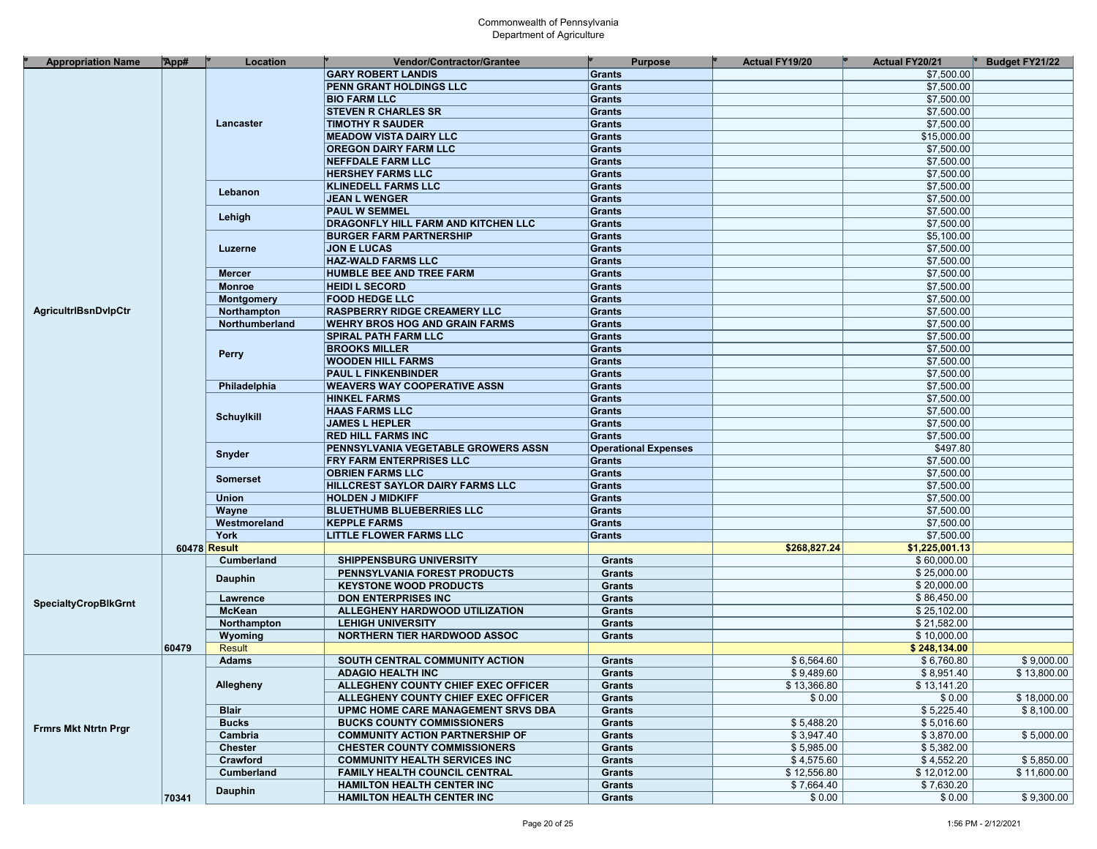| <b>Appropriation Name</b>   | App#         | Location          | <b>Vendor/Contractor/Grantee</b>       | <b>Purpose</b>              | <b>Actual FY19/20</b> | <b>Actual FY20/21</b> | Budget FY21/22 |
|-----------------------------|--------------|-------------------|----------------------------------------|-----------------------------|-----------------------|-----------------------|----------------|
|                             |              |                   | <b>GARY ROBERT LANDIS</b>              | <b>Grants</b>               |                       | \$7,500.00            |                |
|                             |              |                   | <b>PENN GRANT HOLDINGS LLC</b>         | Grants                      |                       | \$7,500.00            |                |
|                             |              |                   |                                        |                             |                       | \$7,500.00            |                |
|                             |              |                   | <b>BIO FARM LLC</b>                    | <b>Grants</b>               |                       |                       |                |
|                             |              |                   | <b>STEVEN R CHARLES SR</b>             | <b>Grants</b>               |                       | \$7,500.00            |                |
|                             |              | Lancaster         | <b>TIMOTHY R SAUDER</b>                | Grants                      |                       | \$7,500.00            |                |
|                             |              |                   | <b>MEADOW VISTA DAIRY LLC</b>          | <b>Grants</b>               |                       | \$15,000.00           |                |
|                             |              |                   | <b>OREGON DAIRY FARM LLC</b>           | Grants                      |                       | \$7,500.00            |                |
|                             |              |                   | <b>NEFFDALE FARM LLC</b>               | Grants                      |                       | \$7,500.00            |                |
|                             |              |                   | <b>HERSHEY FARMS LLC</b>               | Grants                      |                       | \$7,500.00            |                |
|                             |              | Lebanon           | <b>KLINEDELL FARMS LLC</b>             | Grants                      |                       | \$7,500.00            |                |
|                             |              |                   | <b>JEAN L WENGER</b>                   | Grants                      |                       | \$7,500.00            |                |
|                             |              | Lehigh            | <b>PAUL W SEMMEL</b>                   | <b>Grants</b>               |                       | \$7,500.00            |                |
|                             |              |                   | DRAGONFLY HILL FARM AND KITCHEN LLC    | Grants                      |                       | \$7,500.00            |                |
|                             |              |                   | <b>BURGER FARM PARTNERSHIP</b>         | Grants                      |                       | \$5,100.00            |                |
|                             |              | Luzerne           | <b>JON E LUCAS</b>                     | Grants                      |                       | \$7,500.00            |                |
|                             |              |                   | <b>HAZ-WALD FARMS LLC</b>              | <b>Grants</b>               |                       | \$7,500.00            |                |
|                             |              | <b>Mercer</b>     | <b>HUMBLE BEE AND TREE FARM</b>        | Grants                      |                       | \$7,500.00            |                |
|                             |              | <b>Monroe</b>     | <b>HEIDI L SECORD</b>                  | Grants                      |                       | \$7,500.00            |                |
|                             |              | <b>Montgomery</b> | <b>FOOD HEDGE LLC</b>                  | Grants                      |                       | \$7,500.00            |                |
| <b>AgricultriBsnDvlpCtr</b> |              | Northampton       | <b>RASPBERRY RIDGE CREAMERY LLC</b>    | Grants                      |                       | \$7,500.00            |                |
|                             |              | Northumberland    | <b>WEHRY BROS HOG AND GRAIN FARMS</b>  | Grants                      |                       | \$7,500.00            |                |
|                             |              |                   |                                        |                             |                       |                       |                |
|                             |              |                   | <b>SPIRAL PATH FARM LLC</b>            | Grants                      |                       | \$7,500.00            |                |
|                             |              | <b>Perry</b>      | <b>BROOKS MILLER</b>                   | Grants                      |                       | \$7,500.00            |                |
|                             |              |                   | <b>WOODEN HILL FARMS</b>               | Grants                      |                       | \$7,500.00            |                |
|                             |              |                   | <b>PAUL L FINKENBINDER</b>             | Grants                      |                       | \$7,500.00            |                |
|                             |              | Philadelphia      | <b>WEAVERS WAY COOPERATIVE ASSN</b>    | Grants                      |                       | \$7,500.00            |                |
|                             |              |                   | <b>HINKEL FARMS</b>                    | Grants                      |                       | \$7,500.00            |                |
|                             |              | <b>Schuylkill</b> | <b>HAAS FARMS LLC</b>                  | <b>Grants</b>               |                       | \$7,500.00            |                |
|                             |              |                   | <b>JAMES L HEPLER</b>                  | <b>Grants</b>               |                       | \$7,500.00            |                |
|                             |              |                   | <b>RED HILL FARMS INC</b>              | <b>Grants</b>               |                       | \$7,500.00            |                |
|                             |              | Snyder            | PENNSYLVANIA VEGETABLE GROWERS ASSN    | <b>Operational Expenses</b> |                       | \$497.80              |                |
|                             |              |                   | FRY FARM ENTERPRISES LLC               | Grants                      |                       | \$7,500.00            |                |
|                             |              |                   | <b>OBRIEN FARMS LLC</b>                | <b>Grants</b>               |                       | \$7,500.00            |                |
|                             |              | <b>Somerset</b>   | HILLCREST SAYLOR DAIRY FARMS LLC       | Grants                      |                       | \$7,500.00            |                |
|                             |              | <b>Union</b>      | <b>HOLDEN J MIDKIFF</b>                | Grants                      |                       | \$7,500.00            |                |
|                             |              | Wayne             | <b>BLUETHUMB BLUEBERRIES LLC</b>       | Grants                      |                       | \$7,500.00            |                |
|                             |              | Westmoreland      | <b>KEPPLE FARMS</b>                    | Grants                      |                       | \$7,500.00            |                |
|                             |              | <b>York</b>       | <b>LITTLE FLOWER FARMS LLC</b>         | Grants                      |                       | \$7,500.00            |                |
|                             | 60478 Result |                   |                                        |                             | \$268,827.24          | \$1,225,001.13        |                |
|                             |              | Cumberland        | <b>SHIPPENSBURG UNIVERSITY</b>         | Grants                      |                       | \$60,000.00           |                |
|                             |              |                   | PENNSYLVANIA FOREST PRODUCTS           | <b>Grants</b>               |                       | \$25,000.00           |                |
|                             |              | <b>Dauphin</b>    | <b>KEYSTONE WOOD PRODUCTS</b>          | <b>Grants</b>               |                       | \$20,000.00           |                |
|                             |              |                   |                                        |                             |                       |                       |                |
| <b>SpecialtyCropBlkGrnt</b> |              | Lawrence          | <b>DON ENTERPRISES INC</b>             | <b>Grants</b>               |                       | \$86,450.00           |                |
|                             |              | <b>McKean</b>     | ALLEGHENY HARDWOOD UTILIZATION         | <b>Grants</b>               |                       | \$25,102.00           |                |
|                             |              | Northampton       | <b>LEHIGH UNIVERSITY</b>               | <b>Grants</b>               |                       | \$21,582.00           |                |
|                             |              | Wyoming           | <b>NORTHERN TIER HARDWOOD ASSOC</b>    | <b>Grants</b>               |                       | \$10,000.00           |                |
|                             | 60479        | <b>Result</b>     |                                        |                             |                       | \$248,134.00          |                |
|                             |              | <b>Adams</b>      | SOUTH CENTRAL COMMUNITY ACTION         | Grants                      | \$6,564.60            | \$6,760.80            | \$9,000.00     |
|                             |              |                   | <b>ADAGIO HEALTH INC</b>               | <b>Grants</b>               | \$9,489.60            | \$8,951.40            | \$13,800.00    |
|                             |              | Allegheny         | ALLEGHENY COUNTY CHIEF EXEC OFFICER    | Grants                      | \$13,366.80           | \$13,141.20           |                |
|                             |              |                   | ALLEGHENY COUNTY CHIEF EXEC OFFICER    | <b>Grants</b>               | \$0.00                | \$0.00                | \$18,000.00    |
|                             |              | <b>Blair</b>      | UPMC HOME CARE MANAGEMENT SRVS DBA     | Grants                      |                       | \$5,225.40            | \$8.100.00     |
| <b>Frmrs Mkt Ntrtn Prgr</b> |              | <b>Bucks</b>      | <b>BUCKS COUNTY COMMISSIONERS</b>      | Grants                      | \$5,488.20            | \$5,016.60            |                |
|                             |              | Cambria           | <b>COMMUNITY ACTION PARTNERSHIP OF</b> | Grants                      | \$3,947.40            | \$3,870.00            | \$5,000.00     |
|                             |              | <b>Chester</b>    | <b>CHESTER COUNTY COMMISSIONERS</b>    | Grants                      | \$5,985.00            | \$5,382.00            |                |
|                             |              | Crawford          | <b>COMMUNITY HEALTH SERVICES INC</b>   | Grants                      | \$4,575.60            | \$4,552.20            | \$5,850.00     |
|                             |              | Cumberland        | <b>FAMILY HEALTH COUNCIL CENTRAL</b>   | Grants                      | \$12,556.80           | \$12,012.00           | \$11,600.00    |
|                             |              |                   | <b>HAMILTON HEALTH CENTER INC</b>      | Grants                      | \$7,664.40            | \$7,630.20            |                |
|                             | 70341        | Dauphin           | <b>HAMILTON HEALTH CENTER INC</b>      | Grants                      | \$0.00                | \$0.00                | \$9,300.00     |
|                             |              |                   |                                        |                             |                       |                       |                |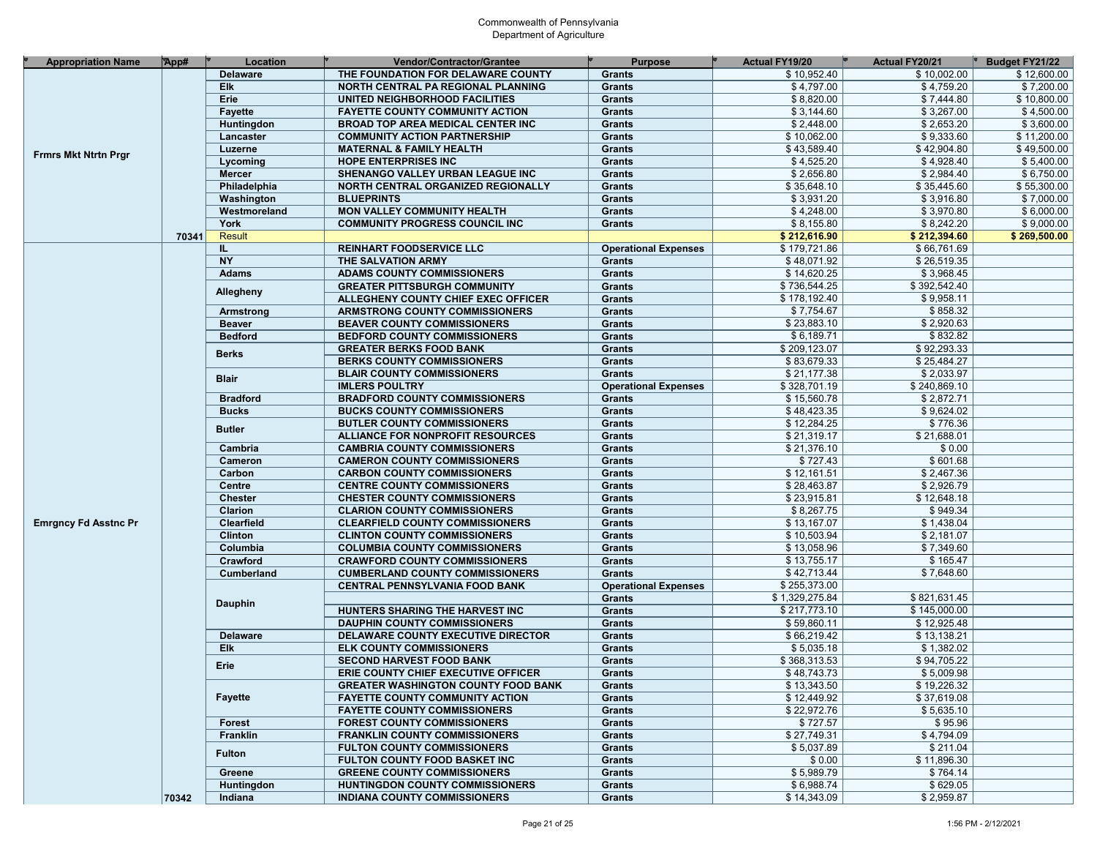| <b>Appropriation Name</b>   | App#  | Location               | <b>Vendor/Contractor/Grantee</b>                                               | <b>Purpose</b>                 | <b>Actual FY19/20</b>      | Actual FY20/21           | Budget FY21/22 |
|-----------------------------|-------|------------------------|--------------------------------------------------------------------------------|--------------------------------|----------------------------|--------------------------|----------------|
|                             |       | <b>Delaware</b>        | THE FOUNDATION FOR DELAWARE COUNTY                                             | <b>Grants</b>                  | \$10,952.40                | \$10,002.00              | \$12,600.00    |
|                             |       | Elk                    | NORTH CENTRAL PA REGIONAL PLANNING                                             | <b>Grants</b>                  | \$4,797.00                 | \$4,759.20               | \$7,200.00     |
|                             |       | Erie                   | UNITED NEIGHBORHOOD FACILITIES                                                 | Grants                         | \$8,820.00                 | \$7,444.80               | \$10,800.00    |
|                             |       | Fayette                | <b>FAYETTE COUNTY COMMUNITY ACTION</b>                                         | <b>Grants</b>                  | \$3,144.60                 | \$3,267.00               | \$4,500.00     |
|                             |       | Huntingdon             | <b>BROAD TOP AREA MEDICAL CENTER INC</b>                                       | Grants                         | \$2,448.00                 | \$2,653.20               | \$3,600.00     |
|                             |       | Lancaster              | <b>COMMUNITY ACTION PARTNERSHIP</b>                                            | Grants                         | \$10,062.00                | \$9,333.60               | \$11,200.00    |
| <b>Frmrs Mkt Ntrtn Prgr</b> |       | Luzerne                | <b>MATERNAL &amp; FAMILY HEALTH</b>                                            | Grants                         | \$43,589.40                | \$42,904.80              | \$49,500.00    |
|                             |       | Lycoming               | <b>HOPE ENTERPRISES INC</b>                                                    | <b>Grants</b>                  | \$4,525.20                 | \$4,928.40               | \$5,400.00     |
|                             |       | Mercer                 | SHENANGO VALLEY URBAN LEAGUE INC                                               | Grants                         | \$2,656.80                 | \$2,984.40               | \$6,750.00     |
|                             |       | Philadelphia           | NORTH CENTRAL ORGANIZED REGIONALLY                                             | <b>Grants</b>                  | \$35,648.10                | \$35,445.60              | \$55,300.00    |
|                             |       | Washington             | <b>BLUEPRINTS</b>                                                              | Grants                         | \$3,931.20                 | \$3,916.80               | \$7,000.00     |
|                             |       | Westmoreland           | MON VALLEY COMMUNITY HEALTH                                                    | Grants                         | \$4,248.00                 | \$3,970.80               | \$6,000.00     |
|                             |       | York                   | <b>COMMUNITY PROGRESS COUNCIL INC</b>                                          | Grants                         | \$8,155.80                 | \$8,242.20               | \$9,000.00     |
|                             | 70341 | Result                 |                                                                                |                                | \$212,616.90               | \$212,394.60             | \$269,500.00   |
|                             |       | IL.                    | <b>REINHART FOODSERVICE LLC</b>                                                | <b>Operational Expenses</b>    | \$179,721.86               | \$66,761.69              |                |
|                             |       | <b>NY</b>              | THE SALVATION ARMY                                                             | Grants                         | \$48,071.92                | \$26,519.35              |                |
|                             |       | <b>Adams</b>           | <b>ADAMS COUNTY COMMISSIONERS</b>                                              | Grants                         | \$14,620.25                | \$3,968.45               |                |
|                             |       | Allegheny              | <b>GREATER PITTSBURGH COMMUNITY</b>                                            | Grants                         | \$736,544.25               | \$392,542.40             |                |
|                             |       |                        | ALLEGHENY COUNTY CHIEF EXEC OFFICER                                            | Grants                         | \$178,192.40               | \$9,958.11               |                |
|                             |       | Armstrong              | <b>ARMSTRONG COUNTY COMMISSIONERS</b>                                          | <b>Grants</b>                  | \$7,754.67                 | \$858.32                 |                |
|                             |       | <b>Beaver</b>          | <b>BEAVER COUNTY COMMISSIONERS</b>                                             | Grants                         | \$23,883.10                | \$2,920.63               |                |
|                             |       | <b>Bedford</b>         | <b>BEDFORD COUNTY COMMISSIONERS</b>                                            | Grants                         | \$6,189.71                 | \$832.82                 |                |
|                             |       | <b>Berks</b>           | <b>GREATER BERKS FOOD BANK</b>                                                 | Grants                         | \$209,123.07               | \$92,293.33              |                |
|                             |       |                        | <b>BERKS COUNTY COMMISSIONERS</b>                                              | Grants                         | \$83,679.33                | \$25,484.27              |                |
|                             |       | <b>Blair</b>           | <b>BLAIR COUNTY COMMISSIONERS</b>                                              | Grants                         | \$21,177.38                | \$2,033.97               |                |
|                             |       |                        | <b>IMLERS POULTRY</b>                                                          | <b>Operational Expenses</b>    | \$328,701.19               | \$240,869.10             |                |
|                             |       | <b>Bradford</b>        | <b>BRADFORD COUNTY COMMISSIONERS</b>                                           | <b>Grants</b>                  | \$15,560.78                | \$2,872.71               |                |
|                             |       | <b>Bucks</b>           | <b>BUCKS COUNTY COMMISSIONERS</b>                                              | <b>Grants</b>                  | \$48,423.35                | \$9,624.02               |                |
|                             |       | <b>Butler</b>          | <b>BUTLER COUNTY COMMISSIONERS</b>                                             | <b>Grants</b>                  | \$12,284.25                | \$776.36                 |                |
|                             |       |                        | <b>ALLIANCE FOR NONPROFIT RESOURCES</b>                                        | <b>Grants</b>                  | \$21,319.17                | \$21,688.01              |                |
|                             |       | Cambria                | <b>CAMBRIA COUNTY COMMISSIONERS</b>                                            | <b>Grants</b>                  | \$21,376.10                | \$0.00                   |                |
|                             |       | Cameron                | <b>CAMERON COUNTY COMMISSIONERS</b>                                            | <b>Grants</b>                  | \$727.43                   | \$601.68                 |                |
|                             |       | Carbon                 | <b>CARBON COUNTY COMMISSIONERS</b>                                             | <b>Grants</b>                  | \$12,161.51                | \$2,467.36               |                |
|                             |       | <b>Centre</b>          | <b>CENTRE COUNTY COMMISSIONERS</b>                                             | <b>Grants</b>                  | \$28,463.87                | \$2,926.79               |                |
|                             |       | <b>Chester</b>         | <b>CHESTER COUNTY COMMISSIONERS</b>                                            | <b>Grants</b>                  | \$23,915.81                | \$12,648.18              |                |
|                             |       | Clarion                | <b>CLARION COUNTY COMMISSIONERS</b>                                            | <b>Grants</b>                  | \$8,267.75                 | \$949.34                 |                |
| <b>Emrgncy Fd Asstnc Pr</b> |       | Clearfield             | <b>CLEARFIELD COUNTY COMMISSIONERS</b>                                         | <b>Grants</b>                  | \$13,167.07<br>\$10,503.94 | \$1,438.04               |                |
|                             |       | <b>Clinton</b>         | <b>CLINTON COUNTY COMMISSIONERS</b>                                            | <b>Grants</b>                  | \$13,058.96                | \$2,181.07<br>\$7,349.60 |                |
|                             |       | Columbia               | <b>COLUMBIA COUNTY COMMISSIONERS</b>                                           | <b>Grants</b>                  | \$13,755.17                | \$165.47                 |                |
|                             |       | Crawford<br>Cumberland | <b>CRAWFORD COUNTY COMMISSIONERS</b><br><b>CUMBERLAND COUNTY COMMISSIONERS</b> | <b>Grants</b><br><b>Grants</b> | \$42,713.44                | \$7,648.60               |                |
|                             |       |                        | <b>CENTRAL PENNSYLVANIA FOOD BANK</b>                                          | <b>Operational Expenses</b>    | \$255,373.00               |                          |                |
|                             |       |                        |                                                                                | <b>Grants</b>                  | \$1,329,275.84             | \$821,631.45             |                |
|                             |       | <b>Dauphin</b>         | HUNTERS SHARING THE HARVEST INC                                                | <b>Grants</b>                  | \$217,773.10               | \$145,000.00             |                |
|                             |       |                        | <b>DAUPHIN COUNTY COMMISSIONERS</b>                                            | <b>Grants</b>                  | \$59,860.11                | \$12,925.48              |                |
|                             |       | <b>Delaware</b>        | DELAWARE COUNTY EXECUTIVE DIRECTOR                                             | <b>Grants</b>                  | \$66,219.42                | \$13,138.21              |                |
|                             |       | Elk                    | <b>ELK COUNTY COMMISSIONERS</b>                                                | <b>Grants</b>                  | \$5,035.18                 | \$1,382.02               |                |
|                             |       |                        | <b>SECOND HARVEST FOOD BANK</b>                                                | <b>Grants</b>                  | \$368,313.53               | \$94,705.22              |                |
|                             |       | Erie                   | ERIE COUNTY CHIEF EXECUTIVE OFFICER                                            | <b>Grants</b>                  | \$48,743,73                | \$5,009.98               |                |
|                             |       |                        | <b>GREATER WASHINGTON COUNTY FOOD BANK</b>                                     | Grants                         | \$13,343.50                | \$19,226.32              |                |
|                             |       | <b>Fayette</b>         | <b>FAYETTE COUNTY COMMUNITY ACTION</b>                                         | Grants                         | \$12,449.92                | \$37,619.08              |                |
|                             |       |                        | <b>FAYETTE COUNTY COMMISSIONERS</b>                                            | Grants                         | \$22,972.76                | \$5,635.10               |                |
|                             |       | <b>Forest</b>          | <b>FOREST COUNTY COMMISSIONERS</b>                                             | Grants                         | \$727.57                   | \$95.96                  |                |
|                             |       | Franklin               | <b>FRANKLIN COUNTY COMMISSIONERS</b>                                           | Grants                         | \$27,749.31                | \$4,794.09               |                |
|                             |       | <b>Fulton</b>          | <b>FULTON COUNTY COMMISSIONERS</b>                                             | Grants                         | \$5,037.89                 | \$211.04                 |                |
|                             |       |                        | FULTON COUNTY FOOD BASKET INC                                                  | Grants                         | \$0.00                     | \$11.896.30              |                |
|                             |       | Greene                 | <b>GREENE COUNTY COMMISSIONERS</b>                                             | Grants                         | \$5,989.79                 | \$764.14                 |                |
|                             |       | Huntingdon             | <b>HUNTINGDON COUNTY COMMISSIONERS</b>                                         | Grants                         | \$6,988.74                 | \$629.05                 |                |
|                             | 70342 | Indiana                | <b>INDIANA COUNTY COMMISSIONERS</b>                                            | Grants                         | \$14,343.09                | \$2,959.87               |                |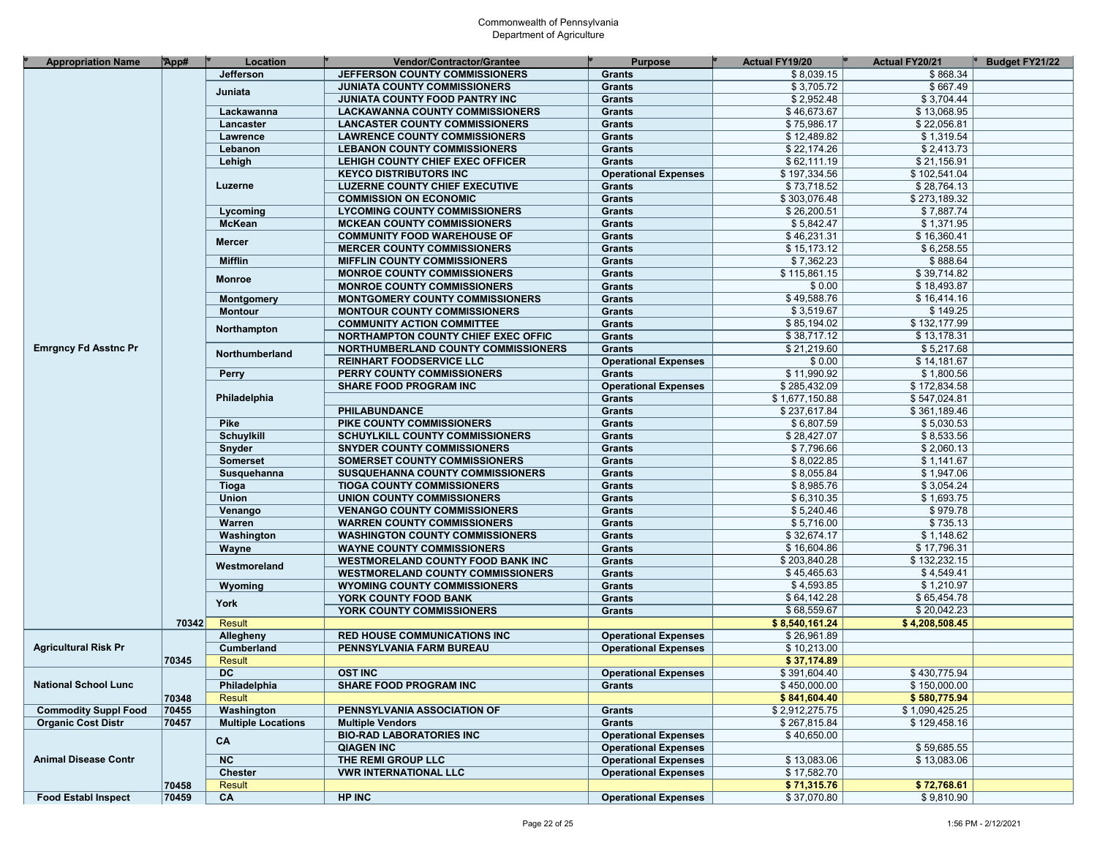| <b>Appropriation Name</b>   | App#  | Location                  | Vendor/Contractor/Grantee                | <b>Purpose</b>              | Actual FY19/20 | <b>Actual FY20/21</b> | <b>Budget FY21/22</b> |
|-----------------------------|-------|---------------------------|------------------------------------------|-----------------------------|----------------|-----------------------|-----------------------|
|                             |       | Jefferson                 | JEFFERSON COUNTY COMMISSIONERS           | <b>Grants</b>               | \$8,039.15     | \$868.34              |                       |
|                             |       | Juniata                   | <b>JUNIATA COUNTY COMMISSIONERS</b>      | <b>Grants</b>               | \$3,705.72     | \$667.49              |                       |
|                             |       |                           | JUNIATA COUNTY FOOD PANTRY INC           | <b>Grants</b>               | \$2,952.48     | \$3,704.44            |                       |
|                             |       | Lackawanna                | <b>LACKAWANNA COUNTY COMMISSIONERS</b>   | <b>Grants</b>               | \$46,673.67    | \$13,068.95           |                       |
|                             |       | Lancaster                 | <b>LANCASTER COUNTY COMMISSIONERS</b>    | <b>Grants</b>               | \$75,986.17    | \$22,056.81           |                       |
|                             |       | Lawrence                  | <b>LAWRENCE COUNTY COMMISSIONERS</b>     | <b>Grants</b>               | \$12,489.82    | \$1,319.54            |                       |
|                             |       | Lebanon                   | <b>LEBANON COUNTY COMMISSIONERS</b>      | <b>Grants</b>               | \$22,174.26    | \$2,413.73            |                       |
|                             |       | Lehigh                    | LEHIGH COUNTY CHIEF EXEC OFFICER         | <b>Grants</b>               | \$62,111.19    | \$21,156.91           |                       |
|                             |       |                           | <b>KEYCO DISTRIBUTORS INC</b>            | <b>Operational Expenses</b> | \$197,334.56   | \$102,541.04          |                       |
|                             |       | Luzerne                   | <b>LUZERNE COUNTY CHIEF EXECUTIVE</b>    | <b>Grants</b>               | \$73,718.52    | \$28,764.13           |                       |
|                             |       |                           | <b>COMMISSION ON ECONOMIC</b>            | <b>Grants</b>               | \$303,076.48   | \$273,189.32          |                       |
|                             |       | Lycoming                  | <b>LYCOMING COUNTY COMMISSIONERS</b>     | <b>Grants</b>               | \$26,200.51    | \$7,887.74            |                       |
|                             |       | <b>McKean</b>             | <b>MCKEAN COUNTY COMMISSIONERS</b>       | <b>Grants</b>               | \$5,842.47     | \$1,371.95            |                       |
|                             |       |                           | <b>COMMUNITY FOOD WAREHOUSE OF</b>       | <b>Grants</b>               | \$46,231.31    | \$16,360.41           |                       |
|                             |       | <b>Mercer</b>             | <b>MERCER COUNTY COMMISSIONERS</b>       | <b>Grants</b>               | \$15,173.12    | \$6,258.55            |                       |
|                             |       | <b>Mifflin</b>            | <b>MIFFLIN COUNTY COMMISSIONERS</b>      |                             | \$7,362.23     | \$888.64              |                       |
|                             |       |                           |                                          | <b>Grants</b>               | \$115,861.15   | \$39,714.82           |                       |
|                             |       | <b>Monroe</b>             | <b>MONROE COUNTY COMMISSIONERS</b>       | <b>Grants</b>               | \$0.00         | \$18,493.87           |                       |
|                             |       |                           | <b>MONROE COUNTY COMMISSIONERS</b>       | <b>Grants</b>               |                |                       |                       |
|                             |       | <b>Montgomery</b>         | <b>MONTGOMERY COUNTY COMMISSIONERS</b>   | <b>Grants</b>               | \$49,588.76    | \$16,414.16           |                       |
|                             |       | <b>Montour</b>            | <b>MONTOUR COUNTY COMMISSIONERS</b>      | <b>Grants</b>               | \$3,519.67     | \$149.25              |                       |
|                             |       | Northampton               | <b>COMMUNITY ACTION COMMITTEE</b>        | <b>Grants</b>               | \$85,194.02    | \$132,177.99          |                       |
|                             |       |                           | NORTHAMPTON COUNTY CHIEF EXEC OFFIC      | <b>Grants</b>               | \$38,717.12    | \$13,178.31           |                       |
| <b>Emrgncy Fd Asstnc Pr</b> |       | Northumberland            | NORTHUMBERLAND COUNTY COMMISSIONERS      | <b>Grants</b>               | \$21,219.60    | \$5,217.68            |                       |
|                             |       |                           | <b>REINHART FOODSERVICE LLC</b>          | <b>Operational Expenses</b> | \$0.00         | \$14,181.67           |                       |
|                             |       | <b>Perry</b>              | PERRY COUNTY COMMISSIONERS               | <b>Grants</b>               | \$11,990.92    | \$1,800.56            |                       |
|                             |       |                           | <b>SHARE FOOD PROGRAM INC</b>            | <b>Operational Expenses</b> | \$285,432.09   | \$172,834.58          |                       |
|                             |       | Philadelphia              |                                          | <b>Grants</b>               | \$1,677,150.88 | \$547,024.81          |                       |
|                             |       |                           | <b>PHILABUNDANCE</b>                     | <b>Grants</b>               | \$237,617.84   | \$361,189.46          |                       |
|                             |       | <b>Pike</b>               | PIKE COUNTY COMMISSIONERS                | <b>Grants</b>               | \$6,807.59     | \$5,030.53            |                       |
|                             |       | <b>Schuylkill</b>         | <b>SCHUYLKILL COUNTY COMMISSIONERS</b>   | <b>Grants</b>               | \$28,427.07    | \$8,533.56            |                       |
|                             |       | Snyder                    | <b>SNYDER COUNTY COMMISSIONERS</b>       | <b>Grants</b>               | \$7,796.66     | \$2,060.13            |                       |
|                             |       | <b>Somerset</b>           | SOMERSET COUNTY COMMISSIONERS            | <b>Grants</b>               | \$8,022.85     | \$1,141.67            |                       |
|                             |       | Susquehanna               | SUSQUEHANNA COUNTY COMMISSIONERS         | <b>Grants</b>               | \$8,055.84     | \$1,947.06            |                       |
|                             |       | Tioga                     | <b>TIOGA COUNTY COMMISSIONERS</b>        | <b>Grants</b>               | \$8,985.76     | \$3,054.24            |                       |
|                             |       | <b>Union</b>              | UNION COUNTY COMMISSIONERS               | <b>Grants</b>               | \$6,310.35     | \$1,693.75            |                       |
|                             |       | Venango                   | <b>VENANGO COUNTY COMMISSIONERS</b>      | <b>Grants</b>               | \$5,240.46     | \$979.78              |                       |
|                             |       | Warren                    | <b>WARREN COUNTY COMMISSIONERS</b>       | <b>Grants</b>               | \$5,716.00     | \$735.13              |                       |
|                             |       | Washington                | <b>WASHINGTON COUNTY COMMISSIONERS</b>   | <b>Grants</b>               | \$32,674.17    | \$1,148.62            |                       |
|                             |       | Wayne                     | <b>WAYNE COUNTY COMMISSIONERS</b>        | <b>Grants</b>               | \$16,604.86    | \$17,796.31           |                       |
|                             |       |                           | <b>WESTMORELAND COUNTY FOOD BANK INC</b> | <b>Grants</b>               | \$203,840.28   | \$132,232.15          |                       |
|                             |       | Westmoreland              | <b>WESTMORELAND COUNTY COMMISSIONERS</b> | <b>Grants</b>               | \$45,465.63    | \$4,549.41            |                       |
|                             |       | Wyoming                   | <b>WYOMING COUNTY COMMISSIONERS</b>      | <b>Grants</b>               | \$4,593.85     | \$1,210.97            |                       |
|                             |       |                           | YORK COUNTY FOOD BANK                    | <b>Grants</b>               | \$64.142.28    | \$65,454.78           |                       |
|                             |       | York                      | YORK COUNTY COMMISSIONERS                | <b>Grants</b>               | \$68,559.67    | \$20,042.23           |                       |
|                             | 70342 | Result                    |                                          |                             | \$8,540,161.24 | \$4,208,508.45        |                       |
|                             |       | Allegheny                 | <b>RED HOUSE COMMUNICATIONS INC</b>      | <b>Operational Expenses</b> | \$26,961.89    |                       |                       |
| <b>Agricultural Risk Pr</b> |       | <b>Cumberland</b>         | PENNSYLVANIA FARM BUREAU                 | <b>Operational Expenses</b> | \$10,213.00    |                       |                       |
|                             | 70345 | Result                    |                                          |                             | \$37,174.89    |                       |                       |
|                             |       | <b>DC</b>                 | <b>OST INC</b>                           | <b>Operational Expenses</b> | \$391,604.40   | \$430,775.94          |                       |
| <b>National School Lunc</b> |       | Philadelphia              | <b>SHARE FOOD PROGRAM INC</b>            | Grants                      | \$450,000.00   | \$150,000.00          |                       |
|                             | 70348 | Result                    |                                          |                             | \$841,604.40   | \$580,775.94          |                       |
| <b>Commodity Suppl Food</b> | 70455 | Washington                | PENNSYLVANIA ASSOCIATION OF              | Grants                      | \$2,912,275.75 | \$1.090.425.25        |                       |
| <b>Organic Cost Distr</b>   | 70457 | <b>Multiple Locations</b> | <b>Multiple Vendors</b>                  | Grants                      | \$267,815.84   | \$129,458.16          |                       |
|                             |       |                           | <b>BIO-RAD LABORATORIES INC</b>          | <b>Operational Expenses</b> | \$40,650.00    |                       |                       |
|                             |       | CA                        | <b>QIAGEN INC</b>                        | <b>Operational Expenses</b> |                | \$59,685.55           |                       |
| <b>Animal Disease Contr</b> |       | <b>NC</b>                 | THE REMI GROUP LLC                       |                             | \$13,083.06    | \$13,083.06           |                       |
|                             |       |                           |                                          | <b>Operational Expenses</b> |                |                       |                       |
|                             |       | Chester                   | <b>VWR INTERNATIONAL LLC</b>             | <b>Operational Expenses</b> | \$17,582.70    |                       |                       |
|                             | 70458 | Result                    |                                          |                             | \$71,315.76    | \$72,768.61           |                       |
| <b>Food Establ Inspect</b>  | 70459 | CA                        | <b>HP INC</b>                            | <b>Operational Expenses</b> | \$37,070.80    | \$9,810.90            |                       |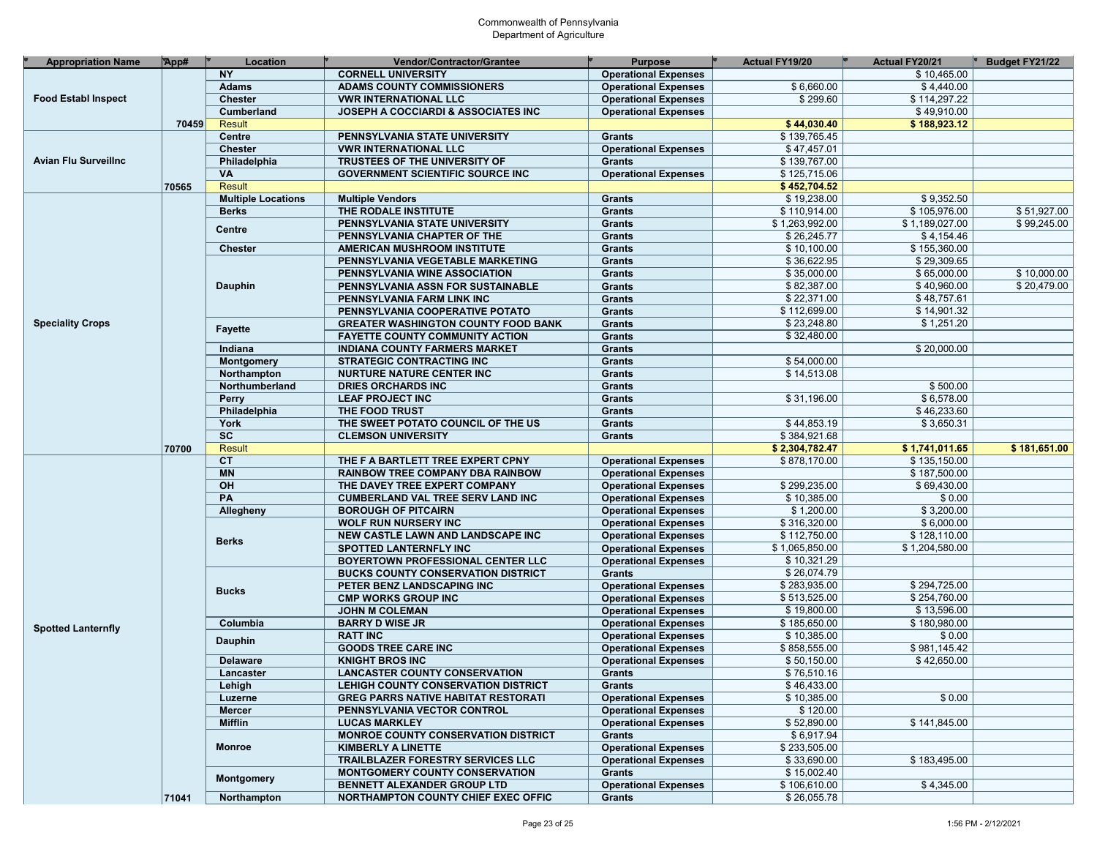| <b>Appropriation Name</b>   | App#  | Location                  | Vendor/Contractor/Grantee                  | <b>Purpose</b>              | <b>Actual FY19/20</b> | <b>Actual FY20/21</b> | Budget FY21/22 |
|-----------------------------|-------|---------------------------|--------------------------------------------|-----------------------------|-----------------------|-----------------------|----------------|
|                             |       | <b>NY</b>                 | <b>CORNELL UNIVERSITY</b>                  | <b>Operational Expenses</b> |                       | \$10,465.00           |                |
|                             |       | <b>Adams</b>              | <b>ADAMS COUNTY COMMISSIONERS</b>          | <b>Operational Expenses</b> | \$6,660.00            | \$4,440.00            |                |
| <b>Food Establ Inspect</b>  |       | <b>Chester</b>            | <b>VWR INTERNATIONAL LLC</b>               | <b>Operational Expenses</b> | \$299.60              | \$114,297.22          |                |
|                             |       | Cumberland                | JOSEPH A COCCIARDI & ASSOCIATES INC        | <b>Operational Expenses</b> |                       | \$49,910.00           |                |
|                             | 70459 | <b>Result</b>             |                                            |                             | \$44,030.40           | \$188,923.12          |                |
|                             |       | Centre                    | PENNSYLVANIA STATE UNIVERSITY              | <b>Grants</b>               | \$139,765.45          |                       |                |
|                             |       | <b>Chester</b>            | <b>VWR INTERNATIONAL LLC</b>               | <b>Operational Expenses</b> | \$47,457.01           |                       |                |
| <b>Avian Flu Surveillnc</b> |       |                           | TRUSTEES OF THE UNIVERSITY OF              | <b>Grants</b>               | \$139,767.00          |                       |                |
|                             |       | Philadelphia<br><b>VA</b> |                                            |                             | \$125,715.06          |                       |                |
|                             |       |                           | <b>GOVERNMENT SCIENTIFIC SOURCE INC.</b>   | <b>Operational Expenses</b> |                       |                       |                |
|                             | 70565 | <b>Result</b>             |                                            |                             | \$452,704.52          |                       |                |
|                             |       | <b>Multiple Locations</b> | <b>Multiple Vendors</b>                    | <b>Grants</b>               | \$19,238.00           | \$9,352.50            |                |
|                             |       | <b>Berks</b>              | THE RODALE INSTITUTE                       | <b>Grants</b>               | \$110,914.00          | \$105,976.00          | \$51.927.00    |
|                             |       | Centre                    | PENNSYLVANIA STATE UNIVERSITY              | <b>Grants</b>               | \$1,263,992.00        | \$1,189,027.00        | \$99,245.00    |
|                             |       |                           | PENNSYLVANIA CHAPTER OF THE                | <b>Grants</b>               | \$26,245.77           | \$4,154.46            |                |
|                             |       | <b>Chester</b>            | <b>AMERICAN MUSHROOM INSTITUTE</b>         | <b>Grants</b>               | \$10,100.00           | \$155,360.00          |                |
|                             |       |                           | PENNSYLVANIA VEGETABLE MARKETING           | <b>Grants</b>               | \$36,622.95           | \$29,309.65           |                |
|                             |       |                           | PENNSYLVANIA WINE ASSOCIATION              | <b>Grants</b>               | \$35,000.00           | \$65,000.00           | \$10,000.00    |
|                             |       | Dauphin                   | PENNSYLVANIA ASSN FOR SUSTAINABLE          | <b>Grants</b>               | \$82,387.00           | \$40,960.00           | \$20,479.00    |
|                             |       |                           | PENNSYLVANIA FARM LINK INC                 | <b>Grants</b>               | \$22,371.00           | \$48,757.61           |                |
|                             |       |                           | PENNSYLVANIA COOPERATIVE POTATO            | <b>Grants</b>               | \$112,699.00          | \$14,901.32           |                |
| <b>Speciality Crops</b>     |       | <b>Fayette</b>            | <b>GREATER WASHINGTON COUNTY FOOD BANK</b> | <b>Grants</b>               | \$23,248.80           | \$1,251.20            |                |
|                             |       |                           | <b>FAYETTE COUNTY COMMUNITY ACTION</b>     | <b>Grants</b>               | \$32,480.00           |                       |                |
|                             |       | Indiana                   | <b>INDIANA COUNTY FARMERS MARKET</b>       | <b>Grants</b>               |                       | \$20,000.00           |                |
|                             |       | Montgomery                | <b>STRATEGIC CONTRACTING INC</b>           | <b>Grants</b>               | \$54,000.00           |                       |                |
|                             |       | Northampton               | <b>NURTURE NATURE CENTER INC</b>           | <b>Grants</b>               | \$14,513.08           |                       |                |
|                             |       | Northumberland            | <b>DRIES ORCHARDS INC</b>                  | <b>Grants</b>               |                       | \$500.00              |                |
|                             |       | Perry                     | <b>LEAF PROJECT INC</b>                    | <b>Grants</b>               | \$31,196.00           | \$6,578.00            |                |
|                             |       | Philadelphia              | THE FOOD TRUST                             | <b>Grants</b>               |                       | \$46,233.60           |                |
|                             |       | York                      | THE SWEET POTATO COUNCIL OF THE US         | <b>Grants</b>               | \$44,853.19           | \$3,650.31            |                |
|                             |       | $\overline{sc}$           | <b>CLEMSON UNIVERSITY</b>                  | <b>Grants</b>               | \$384,921.68          |                       |                |
|                             | 70700 | <b>Result</b>             |                                            |                             | \$2,304,782.47        | \$1,741,011.65        | \$181,651.00   |
|                             |       | <b>CT</b>                 | THE F A BARTLETT TREE EXPERT CPNY          | <b>Operational Expenses</b> | \$878,170.00          | \$135,150.00          |                |
|                             |       | <b>MN</b>                 | <b>RAINBOW TREE COMPANY DBA RAINBOW</b>    | <b>Operational Expenses</b> |                       | \$187,500.00          |                |
|                             |       | OH                        | THE DAVEY TREE EXPERT COMPANY              | <b>Operational Expenses</b> | \$299,235.00          | \$69,430.00           |                |
|                             |       | PA                        | <b>CUMBERLAND VAL TREE SERV LAND INC</b>   | <b>Operational Expenses</b> | \$10,385.00           | \$0.00                |                |
|                             |       | Allegheny                 | <b>BOROUGH OF PITCAIRN</b>                 | <b>Operational Expenses</b> | \$1,200.00            | \$3,200.00            |                |
|                             |       |                           | <b>WOLF RUN NURSERY INC</b>                | <b>Operational Expenses</b> | \$316,320.00          | \$6,000.00            |                |
|                             |       |                           | NEW CASTLE LAWN AND LANDSCAPE INC          | <b>Operational Expenses</b> | \$112,750.00          | \$128,110.00          |                |
|                             |       | <b>Berks</b>              | SPOTTED LANTERNFLY INC                     | <b>Operational Expenses</b> | \$1,065,850.00        | \$1,204,580.00        |                |
|                             |       |                           | BOYERTOWN PROFESSIONAL CENTER LLC          | <b>Operational Expenses</b> | \$10,321.29           |                       |                |
|                             |       |                           | <b>BUCKS COUNTY CONSERVATION DISTRICT</b>  | <b>Grants</b>               | \$26,074.79           |                       |                |
|                             |       |                           | PETER BENZ LANDSCAPING INC                 | <b>Operational Expenses</b> | \$283,935.00          | \$294,725.00          |                |
|                             |       | <b>Bucks</b>              | <b>CMP WORKS GROUP INC</b>                 | <b>Operational Expenses</b> | \$513,525.00          | \$254,760.00          |                |
|                             |       |                           | <b>JOHN M COLEMAN</b>                      | <b>Operational Expenses</b> | \$19,800.00           | \$13,596.00           |                |
|                             |       | Columbia                  | <b>BARRY D WISE JR</b>                     | <b>Operational Expenses</b> | \$185,650.00          | \$180,980.00          |                |
| <b>Spotted Lanternfly</b>   |       |                           | <b>RATT INC</b>                            | <b>Operational Expenses</b> | \$10,385.00           | \$0.00                |                |
|                             |       | <b>Dauphin</b>            | <b>GOODS TREE CARE INC</b>                 | <b>Operational Expenses</b> | \$858,555.00          | \$981,145.42          |                |
|                             |       | <b>Delaware</b>           | <b>KNIGHT BROS INC</b>                     | <b>Operational Expenses</b> | \$50,150.00           | \$42,650.00           |                |
|                             |       | Lancaster                 | <b>LANCASTER COUNTY CONSERVATION</b>       | Grants                      | \$76,510.16           |                       |                |
|                             |       |                           | LEHIGH COUNTY CONSERVATION DISTRICT        | <b>Grants</b>               | \$46,433.00           |                       |                |
|                             |       | Lehigh<br>Luzerne         | <b>GREG PARRS NATIVE HABITAT RESTORATI</b> | <b>Operational Expenses</b> | \$10,385.00           | \$0.00                |                |
|                             |       | <b>Mercer</b>             | PENNSYLVANIA VECTOR CONTROL                |                             | \$120.00              |                       |                |
|                             |       |                           |                                            | <b>Operational Expenses</b> | \$52,890.00           | \$141,845.00          |                |
|                             |       | <b>Mifflin</b>            | <b>LUCAS MARKLEY</b>                       | <b>Operational Expenses</b> |                       |                       |                |
|                             |       |                           | <b>MONROE COUNTY CONSERVATION DISTRICT</b> | Grants                      | \$6,917.94            |                       |                |
|                             |       | <b>Monroe</b>             | <b>KIMBERLY A LINETTE</b>                  | <b>Operational Expenses</b> | \$233,505.00          |                       |                |
|                             |       |                           | TRAILBLAZER FORESTRY SERVICES LLC          | <b>Operational Expenses</b> | \$33,690.00           | \$183,495.00          |                |
|                             |       | Montgomery                | <b>MONTGOMERY COUNTY CONSERVATION</b>      | <b>Grants</b>               | \$15,002.40           |                       |                |
|                             |       |                           | BENNETT ALEXANDER GROUP LTD                | <b>Operational Expenses</b> | \$106,610.00          | \$4,345.00            |                |
|                             | 71041 | Northampton               | NORTHAMPTON COUNTY CHIEF EXEC OFFIC        | <b>Grants</b>               | \$26,055.78           |                       |                |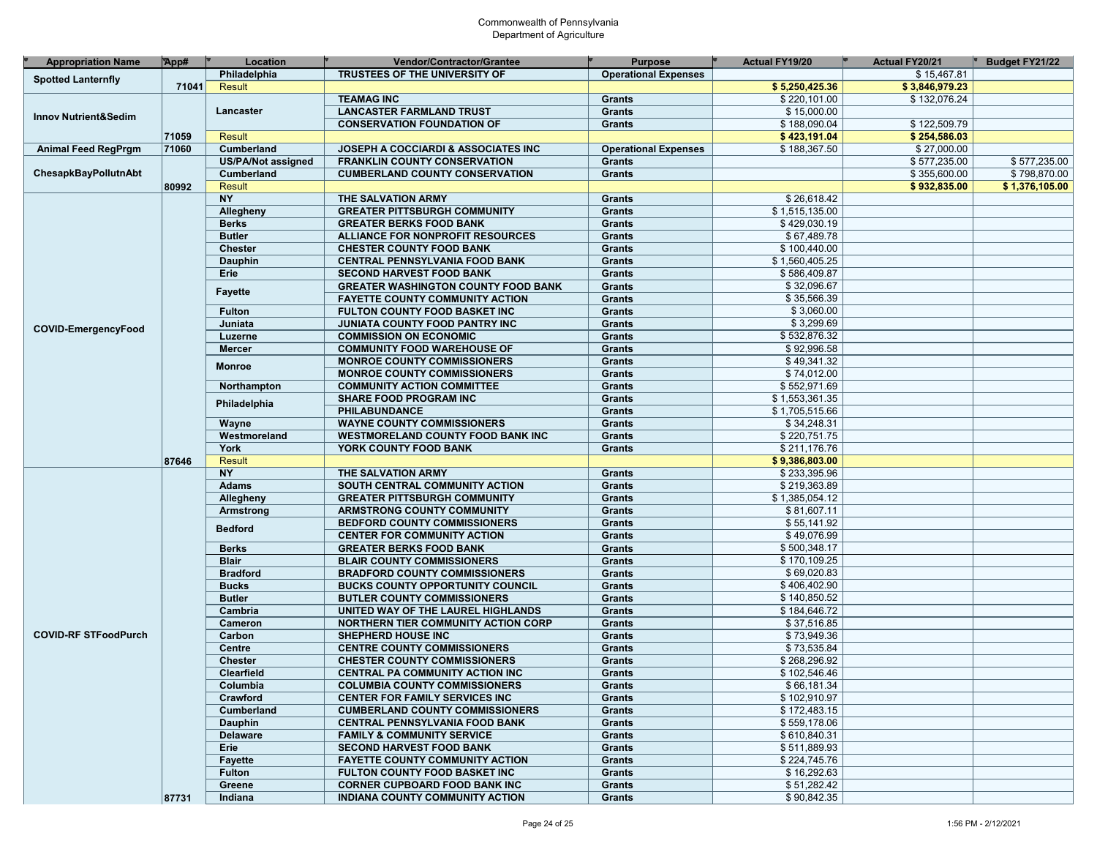| <b>Appropriation Name</b>       | App#  | Location                  | Vendor/Contractor/Grantee                      | <b>Purpose</b>              | <b>Actual FY19/20</b> | <b>Actual FY20/21</b> | Budget FY21/22 |
|---------------------------------|-------|---------------------------|------------------------------------------------|-----------------------------|-----------------------|-----------------------|----------------|
| <b>Spotted Lanternfly</b>       |       | Philadelphia              | <b>TRUSTEES OF THE UNIVERSITY OF</b>           | <b>Operational Expenses</b> |                       | \$15,467.81           |                |
|                                 | 71041 | <b>Result</b>             |                                                |                             | \$5,250,425.36        | \$3,846,979.23        |                |
|                                 |       |                           | <b>TEAMAG INC</b>                              | <b>Grants</b>               | \$220,101.00          | \$132,076.24          |                |
|                                 |       | Lancaster                 | <b>LANCASTER FARMLAND TRUST</b>                | Grants                      | \$15,000.00           |                       |                |
| <b>Innov Nutrient&amp;Sedim</b> |       |                           | <b>CONSERVATION FOUNDATION OF</b>              | Grants                      | \$188,090.04          | \$122,509.79          |                |
|                                 | 71059 | <b>Result</b>             |                                                |                             | \$423,191.04          | \$254,586.03          |                |
| <b>Animal Feed RegPrgm</b>      | 71060 | Cumberland                | <b>JOSEPH A COCCIARDI &amp; ASSOCIATES INC</b> | <b>Operational Expenses</b> | \$188,367.50          | \$27,000.00           |                |
|                                 |       | <b>US/PA/Not assigned</b> | <b>FRANKLIN COUNTY CONSERVATION</b>            | Grants                      |                       | \$577,235.00          | \$577,235.00   |
| ChesapkBayPollutnAbt            |       | Cumberland                | <b>CUMBERLAND COUNTY CONSERVATION</b>          | Grants                      |                       | \$355,600.00          | \$798,870.00   |
|                                 | 80992 | <b>Result</b>             |                                                |                             |                       | \$932,835.00          | \$1,376,105.00 |
|                                 |       | <b>NY</b>                 | THE SALVATION ARMY                             | Grants                      | \$26,618.42           |                       |                |
|                                 |       | Allegheny                 | <b>GREATER PITTSBURGH COMMUNITY</b>            | <b>Grants</b>               | \$1,515,135.00        |                       |                |
|                                 |       |                           |                                                | Grants                      | \$429,030.19          |                       |                |
|                                 |       | <b>Berks</b>              | <b>GREATER BERKS FOOD BANK</b>                 |                             |                       |                       |                |
|                                 |       | <b>Butler</b>             | ALLIANCE FOR NONPROFIT RESOURCES               | <b>Grants</b>               | \$67,489.78           |                       |                |
|                                 |       | <b>Chester</b>            | <b>CHESTER COUNTY FOOD BANK</b>                | Grants                      | \$100,440.00          |                       |                |
|                                 |       | <b>Dauphin</b>            | <b>CENTRAL PENNSYLVANIA FOOD BANK</b>          | <b>Grants</b>               | \$1,560,405.25        |                       |                |
|                                 |       | Erie                      | <b>SECOND HARVEST FOOD BANK</b>                | Grants                      | \$586,409.87          |                       |                |
|                                 |       | <b>Fayette</b>            | <b>GREATER WASHINGTON COUNTY FOOD BANK</b>     | Grants                      | \$32,096.67           |                       |                |
|                                 |       |                           | <b>FAYETTE COUNTY COMMUNITY ACTION</b>         | Grants                      | \$35,566.39           |                       |                |
|                                 |       | <b>Fulton</b>             | FULTON COUNTY FOOD BASKET INC                  | Grants                      | \$3,060.00            |                       |                |
| <b>COVID-EmergencyFood</b>      |       | Juniata                   | JUNIATA COUNTY FOOD PANTRY INC                 | Grants                      | \$3,299.69            |                       |                |
|                                 |       | Luzerne                   | <b>COMMISSION ON ECONOMIC</b>                  | Grants                      | \$532,876.32          |                       |                |
|                                 |       | <b>Mercer</b>             | <b>COMMUNITY FOOD WAREHOUSE OF</b>             | Grants                      | \$92,996.58           |                       |                |
|                                 |       |                           | <b>MONROE COUNTY COMMISSIONERS</b>             | Grants                      | \$49,341.32           |                       |                |
|                                 |       | <b>Monroe</b>             | <b>MONROE COUNTY COMMISSIONERS</b>             | Grants                      | \$74,012.00           |                       |                |
|                                 |       | Northampton               | <b>COMMUNITY ACTION COMMITTEE</b>              | Grants                      | \$552,971.69          |                       |                |
|                                 |       |                           | <b>SHARE FOOD PROGRAM INC</b>                  | Grants                      | \$1,553,361.35        |                       |                |
|                                 |       | Philadelphia              | PHILABUNDANCE                                  | Grants                      | \$1,705,515.66        |                       |                |
|                                 |       | Wayne                     | <b>WAYNE COUNTY COMMISSIONERS</b>              | Grants                      | \$34,248.31           |                       |                |
|                                 |       | Westmoreland              | <b>WESTMORELAND COUNTY FOOD BANK INC</b>       | Grants                      | \$220,751.75          |                       |                |
|                                 |       | York                      | YORK COUNTY FOOD BANK                          | Grants                      | \$211,176.76          |                       |                |
|                                 | 87646 | <b>Result</b>             |                                                |                             | \$9,386,803.00        |                       |                |
|                                 |       | <b>NY</b>                 | THE SALVATION ARMY                             | Grants                      | \$233,395.96          |                       |                |
|                                 |       | <b>Adams</b>              | SOUTH CENTRAL COMMUNITY ACTION                 | Grants                      | \$219,363.89          |                       |                |
|                                 |       |                           |                                                |                             |                       |                       |                |
|                                 |       | Allegheny                 | <b>GREATER PITTSBURGH COMMUNITY</b>            | Grants                      | \$1,385,054.12        |                       |                |
|                                 |       | Armstrong                 | <b>ARMSTRONG COUNTY COMMUNITY</b>              | <b>Grants</b>               | \$81,607.11           |                       |                |
|                                 |       | <b>Bedford</b>            | <b>BEDFORD COUNTY COMMISSIONERS</b>            | Grants                      | \$55,141.92           |                       |                |
|                                 |       |                           | <b>CENTER FOR COMMUNITY ACTION</b>             | <b>Grants</b>               | \$49,076.99           |                       |                |
|                                 |       | <b>Berks</b>              | <b>GREATER BERKS FOOD BANK</b>                 | Grants                      | \$500,348.17          |                       |                |
|                                 |       | <b>Blair</b>              | <b>BLAIR COUNTY COMMISSIONERS</b>              | <b>Grants</b>               | \$170,109.25          |                       |                |
|                                 |       | <b>Bradford</b>           | <b>BRADFORD COUNTY COMMISSIONERS</b>           | Grants                      | \$69,020.83           |                       |                |
|                                 |       | <b>Bucks</b>              | <b>BUCKS COUNTY OPPORTUNITY COUNCIL</b>        | Grants                      | \$406,402.90          |                       |                |
|                                 |       | <b>Butler</b>             | <b>BUTLER COUNTY COMMISSIONERS</b>             | Grants                      | \$140,850.52          |                       |                |
|                                 |       | Cambria                   | UNITED WAY OF THE LAUREL HIGHLANDS             | <b>Grants</b>               | \$184,646.72          |                       |                |
|                                 |       | Cameron                   | <b>NORTHERN TIER COMMUNITY ACTION CORP</b>     | Grants                      | \$37,516.85           |                       |                |
| <b>COVID-RF STFoodPurch</b>     |       | Carbon                    | <b>SHEPHERD HOUSE INC</b>                      | Grants                      | \$73,949.36           |                       |                |
|                                 |       | Centre                    | <b>CENTRE COUNTY COMMISSIONERS</b>             | Grants                      | \$73,535.84           |                       |                |
|                                 |       | <b>Chester</b>            | <b>CHESTER COUNTY COMMISSIONERS</b>            | Grants                      | \$268,296.92          |                       |                |
|                                 |       | Clearfield                | CENTRAL PA COMMUNITY ACTION INC                | <b>Grants</b>               | \$102,546.46          |                       |                |
|                                 |       | Columbia                  | <b>COLUMBIA COUNTY COMMISSIONERS</b>           | Grants                      | \$66,181.34           |                       |                |
|                                 |       | Crawford                  | <b>CENTER FOR FAMILY SERVICES INC</b>          | Grants                      | \$102,910.97          |                       |                |
|                                 |       | Cumberland                | <b>CUMBERLAND COUNTY COMMISSIONERS</b>         | Grants                      | \$172,483.15          |                       |                |
|                                 |       | Dauphin                   | <b>CENTRAL PENNSYLVANIA FOOD BANK</b>          | Grants                      | \$559,178.06          |                       |                |
|                                 |       |                           |                                                |                             |                       |                       |                |
|                                 |       | <b>Delaware</b>           | <b>FAMILY &amp; COMMUNITY SERVICE</b>          | Grants                      | \$610,840.31          |                       |                |
|                                 |       | Erie                      | <b>SECOND HARVEST FOOD BANK</b>                | Grants                      | \$511,889.93          |                       |                |
|                                 |       | <b>Fayette</b>            | <b>FAYETTE COUNTY COMMUNITY ACTION</b>         | Grants                      | \$224,745.76          |                       |                |
|                                 |       | <b>Fulton</b>             | FULTON COUNTY FOOD BASKET INC                  | Grants                      | \$16,292.63           |                       |                |
|                                 |       | Greene                    | <b>CORNER CUPBOARD FOOD BANK INC.</b>          | Grants                      | \$51,282.42           |                       |                |
|                                 | 87731 | Indiana                   | INDIANA COUNTY COMMUNITY ACTION                | Grants                      | \$90,842.35           |                       |                |